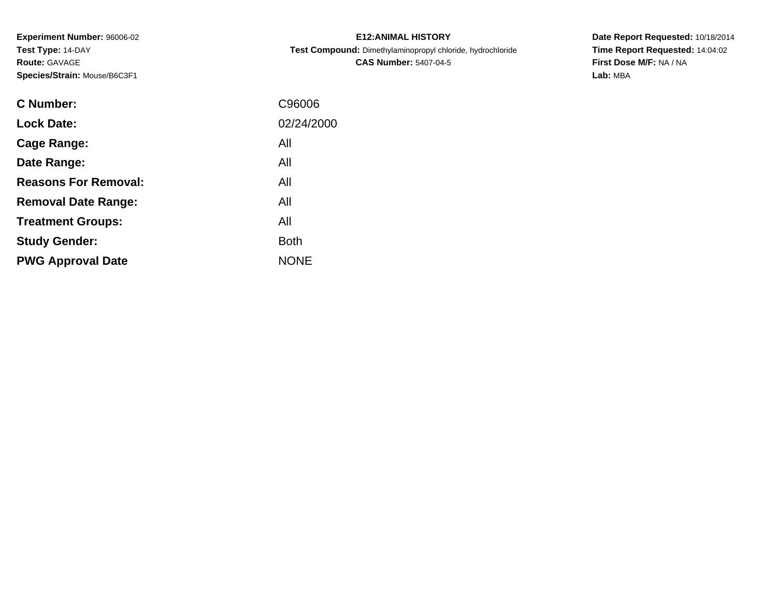**Experiment Number:** 96006-02**Test Type:** 14-DAY**Route:** GAVAGE**Species/Strain:** Mouse/B6C3F1

| <b>E12: ANIMAL HISTORY</b>                                 |
|------------------------------------------------------------|
| Test Compound: Dimethylaminopropyl chloride, hydrochloride |
| <b>CAS Number: 5407-04-5</b>                               |

| <b>C</b> Number:            | C96006      |
|-----------------------------|-------------|
| <b>Lock Date:</b>           | 02/24/2000  |
| Cage Range:                 | All         |
| Date Range:                 | All         |
| <b>Reasons For Removal:</b> | All         |
| <b>Removal Date Range:</b>  | All         |
| <b>Treatment Groups:</b>    | All         |
| <b>Study Gender:</b>        | <b>Both</b> |
| <b>PWG Approval Date</b>    | <b>NONE</b> |
|                             |             |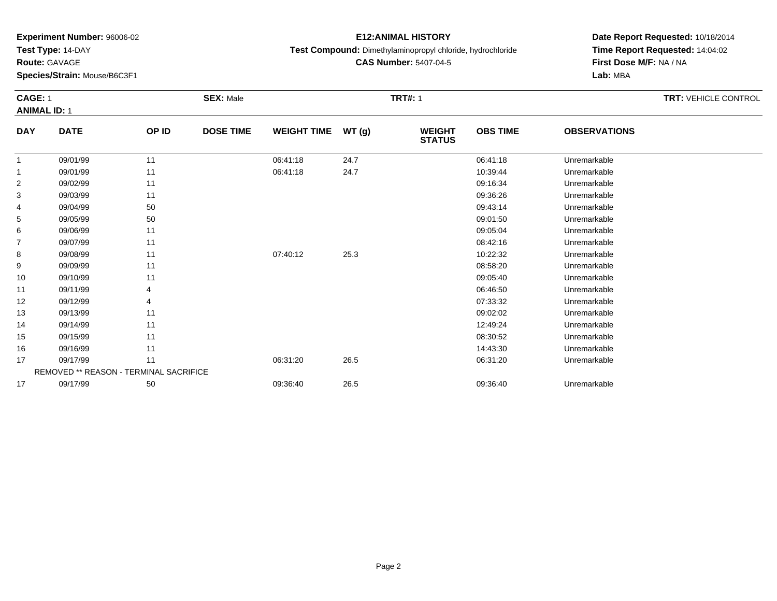**Test Type:** 14-DAY

**Route:** GAVAGE

14

15

16

17

17

**Species/Strain:** Mouse/B6C3F1

REMOVED \*\* REASON - TERMINAL SACRIFICE

#### **E12:ANIMAL HISTORY**

**Test Compound:** Dimethylaminopropyl chloride, hydrochloride

**CAS Number:** 5407-04-5

**Date Report Requested:** 10/18/2014**Time Report Requested:** 14:04:02**First Dose M/F:** NA / NA**Lab:** MBA

#### **CAGE:** 1 **SEX:** Male **TRT#:** <sup>1</sup> **TRT:** VEHICLE CONTROL **ANIMAL ID:** 1**DAY DATE OP ID DOSE TIME WEIGHT TIME WT (g) WEIGHT STATUSOBS TIME OBSERVATIONS** 11 09/01/99 11 1 06:41:18 24.7 06:41:18 06:41:18 06:41:18 11 09/01/99 11 1 06:41:18 24.7 10:39:44 Unremarkable 22 09:16:34 Unremarkable 11 2010 11 2010 12:00 12:00 12:00 13:00 14:00 15:00 16:34 Unremarkable 33 09:36:26 Unremarkable 11 2011 19:36:27 09:36:26 Unremarkable 4 09/04/99 <sup>50</sup> 09:43:14 Unremarkable 55 09:01:50 Unremarkable 50 50 09:01:50 09:01:50 Dhremarkable 6 09/06/99 <sup>11</sup> 09:05:04 Unremarkable 77 09/07/99 11 12 12:03 08:42:16 Unremarkable 88 09/08/99 11 1 07:40:12 25.3 10:22:32 Unremarkable 99 09/09/99 11 12 12 13 13 13 14 15 16 17 18 19 19 19 19 19 19 19 19 19 19 19 19 1 10 09/10/99 <sup>11</sup> 09:05:40 Unremarkable 111 09/11/99 4 9 06:46:50 Unremarkable 12 09/12/99 <sup>4</sup> 07:33:32 Unremarkable 1309/13/99 <sup>11</sup> 09:02:02 Unremarkable

4 09/14/99 11 12:49:24 Unremarkable

09/15/99 <sup>11</sup> 08:30:52 Unremarkable

6 09/16/99 11 1

09/17/99 <sup>11</sup> 06:31:20 26.5 06:31:20 Unremarkable

7 09/17/99 50 50 09:36:40 26.5 09:36:40 09:36:40 Dhremarkable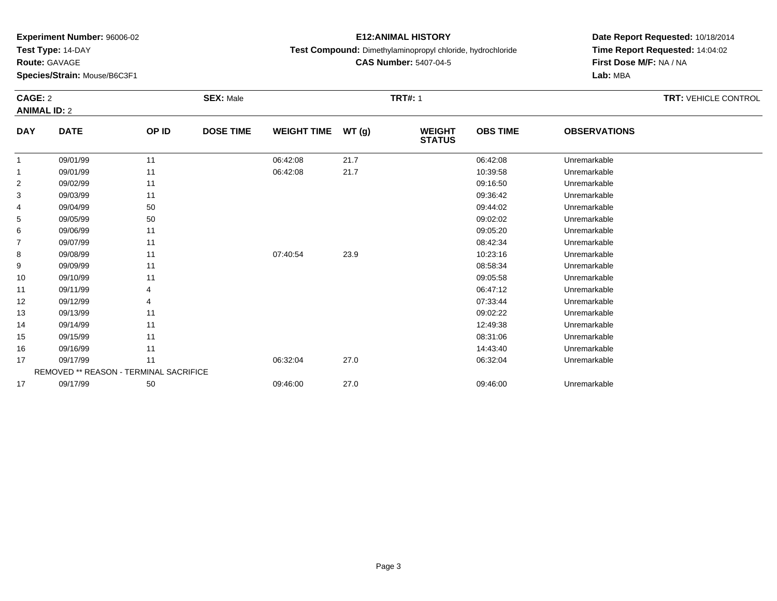**Test Type:** 14-DAY

**Route:** GAVAGE

16

17

17

**Species/Strain:** Mouse/B6C3F1

REMOVED \*\* REASON - TERMINAL SACRIFICE

### **E12:ANIMAL HISTORY**

**Test Compound:** Dimethylaminopropyl chloride, hydrochloride

**CAS Number:** 5407-04-5

**Date Report Requested:** 10/18/2014**Time Report Requested:** 14:04:02**First Dose M/F:** NA / NA**Lab:** MBA

#### **CAGE:** 2 **SEX:** Male **TRT#:** <sup>1</sup> **TRT:** VEHICLE CONTROL **ANIMAL ID:** 2**DAY DATE OP ID DOSE TIME WEIGHT TIME WT (g) WEIGHT STATUSOBS TIME OBSERVATIONS** 11 09/01/99 11 1 06:42:08 21.7 06:42:08 06:42:08 Unremarkable 11 09/01/99 11 1 06:42:08 21.7 10:39:58 Unremarkable 22 09:16:50 Unremarkable 11 2011 11 2012 12:00 09:16:50 Dhremarkable 11 09:16:50 Dhremarkable 33 09:36:42 Unremarkable 11 2010 11 2010 12:00 13:00 13:00 14:00 14:00 15:00 16:00 17:00 17:00 17:00 17:00 17:0 4 09/04/99 <sup>50</sup> 09:44:02 Unremarkable 55 09:02:02 Unremarkable 50 50 09:02:02 Unremarkable 5 09:02:02 Unremarkable 6 09/06/99 <sup>11</sup> 09:05:20 Unremarkable 77 09/07/99 11 12 12:34 Dhremarkable 88 09/08/99 11 1 07:40:54 23.9 10:23:16 Unremarkable 99 09/09/99 11 12 12 13 13 13 14 15 16 17 18 19 19 19 19 19 19 19 19 19 19 19 19 1 10 09/10/99 <sup>11</sup> 09:05:58 Unremarkable 11 09/11/99 <sup>4</sup> 06:47:12 Unremarkable 122 09/12/99 4 9 07:33:44 Unremarkable 13 09/13/99 <sup>11</sup> 09:02:22 Unremarkable 144 09/14/99 11 12:49:38 Unremarkable 1509/15/99 <sup>11</sup> 08:31:06 Unremarkable

6 09/16/99 11 1

09/17/99 <sup>11</sup> 06:32:04 27.0 06:32:04 Unremarkable

09/17/99 <sup>50</sup> 09:46:00 27.0 09:46:00 Unremarkable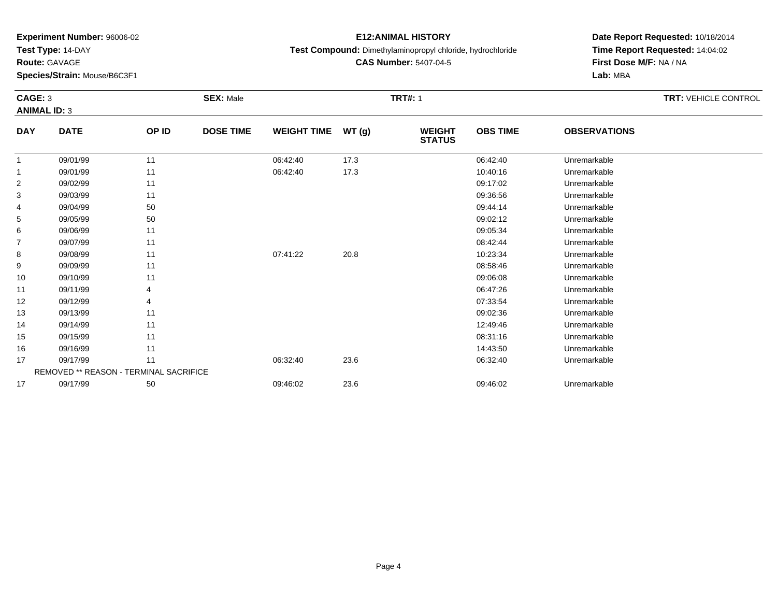**Test Type:** 14-DAY

**Route:** GAVAGE

17

17

**Species/Strain:** Mouse/B6C3F1

#### **E12:ANIMAL HISTORY**

**Test Compound:** Dimethylaminopropyl chloride, hydrochloride

**CAS Number:** 5407-04-5

**Date Report Requested:** 10/18/2014**Time Report Requested:** 14:04:02**First Dose M/F:** NA / NA**Lab:** MBA

#### **CAGE:** 3 **SEX:** Male **TRT#:** <sup>1</sup> **TRT:** VEHICLE CONTROL **ANIMAL ID:** 3**DAY DATE OP ID DOSE TIME WEIGHT TIME WT (g) WEIGHT STATUSOBS TIME OBSERVATIONS** 11 09/01/99 11 1 06:42:40 17.3 06:42:40 06:42:40 Unremarkable 11 09/01/99 11 1 06:42:40 17.3 10:40:16 10:40:16 Unremarkable 22 09:17:02 09/02/99 11 1 33 09:36:56 Unremarkable 11 2011 19:00 09:36:56 Unremarkable Unremarkable Decision of the Unremarkable Decision o 4 09/04/99 <sup>50</sup> 09:44:14 Unremarkable 55 09:02:12 Unremarkable 50 50 09:02:12 Unremarkable 5 09:02:12 Unremarkable 6 09/06/99 <sup>11</sup> 09:05:34 Unremarkable 77 09/07/99 11 12 12 12 13 13 14 15 16 17 18 19 19 19 19 19 19 19 19 19 19 19 19 1 88 09/08/99 11 1 07:41:22 20.8 10:23:34 Unremarkable 99 09/09/99 11 12 12 13 13 13 14 15 16 17 18 19 19 19 19 19 19 19 19 19 19 19 19 1 10 09/10/99 <sup>11</sup> 09:06:08 Unremarkable 11 09/11/99 <sup>4</sup> 06:47:26 Unremarkable 122 09/12/99 4 9 07:33:54 Unremarkable 13 09/13/99 <sup>11</sup> 09:02:36 Unremarkable 144 09/14/99 11 1 12:49:46 Unremarkable 15 09/15/99 <sup>11</sup> 08:31:16 Unremarkable 166 09/16/99 11 1

09/17/99 <sup>11</sup> 06:32:40 23.6 06:32:40 Unremarkable

09/17/99 <sup>50</sup> 09:46:02 23.6 09:46:02 Unremarkable

REMOVED \*\* REASON - TERMINAL SACRIFICE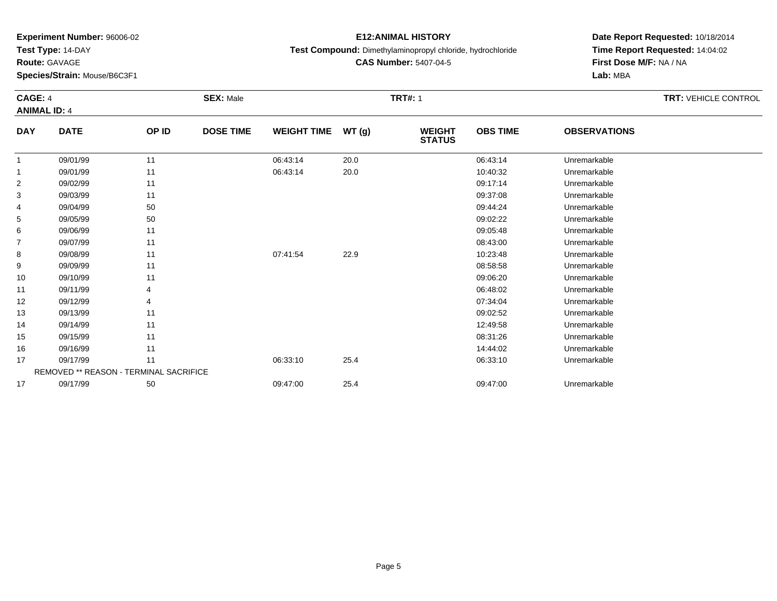**Test Type:** 14-DAY

**Route:** GAVAGE

17

**Species/Strain:** Mouse/B6C3F1

REMOVED \*\* REASON - TERMINAL SACRIFICE

### **E12:ANIMAL HISTORY**

**Test Compound:** Dimethylaminopropyl chloride, hydrochloride

**CAS Number:** 5407-04-5

**Date Report Requested:** 10/18/2014**Time Report Requested:** 14:04:02**First Dose M/F:** NA / NA**Lab:** MBA

#### **CAGE:** 4 **SEX:** Male **TRT#:** <sup>1</sup> **TRT:** VEHICLE CONTROL **ANIMAL ID:** 4**DAY DATE OP ID DOSE TIME WEIGHT TIME WT (g) WEIGHT STATUSOBS TIME OBSERVATIONS** 11 09/01/99 11 1 06:43:14 20.0 06:43:14 06:43:14 Dhremarkable 11 09/01/99 11 1 06:43:14 20.0 10:40:32 Unremarkable 22 09:17:14 Unremarkable 11 09:17:14 Unremarkable 33 09:37:08 Unremarkable 11 2010 11 2010 12:08 09:37:08 Unremarkable 4 09/04/99 <sup>50</sup> 09:44:24 Unremarkable 55 09:02:22 Unremarkable 50 50 09:02:22 Unremarkable 5 09:02:22 Unremarkable 6 09/06/99 <sup>11</sup> 09:05:48 Unremarkable 77 09/07/99 11 12 12 12 13:00 08:43:00 Unremarkable 88 09/08/99 11 1 07:41:54 22.9 10:23:48 Unremarkable 99 09/09/99 11 12 12 13 13 13 14 15 16 17 18 19 19 19 19 19 19 19 19 19 19 19 19 1 10 09/10/99 <sup>11</sup> 09:06:20 Unremarkable 11 09/11/99 <sup>4</sup> 06:48:02 Unremarkable 12 09/12/99 <sup>4</sup> 07:34:04 Unremarkable 13 09/13/99 <sup>11</sup> 09:02:52 Unremarkable 144 09/14/99 11 12:49:58 Unremarkable 15 09/15/99 <sup>11</sup> 08:31:26 Unremarkable 166 09/16/99 11 1 1709/17/99 <sup>11</sup> 06:33:10 25.4 06:33:10 Unremarkable

09/17/99 <sup>50</sup> 09:47:00 25.4 09:47:00 Unremarkable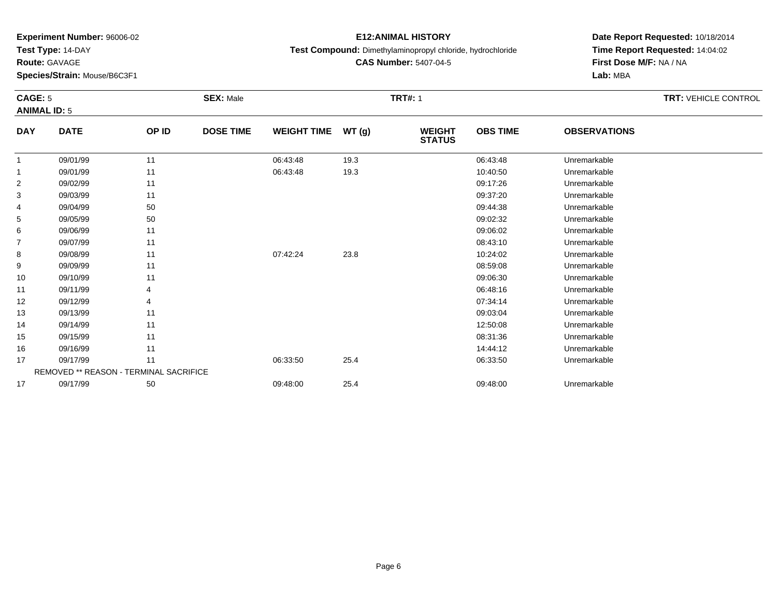**Test Type:** 14-DAY

**Route:** GAVAGE

17

**Species/Strain:** Mouse/B6C3F1

#### **E12:ANIMAL HISTORY**

**Test Compound:** Dimethylaminopropyl chloride, hydrochloride

**CAS Number:** 5407-04-5

**Date Report Requested:** 10/18/2014**Time Report Requested:** 14:04:02**First Dose M/F:** NA / NA**Lab:** MBA

#### **CAGE:** 5 **SEX:** Male **TRT#:** <sup>1</sup> **TRT:** VEHICLE CONTROL **ANIMAL ID:** 5**DAY DATE OP ID DOSE TIME WEIGHT TIME WT (g) WEIGHT STATUSOBS TIME OBSERVATIONS** 11 09/01/99 11 1 06:43:48 19.3 06:43:48 06:43:48 Unremarkable 11 09/01/99 11 1 06:43:48 19.3 10:40:50 10:40:50 Unremarkable 22 09:17:26 Unremarkable 11 2010 11 2010 12:38 09:17:26 Unremarkable 33 09:37:20 Unremarkable 11 1990 11 1990 12:30 09:37:20 Unremarkable Unremarkable 4 09/04/99 <sup>50</sup> 09:44:38 Unremarkable 55 09:02:32 Unremarkable 50 50 09:02:32 Unremarkable 5 09:02:32 Unremarkable 66 09:06:02 Unremarkable 11 09:06:02 Unremarkable 77 09/07/99 11 12 12 13:3:10 09/07/99 11 12 13:3:10 08:43:10 Dhremarkable 88 09/08/99 11 1 07:42:24 23.8 10:24:02 10:24:02 Unremarkable 99 09/09/99 11 12 12 13 13 13 14 15 16 17 18 19 19 19 19 19 19 19 19 19 19 19 19 1 10 09/10/99 <sup>11</sup> 09:06:30 Unremarkable 111 09/11/99 4 4 5 06:48:16 Unremarkable 12 09/12/99 <sup>4</sup> 07:34:14 Unremarkable 13 09/13/99 <sup>11</sup> 09:03:04 Unremarkable 14 09/14/99 <sup>11</sup> 12:50:08 Unremarkable 15 09/15/99 <sup>11</sup> 08:31:36 Unremarkable 166 09/16/99 11 12 11 12 12 12 13 14:44:12 Unremarkable 17 09/17/99 <sup>11</sup> 06:33:50 25.4 06:33:50 Unremarkable REMOVED \*\* REASON - TERMINAL SACRIFICE

09/17/99 <sup>50</sup> 09:48:00 25.4 09:48:00 Unremarkable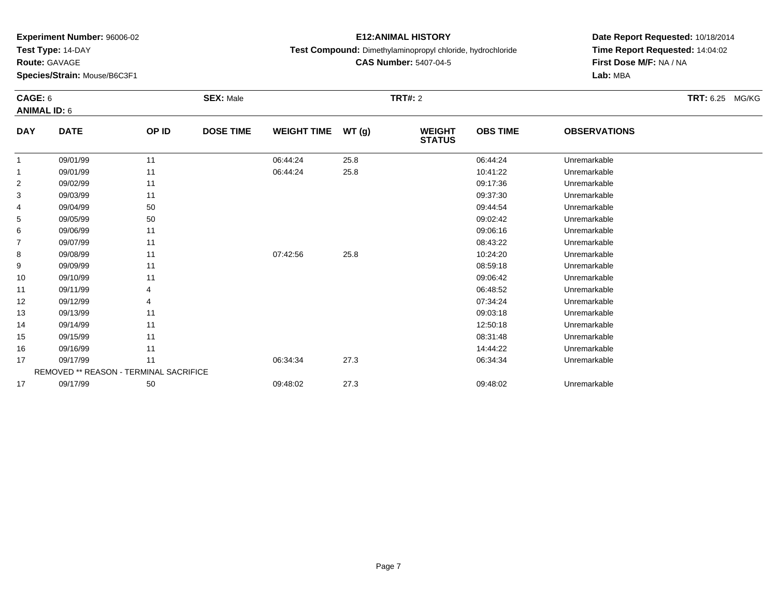**Test Type:** 14-DAY

**Route:** GAVAGE

17

17

**Species/Strain:** Mouse/B6C3F1

REMOVED \*\* REASON - TERMINAL SACRIFICE

### **E12:ANIMAL HISTORY**

**Test Compound:** Dimethylaminopropyl chloride, hydrochloride

**Date Report Requested:** 10/18/2014**Time Report Requested:** 14:04:02**First Dose M/F:** NA / NA**Lab:** MBA

#### **CAGE:** 6 **SEX:** Male **TRT#:** <sup>2</sup> **TRT:** 6.25 MG/KG**ANIMAL ID:** 6**DAY DATE OP ID DOSE TIME WEIGHT TIME WT (g) WEIGHT STATUSOBS TIME OBSERVATIONS** 11 09/01/99 11 1 06:44:24 25.8 06:44:24 06:44:24 Unremarkable 1 09/01/99 <sup>11</sup> 06:44:24 25.8 10:41:22 Unremarkable 22 09:17:36 Unremarkable 11 2011 11 2012 12:39 09:17:36 Unremarkable 33 09:37:30 Unremarkable 11 2010 11 2010 12:00 12:00 13:00 09:37:30 Unremarkable 4 09/04/99 <sup>50</sup> 09:44:54 Unremarkable 55 09:02:42 Unremarkable 50 50 09:02:42 Unremarkable 5 09:02:42 Unremarkable 6 09/06/99 <sup>11</sup> 09:06:16 Unremarkable 77 09/07/99 11 12 12 12 13:22 Dhremarkable 88 09/08/99 11 1 07:42:56 25.8 10:24:20 10:24:20 Unremarkable 9 09/09/99 <sup>11</sup> 08:59:18 Unremarkable 10 09/10/99 <sup>11</sup> 09:06:42 Unremarkable 111 09/11/99 4 9 06:48:52 Unremarkable 12 09/12/99 <sup>4</sup> 07:34:24 Unremarkable 13 09/13/99 <sup>11</sup> 09:03:18 Unremarkable 14 09/14/99 <sup>11</sup> 12:50:18 Unremarkable 15 09/15/99 <sup>11</sup> 08:31:48 Unremarkable 16

6 09/16/99 11 12 19 19 19:00 12:00 14:44:22 Unremarkable

09/17/99 <sup>11</sup> 06:34:34 27.3 06:34:34 Unremarkable

09/17/99 <sup>50</sup> 09:48:02 27.3 09:48:02 Unremarkable

**CAS Number:** 5407-04-5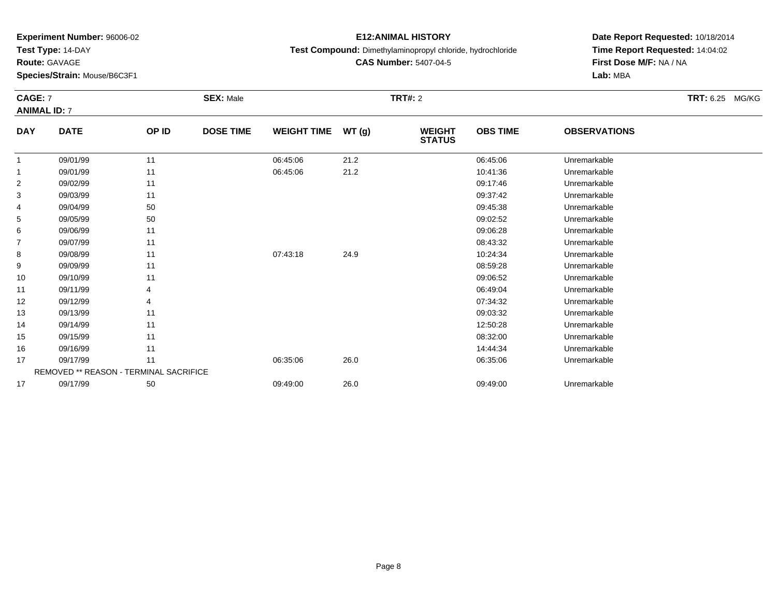**Test Type:** 14-DAY

**Route:** GAVAGE

15

16

17

17

**Species/Strain:** Mouse/B6C3F1

REMOVED \*\* REASON - TERMINAL SACRIFICE

#### **E12:ANIMAL HISTORY**

**Test Compound:** Dimethylaminopropyl chloride, hydrochloride

**CAS Number:** 5407-04-5

# **Date Report Requested:** 10/18/2014**Time Report Requested:** 14:04:02**First Dose M/F:** NA / NA**Lab:** MBA

#### **CAGE:** 7 **SEX:** Male **TRT#:** <sup>2</sup> **TRT:** 6.25 MG/KG**ANIMAL ID:** 7**DAY DATE OP ID DOSE TIME WEIGHT TIME WT (g) WEIGHT STATUSOBS TIME OBSERVATIONS** 11 09/01/99 11 1 06:45:06 21.2 06:45:06 06:45:06 Dhremarkable 11 09/01/99 11 1 06:45:06 21.2 10:41:36 Unremarkable 22 09:17:46 Unremarkable 11 2010 11 2010 12:30 12:46 09:17:46 Unremarkable 33 09:37:42 Unremarkable 11 11 11 12 13 13 14 15 16 17 18 19 19:37:42 Unremarkable 4 09/04/99 <sup>50</sup> 09:45:38 Unremarkable 55 09:02:52 Unremarkable 50 50 09:02:52 Unremarkable 5 09:02:52 Unremarkable 6 09/06/99 <sup>11</sup> 09:06:28 Unremarkable 77 09/07/99 11 12 12 13:32 Unremarkable 88 09/08/99 11 1 07:43:18 24.9 10:24:34 Unremarkable 99 09/09/99 11 12 12 13 13 13 14 15 16 17 18 19 19 19 19 19 19 19 19 19 19 19 19 1 10 09/10/99 <sup>11</sup> 09:06:52 Unremarkable 111 09/11/99 4 9 06:49:04 Unremarkable 12 09/12/99 <sup>4</sup> 07:34:32 Unremarkable 13 09/13/99 <sup>11</sup> 09:03:32 Unremarkable 14

09/14/99 <sup>11</sup> 12:50:28 Unremarkable

09/15/99 <sup>11</sup> 08:32:00 Unremarkable

6 09/16/99 11 12 19 19 19:00 12:00 14:44:34 Unremarkable

09/17/99 <sup>11</sup> 06:35:06 26.0 06:35:06 Unremarkable

09/17/99 <sup>50</sup> 09:49:00 26.0 09:49:00 Unremarkable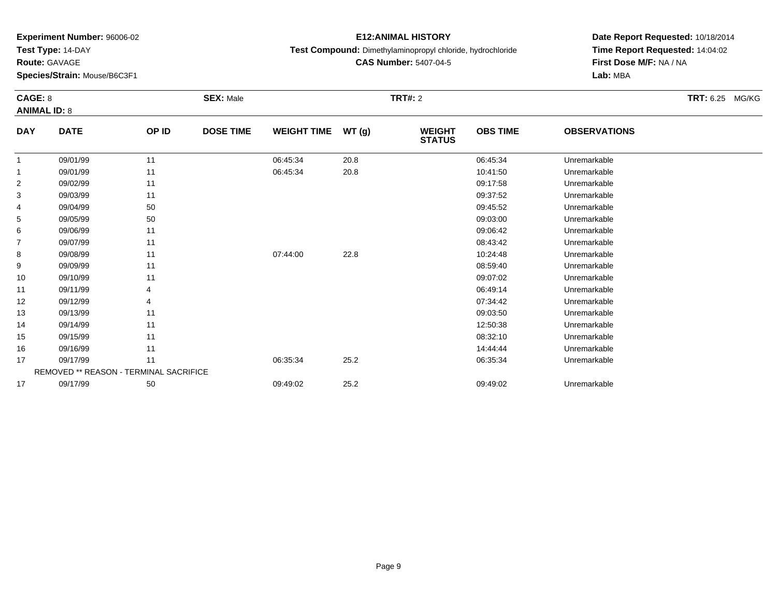**Test Type:** 14-DAY

**Route:** GAVAGE

**Species/Strain:** Mouse/B6C3F1

#### **E12:ANIMAL HISTORY**

**Test Compound:** Dimethylaminopropyl chloride, hydrochloride

**CAS Number:** 5407-04-5

|                | CAGE: 8<br><b>ANIMAL ID: 8</b>         |       | <b>SEX: Male</b> |                    |       | <b>TRT#: 2</b>                 | TRT: 6.25 MG/KG |                     |  |
|----------------|----------------------------------------|-------|------------------|--------------------|-------|--------------------------------|-----------------|---------------------|--|
| <b>DAY</b>     | <b>DATE</b>                            | OP ID | <b>DOSE TIME</b> | <b>WEIGHT TIME</b> | WT(g) | <b>WEIGHT</b><br><b>STATUS</b> | <b>OBS TIME</b> | <b>OBSERVATIONS</b> |  |
| $\mathbf{1}$   | 09/01/99                               | 11    |                  | 06:45:34           | 20.8  |                                | 06:45:34        | Unremarkable        |  |
| -1             | 09/01/99                               | 11    |                  | 06:45:34           | 20.8  |                                | 10:41:50        | Unremarkable        |  |
| $\overline{c}$ | 09/02/99                               | 11    |                  |                    |       |                                | 09:17:58        | Unremarkable        |  |
| 3              | 09/03/99                               | 11    |                  |                    |       |                                | 09:37:52        | Unremarkable        |  |
| 4              | 09/04/99                               | 50    |                  |                    |       |                                | 09:45:52        | Unremarkable        |  |
| 5              | 09/05/99                               | 50    |                  |                    |       |                                | 09:03:00        | Unremarkable        |  |
| 6              | 09/06/99                               | 11    |                  |                    |       |                                | 09:06:42        | Unremarkable        |  |
| 7              | 09/07/99                               | 11    |                  |                    |       |                                | 08:43:42        | Unremarkable        |  |
| 8              | 09/08/99                               | 11    |                  | 07:44:00           | 22.8  |                                | 10:24:48        | Unremarkable        |  |
| 9              | 09/09/99                               | 11    |                  |                    |       |                                | 08:59:40        | Unremarkable        |  |
| 10             | 09/10/99                               | 11    |                  |                    |       |                                | 09:07:02        | Unremarkable        |  |
| 11             | 09/11/99                               |       |                  |                    |       |                                | 06:49:14        | Unremarkable        |  |
| 12             | 09/12/99                               |       |                  |                    |       |                                | 07:34:42        | Unremarkable        |  |
| 13             | 09/13/99                               | 11    |                  |                    |       |                                | 09:03:50        | Unremarkable        |  |
| 14             | 09/14/99                               | 11    |                  |                    |       |                                | 12:50:38        | Unremarkable        |  |
| 15             | 09/15/99                               | 11    |                  |                    |       |                                | 08:32:10        | Unremarkable        |  |
| 16             | 09/16/99                               | 11    |                  |                    |       |                                | 14:44:44        | Unremarkable        |  |
| 17             | 09/17/99                               | 11    |                  | 06:35:34           | 25.2  |                                | 06:35:34        | Unremarkable        |  |
|                | REMOVED ** REASON - TERMINAL SACRIFICE |       |                  |                    |       |                                |                 |                     |  |
| 17             | 09/17/99                               | 50    |                  | 09:49:02           | 25.2  |                                | 09:49:02        | Unremarkable        |  |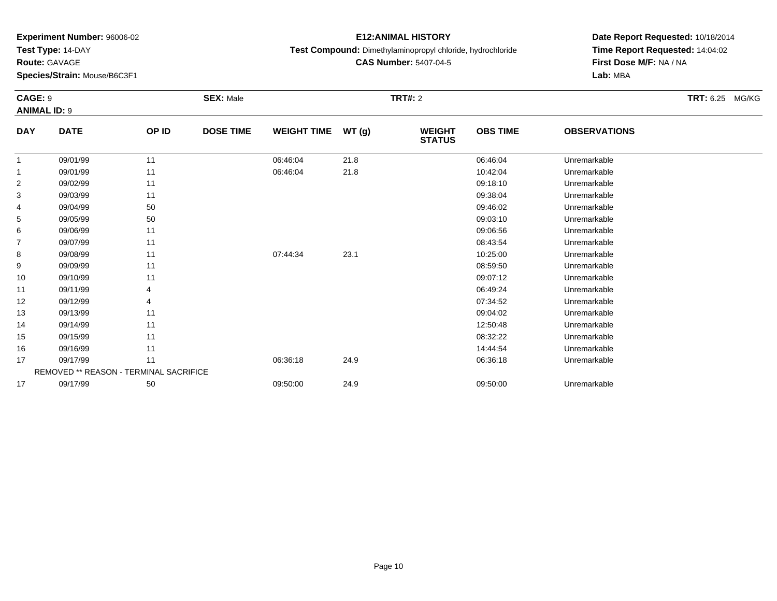**Test Type:** 14-DAY

**Route:** GAVAGE

**Species/Strain:** Mouse/B6C3F1

# **E12:ANIMAL HISTORY**

**Test Compound:** Dimethylaminopropyl chloride, hydrochloride

**CAS Number:** 5407-04-5

| <b>CAGE: 9</b> | <b>ANIMAL ID: 9</b>                    |       | <b>SEX: Male</b> |                    |        | <b>TRT#: 2</b>                 |                 |                     | <b>TRT: 6.25</b><br>MG/KG |
|----------------|----------------------------------------|-------|------------------|--------------------|--------|--------------------------------|-----------------|---------------------|---------------------------|
| <b>DAY</b>     | <b>DATE</b>                            | OP ID | <b>DOSE TIME</b> | <b>WEIGHT TIME</b> | WT (g) | <b>WEIGHT</b><br><b>STATUS</b> | <b>OBS TIME</b> | <b>OBSERVATIONS</b> |                           |
| $\mathbf{1}$   | 09/01/99                               | 11    |                  | 06:46:04           | 21.8   |                                | 06:46:04        | Unremarkable        |                           |
| 1              | 09/01/99                               | 11    |                  | 06:46:04           | 21.8   |                                | 10:42:04        | Unremarkable        |                           |
| 2              | 09/02/99                               | 11    |                  |                    |        |                                | 09:18:10        | Unremarkable        |                           |
| 3              | 09/03/99                               | 11    |                  |                    |        |                                | 09:38:04        | Unremarkable        |                           |
| 4              | 09/04/99                               | 50    |                  |                    |        |                                | 09:46:02        | Unremarkable        |                           |
| 5              | 09/05/99                               | 50    |                  |                    |        |                                | 09:03:10        | Unremarkable        |                           |
| 6              | 09/06/99                               | 11    |                  |                    |        |                                | 09:06:56        | Unremarkable        |                           |
| 7              | 09/07/99                               | 11    |                  |                    |        |                                | 08:43:54        | Unremarkable        |                           |
| 8              | 09/08/99                               | 11    |                  | 07:44:34           | 23.1   |                                | 10:25:00        | Unremarkable        |                           |
| 9              | 09/09/99                               | 11    |                  |                    |        |                                | 08:59:50        | Unremarkable        |                           |
| 10             | 09/10/99                               | 11    |                  |                    |        |                                | 09:07:12        | Unremarkable        |                           |
| 11             | 09/11/99                               |       |                  |                    |        |                                | 06:49:24        | Unremarkable        |                           |
| 12             | 09/12/99                               | 4     |                  |                    |        |                                | 07:34:52        | Unremarkable        |                           |
| 13             | 09/13/99                               | 11    |                  |                    |        |                                | 09:04:02        | Unremarkable        |                           |
| 14             | 09/14/99                               | 11    |                  |                    |        |                                | 12:50:48        | Unremarkable        |                           |
| 15             | 09/15/99                               | 11    |                  |                    |        |                                | 08:32:22        | Unremarkable        |                           |
| 16             | 09/16/99                               | 11    |                  |                    |        |                                | 14:44:54        | Unremarkable        |                           |
| 17             | 09/17/99                               | 11    |                  | 06:36:18           | 24.9   |                                | 06:36:18        | Unremarkable        |                           |
|                | REMOVED ** REASON - TERMINAL SACRIFICE |       |                  |                    |        |                                |                 |                     |                           |
| 17             | 09/17/99                               | 50    |                  | 09:50:00           | 24.9   |                                | 09:50:00        | Unremarkable        |                           |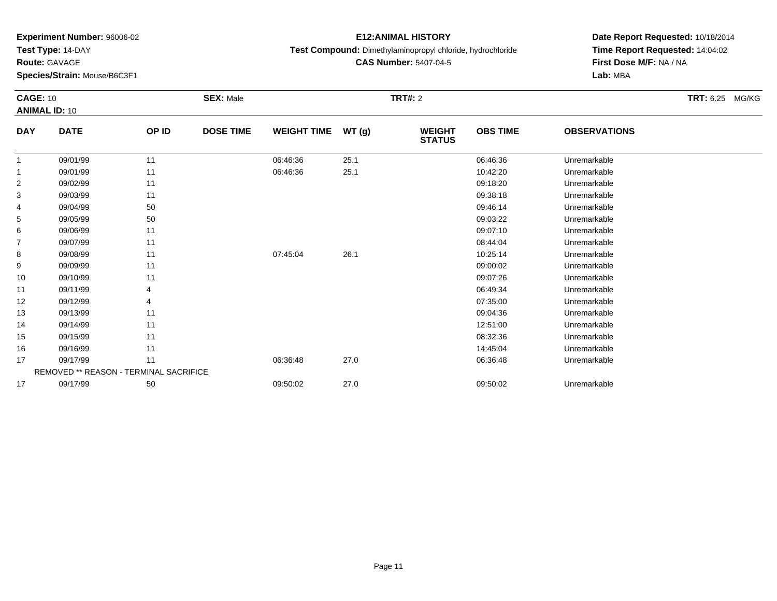**Test Type:** 14-DAY

**Route:** GAVAGE

**Species/Strain:** Mouse/B6C3F1

### **E12:ANIMAL HISTORY**

**Test Compound:** Dimethylaminopropyl chloride, hydrochloride

**CAS Number:** 5407-04-5

|                | <b>CAGE: 10</b><br><b>ANIMAL ID: 10</b> |       | <b>SEX: Male</b> |                    |       | <b>TRT#: 2</b>                 |                 | TRT: 6.25 MG/KG     |  |
|----------------|-----------------------------------------|-------|------------------|--------------------|-------|--------------------------------|-----------------|---------------------|--|
| <b>DAY</b>     | <b>DATE</b>                             | OP ID | <b>DOSE TIME</b> | <b>WEIGHT TIME</b> | WT(g) | <b>WEIGHT</b><br><b>STATUS</b> | <b>OBS TIME</b> | <b>OBSERVATIONS</b> |  |
| 1              | 09/01/99                                | 11    |                  | 06:46:36           | 25.1  |                                | 06:46:36        | Unremarkable        |  |
| 1              | 09/01/99                                | 11    |                  | 06:46:36           | 25.1  |                                | 10:42:20        | Unremarkable        |  |
| $\overline{c}$ | 09/02/99                                | 11    |                  |                    |       |                                | 09:18:20        | Unremarkable        |  |
| 3              | 09/03/99                                | 11    |                  |                    |       |                                | 09:38:18        | Unremarkable        |  |
| 4              | 09/04/99                                | 50    |                  |                    |       |                                | 09:46:14        | Unremarkable        |  |
| 5              | 09/05/99                                | 50    |                  |                    |       |                                | 09:03:22        | Unremarkable        |  |
| 6              | 09/06/99                                | 11    |                  |                    |       |                                | 09:07:10        | Unremarkable        |  |
| 7              | 09/07/99                                | 11    |                  |                    |       |                                | 08:44:04        | Unremarkable        |  |
| 8              | 09/08/99                                | 11    |                  | 07:45:04           | 26.1  |                                | 10:25:14        | Unremarkable        |  |
| 9              | 09/09/99                                | 11    |                  |                    |       |                                | 09:00:02        | Unremarkable        |  |
| 10             | 09/10/99                                | 11    |                  |                    |       |                                | 09:07:26        | Unremarkable        |  |
| 11             | 09/11/99                                | 4     |                  |                    |       |                                | 06:49:34        | Unremarkable        |  |
| 12             | 09/12/99                                | 4     |                  |                    |       |                                | 07:35:00        | Unremarkable        |  |
| 13             | 09/13/99                                | 11    |                  |                    |       |                                | 09:04:36        | Unremarkable        |  |
| 14             | 09/14/99                                | 11    |                  |                    |       |                                | 12:51:00        | Unremarkable        |  |
| 15             | 09/15/99                                | 11    |                  |                    |       |                                | 08:32:36        | Unremarkable        |  |
| 16             | 09/16/99                                | 11    |                  |                    |       |                                | 14:45:04        | Unremarkable        |  |
| 17             | 09/17/99                                | 11    |                  | 06:36:48           | 27.0  |                                | 06:36:48        | Unremarkable        |  |
|                | REMOVED ** REASON - TERMINAL SACRIFICE  |       |                  |                    |       |                                |                 |                     |  |
| 17             | 09/17/99                                | 50    |                  | 09:50:02           | 27.0  |                                | 09:50:02        | Unremarkable        |  |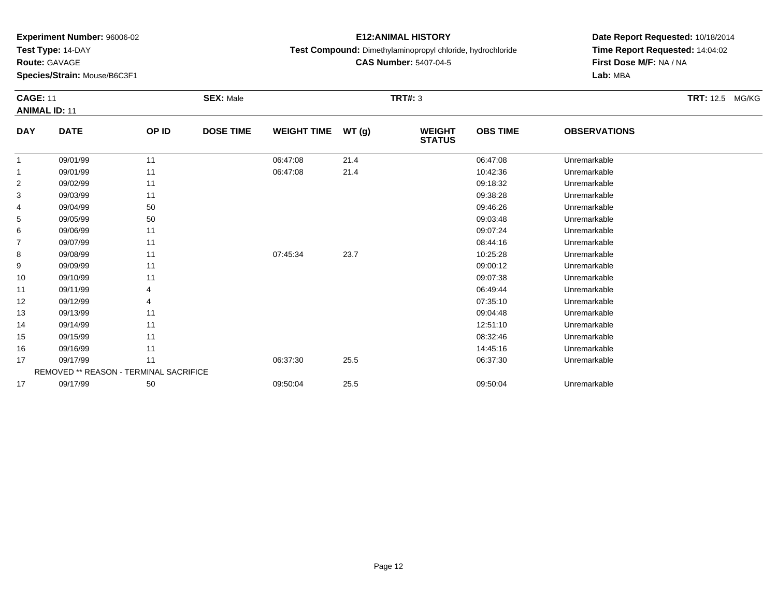**Test Type:** 14-DAY

**Route:** GAVAGE

**Species/Strain:** Mouse/B6C3F1

### **E12:ANIMAL HISTORY**

**Test Compound:** Dimethylaminopropyl chloride, hydrochloride

**CAS Number:** 5407-04-5

**Date Report Requested:** 10/18/2014**Time Report Requested:** 14:04:02**First Dose M/F:** NA / NA**Lab:** MBA

#### **CAGE:** 11 **SEX:** Male **TRT#:** <sup>3</sup> **TRT:** 12.5 MG/KG**ANIMAL ID:** 11**DAY DATE OP IDDOSE TIME WEIGHT TIME WT** (g) **STATUSOBS TIME OBSERVATIONS** 11 09/01/99 11 1 06:47:08 21.4 06:47:08 06:47:08 Dhremarkable 11 09/01/99 11 1 06:47:08 21.4 10:42:36 Unremarkable 22 09:18:32 Unremarkable 11 09:18:32 Unremarkable 33 09:38:28 Unremarkable 11 2011 19:39 12:38:28 Unremarkable Unremarkable Unremarkable 4 09/04/99 <sup>50</sup> 09:46:26 Unremarkable 55 09:03:48 Unremarkable 50 50 09:03:48 Unremarkable 5 09:03:48 Unremarkable 66 09:07:24 Unremarkable 11 09:07:24 Unremarkable

| $\overline{4}$ | 09/04/99 | 50                                            |          |      | 09:46:26 | Unremarkable |  |
|----------------|----------|-----------------------------------------------|----------|------|----------|--------------|--|
| 5              | 09/05/99 | 50                                            |          |      | 09:03:48 | Unremarkable |  |
| 6              | 09/06/99 | 11                                            |          |      | 09:07:24 | Unremarkable |  |
|                | 09/07/99 | 11                                            |          |      | 08:44:16 | Unremarkable |  |
| 8              | 09/08/99 | 11                                            | 07:45:34 | 23.7 | 10:25:28 | Unremarkable |  |
| 9              | 09/09/99 | 11                                            |          |      | 09:00:12 | Unremarkable |  |
| 10             | 09/10/99 | 11                                            |          |      | 09:07:38 | Unremarkable |  |
| 11             | 09/11/99 | 4                                             |          |      | 06:49:44 | Unremarkable |  |
| 12             | 09/12/99 | 4                                             |          |      | 07:35:10 | Unremarkable |  |
| 13             | 09/13/99 | 11                                            |          |      | 09:04:48 | Unremarkable |  |
| 14             | 09/14/99 | 11                                            |          |      | 12:51:10 | Unremarkable |  |
| 15             | 09/15/99 | 11                                            |          |      | 08:32:46 | Unremarkable |  |
| 16             | 09/16/99 | 11                                            |          |      | 14:45:16 | Unremarkable |  |
| 17             | 09/17/99 | 11                                            | 06:37:30 | 25.5 | 06:37:30 | Unremarkable |  |
|                |          | <b>REMOVED ** REASON - TERMINAL SACRIFICE</b> |          |      |          |              |  |
| 17             | 09/17/99 | 50                                            | 09:50:04 | 25.5 | 09:50:04 | Unremarkable |  |
|                |          |                                               |          |      |          |              |  |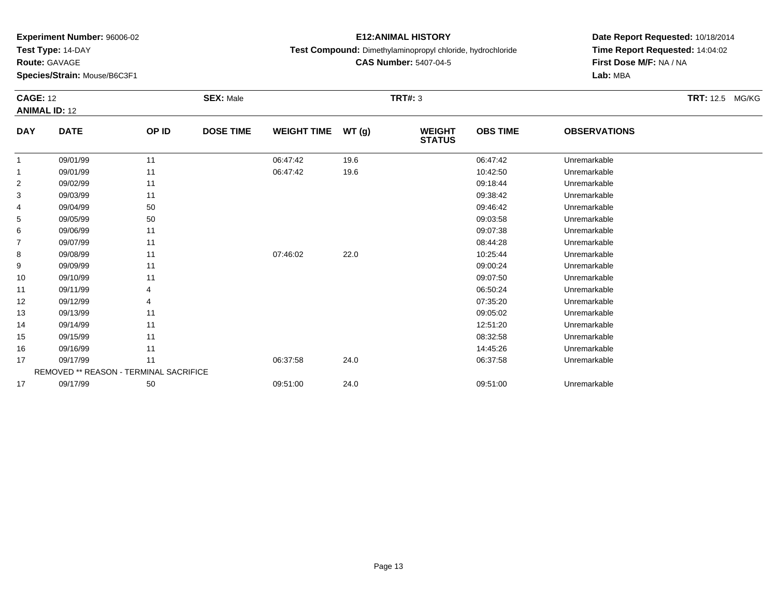**Test Type:** 14-DAY

**Route:** GAVAGE

12

13

14

15

16

17

17

**Species/Strain:** Mouse/B6C3F1

REMOVED \*\* REASON - TERMINAL SACRIFICE

### **E12:ANIMAL HISTORY**

**Test Compound:** Dimethylaminopropyl chloride, hydrochloride

**CAS Number:** 5407-04-5

**Date Report Requested:** 10/18/2014**Time Report Requested:** 14:04:02**First Dose M/F:** NA / NA**Lab:** MBA

#### **CAGE:** 12 **SEX:** Male **TRT#:** <sup>3</sup> **TRT:** 12.5 MG/KG**ANIMAL ID:** 12**DAY DATE OP ID DOSE TIME WEIGHT TIME WT (g) WEIGHT STATUSOBS TIME OBSERVATIONS** 11 09/01/99 11 1 06:47:42 19.6 19.6 06:47:42 06:47:42 Unremarkable 11 09/01/99 11 1 06:47:42 19.6 10.10 10:42:50 Unremarkable 22 09:18:44 Unremarkable 11 11 11 12 12 13:44 09:18:44 Unremarkable 33 09:38:42 Unremarkable 11 1990 11 1990 12:38:42 Decree 11 1990 12:38:42 Unremarkable 4 09/04/99 <sup>50</sup> 09:46:42 Unremarkable 55 09:03:58 Unremarkable 50 09:03:58 Unremarkable 6 09/06/99 <sup>11</sup> 09:07:38 Unremarkable 77 09/07/99 11 12 12 12 13 13 14:28 Unremarkable 88 09/08/99 11 1 07:46:02 22.0 10:25:44 Unremarkable 99 09:00:24 Unremarkable 11 19 10 11 19 10 12:00 12:00 12:00 12:00 12:00 12:00 12:00 12:00 12:00 12:00 12:00 12 10 09/10/99 <sup>11</sup> 09:07:50 Unremarkable 1109/11/99 <sup>4</sup> 06:50:24 Unremarkable

09/12/99 <sup>4</sup> 07:35:20 Unremarkable

09/13/99 <sup>11</sup> 09:05:02 Unremarkable

09/14/99 <sup>11</sup> 12:51:20 Unremarkable

09/15/99 <sup>11</sup> 08:32:58 Unremarkable

6 09/16/99 11 1

09/17/99 <sup>11</sup> 06:37:58 24.0 06:37:58 Unremarkable

09/17/99 <sup>50</sup> 09:51:00 24.0 09:51:00 Unremarkable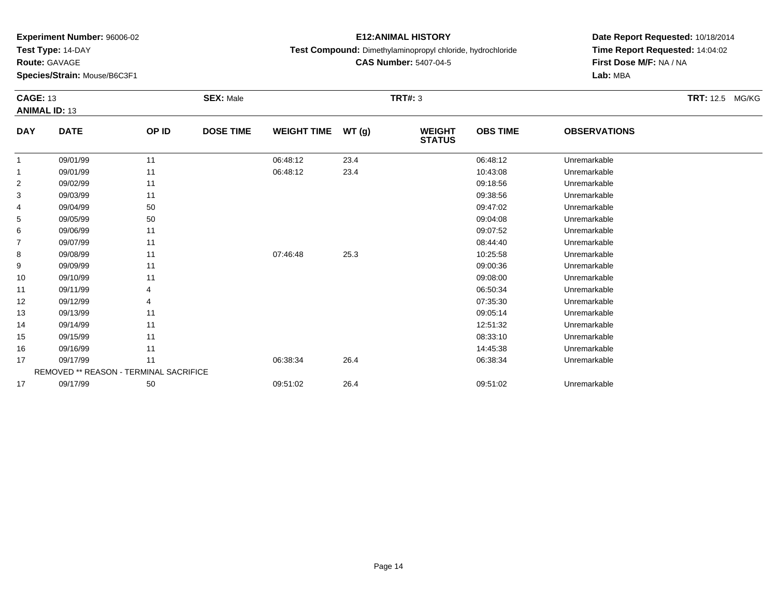**Test Type:** 14-DAY

**Route:** GAVAGE

16

17

17

**Species/Strain:** Mouse/B6C3F1

REMOVED \*\* REASON - TERMINAL SACRIFICE

#### **E12:ANIMAL HISTORY**

**Test Compound:** Dimethylaminopropyl chloride, hydrochloride

**CAS Number:** 5407-04-5

**Date Report Requested:** 10/18/2014 **Time Report Requested:** 14:04:02**First Dose M/F:** NA / NA**Lab:** MBA

| <b>CAGE: 13</b><br><b>ANIMAL ID: 13</b> |             |       | <b>SEX: Male</b> |                    |       | <b>TRT#: 3</b>                 |                 |                     | <b>TRT:</b> 12.5 MG/KG |
|-----------------------------------------|-------------|-------|------------------|--------------------|-------|--------------------------------|-----------------|---------------------|------------------------|
| <b>DAY</b>                              | <b>DATE</b> | OP ID | <b>DOSE TIME</b> | <b>WEIGHT TIME</b> | WT(g) | <b>WEIGHT</b><br><b>STATUS</b> | <b>OBS TIME</b> | <b>OBSERVATIONS</b> |                        |
| 1                                       | 09/01/99    | 11    |                  | 06:48:12           | 23.4  |                                | 06:48:12        | Unremarkable        |                        |
| 1                                       | 09/01/99    | 11    |                  | 06:48:12           | 23.4  |                                | 10:43:08        | Unremarkable        |                        |
| 2                                       | 09/02/99    | 11    |                  |                    |       |                                | 09:18:56        | Unremarkable        |                        |
| 3                                       | 09/03/99    | 11    |                  |                    |       |                                | 09:38:56        | Unremarkable        |                        |
| 4                                       | 09/04/99    | 50    |                  |                    |       |                                | 09:47:02        | Unremarkable        |                        |
| 5                                       | 09/05/99    | 50    |                  |                    |       |                                | 09:04:08        | Unremarkable        |                        |
| 6                                       | 09/06/99    | 11    |                  |                    |       |                                | 09:07:52        | Unremarkable        |                        |
| 7                                       | 09/07/99    | 11    |                  |                    |       |                                | 08:44:40        | Unremarkable        |                        |
| 8                                       | 09/08/99    | 11    |                  | 07:46:48           | 25.3  |                                | 10:25:58        | Unremarkable        |                        |
| 9                                       | 09/09/99    | 11    |                  |                    |       |                                | 09:00:36        | Unremarkable        |                        |
| 10                                      | 09/10/99    | 11    |                  |                    |       |                                | 09:08:00        | Unremarkable        |                        |
| 11                                      | 09/11/99    |       |                  |                    |       |                                | 06:50:34        | Unremarkable        |                        |
| 12                                      | 09/12/99    | 4     |                  |                    |       |                                | 07:35:30        | Unremarkable        |                        |
| 13                                      | 09/13/99    | 11    |                  |                    |       |                                | 09:05:14        | Unremarkable        |                        |
| 14                                      | 09/14/99    | 11    |                  |                    |       |                                | 12:51:32        | Unremarkable        |                        |
| 15                                      | 09/15/99    | 11    |                  |                    |       |                                | 08:33:10        | Unremarkable        |                        |

09/16/99 <sup>11</sup> 14:45:38 Unremarkable

09/17/99 <sup>11</sup> 06:38:34 26.4 06:38:34 Unremarkable

09/17/99 <sup>50</sup> 09:51:02 26.4 09:51:02 Unremarkable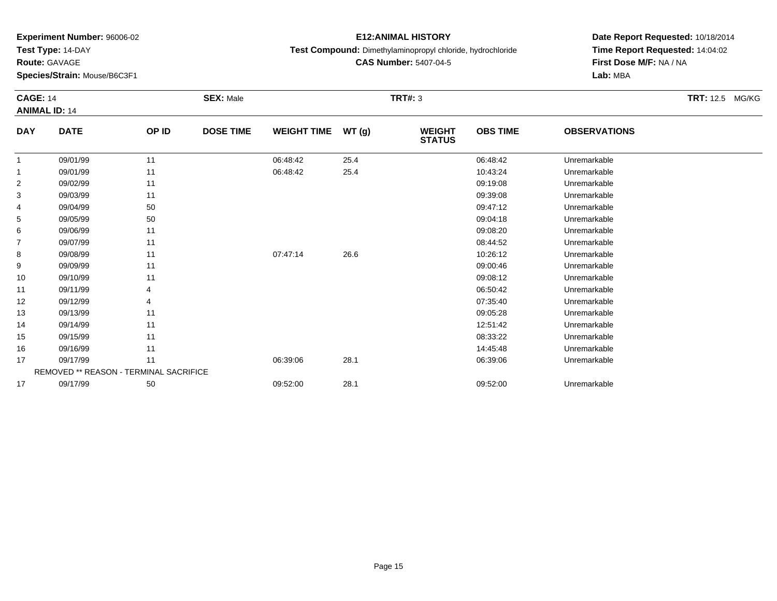**Test Type:** 14-DAY

**Route:** GAVAGE

15

16

17

17

**Species/Strain:** Mouse/B6C3F1

REMOVED \*\* REASON - TERMINAL SACRIFICE

#### **E12:ANIMAL HISTORY**

**Test Compound:** Dimethylaminopropyl chloride, hydrochloride

**CAS Number:** 5407-04-5

**Date Report Requested:** 10/18/2014**Time Report Requested:** 14:04:02**First Dose M/F:** NA / NA**Lab:** MBA

| <b>CAGE: 14</b><br><b>ANIMAL ID: 14</b> |             | <b>SEX: Male</b> |                  |                    | <b>TRT#: 3</b> | TRT: 12.5 MG/KG                |                 |                     |  |
|-----------------------------------------|-------------|------------------|------------------|--------------------|----------------|--------------------------------|-----------------|---------------------|--|
| <b>DAY</b>                              | <b>DATE</b> | OP ID            | <b>DOSE TIME</b> | <b>WEIGHT TIME</b> | WT(g)          | <b>WEIGHT</b><br><b>STATUS</b> | <b>OBS TIME</b> | <b>OBSERVATIONS</b> |  |
| 1                                       | 09/01/99    | 11               |                  | 06:48:42           | 25.4           |                                | 06:48:42        | Unremarkable        |  |
| 1                                       | 09/01/99    | 11               |                  | 06:48:42           | 25.4           |                                | 10:43:24        | Unremarkable        |  |
| $\overline{2}$                          | 09/02/99    | 11               |                  |                    |                |                                | 09:19:08        | Unremarkable        |  |
| 3                                       | 09/03/99    | 11               |                  |                    |                |                                | 09:39:08        | Unremarkable        |  |
| 4                                       | 09/04/99    | 50               |                  |                    |                |                                | 09:47:12        | Unremarkable        |  |
| 5                                       | 09/05/99    | 50               |                  |                    |                |                                | 09:04:18        | Unremarkable        |  |
| 6                                       | 09/06/99    | 11               |                  |                    |                |                                | 09:08:20        | Unremarkable        |  |
| $\overline{7}$                          | 09/07/99    | 11               |                  |                    |                |                                | 08:44:52        | Unremarkable        |  |
| 8                                       | 09/08/99    | 11               |                  | 07:47:14           | 26.6           |                                | 10:26:12        | Unremarkable        |  |
| 9                                       | 09/09/99    | 11               |                  |                    |                |                                | 09:00:46        | Unremarkable        |  |
| 10                                      | 09/10/99    | 11               |                  |                    |                |                                | 09:08:12        | Unremarkable        |  |
| 11                                      | 09/11/99    | 4                |                  |                    |                |                                | 06:50:42        | Unremarkable        |  |
| 12                                      | 09/12/99    | 4                |                  |                    |                |                                | 07:35:40        | Unremarkable        |  |
| 13                                      | 09/13/99    | 11               |                  |                    |                |                                | 09:05:28        | Unremarkable        |  |
| 14                                      | 09/14/99    | 11               |                  |                    |                |                                | 12:51:42        | Unremarkable        |  |

09/15/99 <sup>11</sup> 08:33:22 Unremarkable

6 09/16/99 11 12:45:48 Unremarkable

09/17/99 <sup>11</sup> 06:39:06 28.1 06:39:06 Unremarkable

09/17/99 <sup>50</sup> 09:52:00 28.1 09:52:00 Unremarkable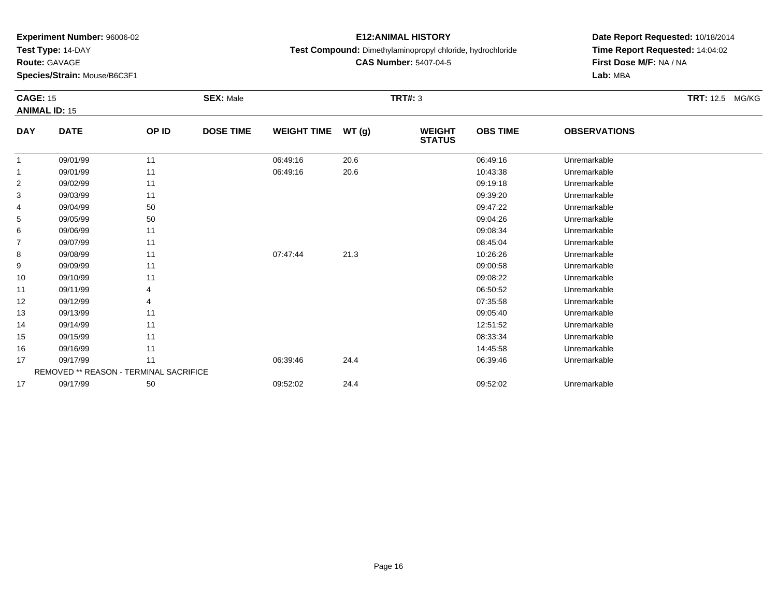**Test Type:** 14-DAY

**Route:** GAVAGE

17

17

**Species/Strain:** Mouse/B6C3F1

REMOVED \*\* REASON - TERMINAL SACRIFICE

#### **E12:ANIMAL HISTORY**

**Test Compound:** Dimethylaminopropyl chloride, hydrochloride

**CAS Number:** 5407-04-5

**Date Report Requested:** 10/18/2014 **Time Report Requested:** 14:04:02**First Dose M/F:** NA / NA**Lab:** MBA

| <b>CAGE: 15</b><br><b>ANIMAL ID: 15</b> |             | <b>SEX: Male</b> |                  |                    | <b>TRT#: 3</b> | TRT: 12.5 MG/KG                |                 |                     |  |
|-----------------------------------------|-------------|------------------|------------------|--------------------|----------------|--------------------------------|-----------------|---------------------|--|
| <b>DAY</b>                              | <b>DATE</b> | OP ID            | <b>DOSE TIME</b> | <b>WEIGHT TIME</b> | WT(g)          | <b>WEIGHT</b><br><b>STATUS</b> | <b>OBS TIME</b> | <b>OBSERVATIONS</b> |  |
|                                         | 09/01/99    | 11               |                  | 06:49:16           | 20.6           |                                | 06:49:16        | Unremarkable        |  |
| 1                                       | 09/01/99    | 11               |                  | 06:49:16           | 20.6           |                                | 10:43:38        | Unremarkable        |  |
| $\overline{2}$                          | 09/02/99    | 11               |                  |                    |                |                                | 09:19:18        | Unremarkable        |  |
| 3                                       | 09/03/99    | 11               |                  |                    |                |                                | 09:39:20        | Unremarkable        |  |
| 4                                       | 09/04/99    | 50               |                  |                    |                |                                | 09:47:22        | Unremarkable        |  |
| 5                                       | 09/05/99    | 50               |                  |                    |                |                                | 09:04:26        | Unremarkable        |  |
| 6                                       | 09/06/99    | 11               |                  |                    |                |                                | 09:08:34        | Unremarkable        |  |
| 7                                       | 09/07/99    | 11               |                  |                    |                |                                | 08:45:04        | Unremarkable        |  |
| 8                                       | 09/08/99    | 11               |                  | 07:47:44           | 21.3           |                                | 10:26:26        | Unremarkable        |  |
| 9                                       | 09/09/99    | 11               |                  |                    |                |                                | 09:00:58        | Unremarkable        |  |
| 10                                      | 09/10/99    | 11               |                  |                    |                |                                | 09:08:22        | Unremarkable        |  |
| 11                                      | 09/11/99    | 4                |                  |                    |                |                                | 06:50:52        | Unremarkable        |  |
| 12                                      | 09/12/99    | 4                |                  |                    |                |                                | 07:35:58        | Unremarkable        |  |
| 13                                      | 09/13/99    | 11               |                  |                    |                |                                | 09:05:40        | Unremarkable        |  |
| 14                                      | 09/14/99    | 11               |                  |                    |                |                                | 12:51:52        | Unremarkable        |  |
| 15                                      | 09/15/99    | 11               |                  |                    |                |                                | 08:33:34        | Unremarkable        |  |
| 16                                      | 09/16/99    | 11               |                  |                    |                |                                | 14:45:58        | Unremarkable        |  |

09/17/99 <sup>11</sup> 06:39:46 24.4 06:39:46 Unremarkable

09/17/99 <sup>50</sup> 09:52:02 24.4 09:52:02 Unremarkable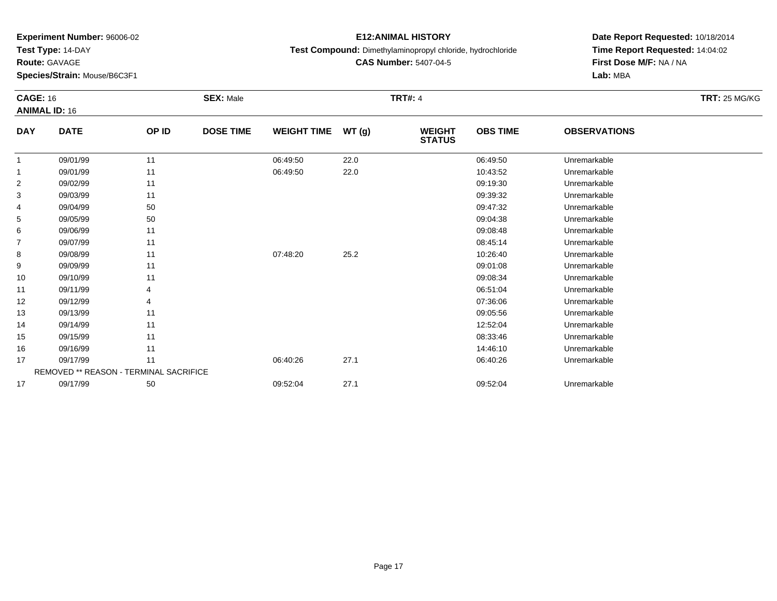**Test Type:** 14-DAY

**Route:** GAVAGE

**Species/Strain:** Mouse/B6C3F1

# **E12:ANIMAL HISTORY**

**Test Compound:** Dimethylaminopropyl chloride, hydrochloride

**CAS Number:** 5407-04-5

|                | <b>CAGE: 16</b><br><b>ANIMAL ID: 16</b> |       | <b>SEX: Male</b> |                    |       | <b>TRT#: 4</b>                 | <b>TRT: 25 MG/KG</b> |                     |  |
|----------------|-----------------------------------------|-------|------------------|--------------------|-------|--------------------------------|----------------------|---------------------|--|
| <b>DAY</b>     | <b>DATE</b>                             | OP ID | <b>DOSE TIME</b> | <b>WEIGHT TIME</b> | WT(g) | <b>WEIGHT</b><br><b>STATUS</b> | <b>OBS TIME</b>      | <b>OBSERVATIONS</b> |  |
| 1              | 09/01/99                                | 11    |                  | 06:49:50           | 22.0  |                                | 06:49:50             | Unremarkable        |  |
| 1              | 09/01/99                                | 11    |                  | 06:49:50           | 22.0  |                                | 10:43:52             | Unremarkable        |  |
| $\overline{c}$ | 09/02/99                                | 11    |                  |                    |       |                                | 09:19:30             | Unremarkable        |  |
| 3              | 09/03/99                                | 11    |                  |                    |       |                                | 09:39:32             | Unremarkable        |  |
| 4              | 09/04/99                                | 50    |                  |                    |       |                                | 09:47:32             | Unremarkable        |  |
| 5              | 09/05/99                                | 50    |                  |                    |       |                                | 09:04:38             | Unremarkable        |  |
| 6              | 09/06/99                                | 11    |                  |                    |       |                                | 09:08:48             | Unremarkable        |  |
| $\overline{7}$ | 09/07/99                                | 11    |                  |                    |       |                                | 08:45:14             | Unremarkable        |  |
| 8              | 09/08/99                                | 11    |                  | 07:48:20           | 25.2  |                                | 10:26:40             | Unremarkable        |  |
| 9              | 09/09/99                                | 11    |                  |                    |       |                                | 09:01:08             | Unremarkable        |  |
| 10             | 09/10/99                                | 11    |                  |                    |       |                                | 09:08:34             | Unremarkable        |  |
| 11             | 09/11/99                                |       |                  |                    |       |                                | 06:51:04             | Unremarkable        |  |
| 12             | 09/12/99                                | 4     |                  |                    |       |                                | 07:36:06             | Unremarkable        |  |
| 13             | 09/13/99                                | 11    |                  |                    |       |                                | 09:05:56             | Unremarkable        |  |
| 14             | 09/14/99                                | 11    |                  |                    |       |                                | 12:52:04             | Unremarkable        |  |
| 15             | 09/15/99                                | 11    |                  |                    |       |                                | 08:33:46             | Unremarkable        |  |
| 16             | 09/16/99                                | 11    |                  |                    |       |                                | 14:46:10             | Unremarkable        |  |
| 17             | 09/17/99                                | 11    |                  | 06:40:26           | 27.1  |                                | 06:40:26             | Unremarkable        |  |
|                | REMOVED ** REASON - TERMINAL SACRIFICE  |       |                  |                    |       |                                |                      |                     |  |
| 17             | 09/17/99                                | 50    |                  | 09:52:04           | 27.1  |                                | 09:52:04             | Unremarkable        |  |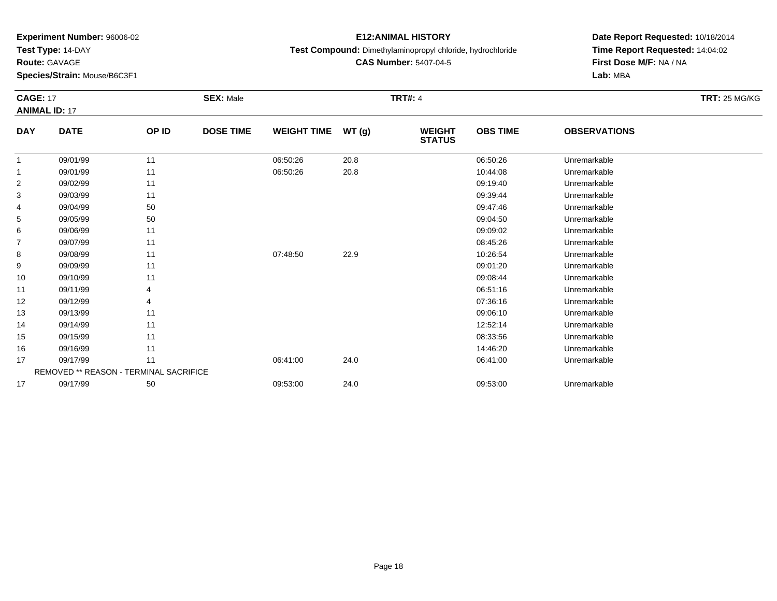**Test Type:** 14-DAY

**Route:** GAVAGE

**Species/Strain:** Mouse/B6C3F1

#### **E12:ANIMAL HISTORY**

**Test Compound:** Dimethylaminopropyl chloride, hydrochloride

**CAS Number:** 5407-04-5

**Date Report Requested:** 10/18/2014**Time Report Requested:** 14:04:02**First Dose M/F:** NA / NA**Lab:** MBA

#### **CAGE:** 17 **SEX:** Male **TRT#:** <sup>4</sup> **TRT:** 25 MG/KG**ANIMAL ID:** 17**DAY DATE OP IDDOSE TIME WEIGHT TIME WT** (g) **STATUSOBS TIME OBSERVATIONS** 11 09/01/99 11 1 06:50:26 20.8 06:50:26 06:50:26 1 06:50:26 1 1 09/01/99 11 09/01/99 11 1 06:50:26 20.8 10:44:08 Unremarkable 22 09:19:40 Unremarkable 11 1990 11 1990 12:30 12:30 12:40 09:19:40 Democratic Democratic Democratic Democratic Democratic Democratic Democratic Democratic Democratic Democratic Democratic Democratic Democratic Democratic D 33 09:39:44 Unremarkable 11 2010 11 2010 12:39:44 09:39:44 Unremarkable 4 09/04/99 <sup>50</sup> 09:47:46 Unremarkable 55 09:04:50 Unremarkable 50 50 09:04:50 09:04:50 09:04:50 Dhremarkable 6 09/06/99 <sup>11</sup> 09:09:02 Unremarkable 7

| 5              | 09/05/99 | 50                                            |          |      | 09:04:50 | Unremarkable |  |
|----------------|----------|-----------------------------------------------|----------|------|----------|--------------|--|
| 6              | 09/06/99 | 11                                            |          |      | 09:09:02 | Unremarkable |  |
| $\overline{7}$ | 09/07/99 | 11                                            |          |      | 08:45:26 | Unremarkable |  |
| 8              | 09/08/99 | 11                                            | 07:48:50 | 22.9 | 10:26:54 | Unremarkable |  |
| 9              | 09/09/99 | 11                                            |          |      | 09:01:20 | Unremarkable |  |
| 10             | 09/10/99 | 11                                            |          |      | 09:08:44 | Unremarkable |  |
| 11             | 09/11/99 | 4                                             |          |      | 06:51:16 | Unremarkable |  |
| 12             | 09/12/99 | 4                                             |          |      | 07:36:16 | Unremarkable |  |
| 13             | 09/13/99 | 11                                            |          |      | 09:06:10 | Unremarkable |  |
| 14             | 09/14/99 | 11                                            |          |      | 12:52:14 | Unremarkable |  |
| 15             | 09/15/99 | 11                                            |          |      | 08:33:56 | Unremarkable |  |
| 16             | 09/16/99 | 11                                            |          |      | 14:46:20 | Unremarkable |  |
| 17             | 09/17/99 | 11                                            | 06:41:00 | 24.0 | 06:41:00 | Unremarkable |  |
|                |          | <b>REMOVED ** REASON - TERMINAL SACRIFICE</b> |          |      |          |              |  |
| 17             | 09/17/99 | 50                                            | 09:53:00 | 24.0 | 09:53:00 | Unremarkable |  |
|                |          |                                               |          |      |          |              |  |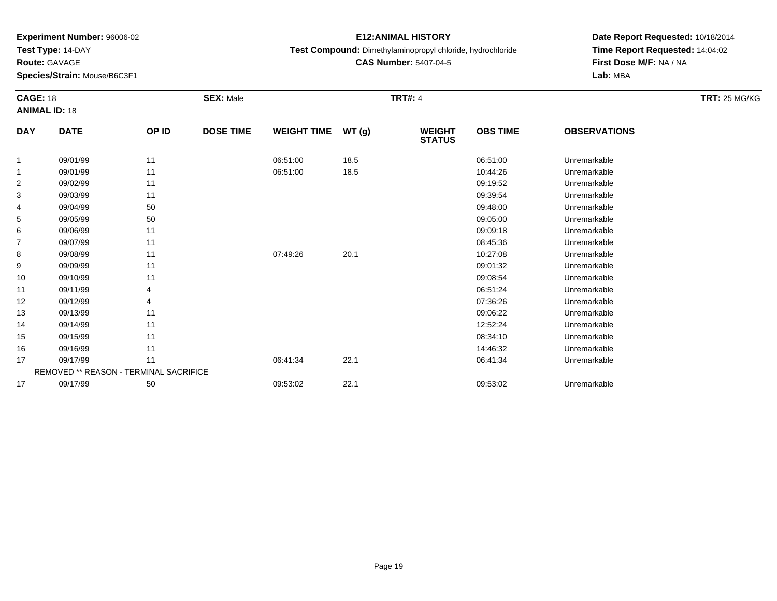**Test Type:** 14-DAY

**Route:** GAVAGE

**Species/Strain:** Mouse/B6C3F1

# **E12:ANIMAL HISTORY**

**Test Compound:** Dimethylaminopropyl chloride, hydrochloride

**CAS Number:** 5407-04-5

|                | <b>CAGE: 18</b><br><b>ANIMAL ID: 18</b> |       | <b>SEX: Male</b> |                    |       | <b>TRT#: 4</b>                 | <b>TRT: 25 MG/KG</b> |                     |  |
|----------------|-----------------------------------------|-------|------------------|--------------------|-------|--------------------------------|----------------------|---------------------|--|
| <b>DAY</b>     | <b>DATE</b>                             | OP ID | <b>DOSE TIME</b> | <b>WEIGHT TIME</b> | WT(g) | <b>WEIGHT</b><br><b>STATUS</b> | <b>OBS TIME</b>      | <b>OBSERVATIONS</b> |  |
| 1              | 09/01/99                                | 11    |                  | 06:51:00           | 18.5  |                                | 06:51:00             | Unremarkable        |  |
|                | 09/01/99                                | 11    |                  | 06:51:00           | 18.5  |                                | 10:44:26             | Unremarkable        |  |
| $\overline{a}$ | 09/02/99                                | 11    |                  |                    |       |                                | 09:19:52             | Unremarkable        |  |
| 3              | 09/03/99                                | 11    |                  |                    |       |                                | 09:39:54             | Unremarkable        |  |
| 4              | 09/04/99                                | 50    |                  |                    |       |                                | 09:48:00             | Unremarkable        |  |
| 5              | 09/05/99                                | 50    |                  |                    |       |                                | 09:05:00             | Unremarkable        |  |
| 6              | 09/06/99                                | 11    |                  |                    |       |                                | 09:09:18             | Unremarkable        |  |
| $\overline{7}$ | 09/07/99                                | 11    |                  |                    |       |                                | 08:45:36             | Unremarkable        |  |
| 8              | 09/08/99                                | 11    |                  | 07:49:26           | 20.1  |                                | 10:27:08             | Unremarkable        |  |
| 9              | 09/09/99                                | 11    |                  |                    |       |                                | 09:01:32             | Unremarkable        |  |
| 10             | 09/10/99                                | 11    |                  |                    |       |                                | 09:08:54             | Unremarkable        |  |
| 11             | 09/11/99                                |       |                  |                    |       |                                | 06:51:24             | Unremarkable        |  |
| 12             | 09/12/99                                | 4     |                  |                    |       |                                | 07:36:26             | Unremarkable        |  |
| 13             | 09/13/99                                | 11    |                  |                    |       |                                | 09:06:22             | Unremarkable        |  |
| 14             | 09/14/99                                | 11    |                  |                    |       |                                | 12:52:24             | Unremarkable        |  |
| 15             | 09/15/99                                | 11    |                  |                    |       |                                | 08:34:10             | Unremarkable        |  |
| 16             | 09/16/99                                | 11    |                  |                    |       |                                | 14:46:32             | Unremarkable        |  |
| 17             | 09/17/99                                | 11    |                  | 06:41:34           | 22.1  |                                | 06:41:34             | Unremarkable        |  |
|                | REMOVED ** REASON - TERMINAL SACRIFICE  |       |                  |                    |       |                                |                      |                     |  |
| 17             | 09/17/99                                | 50    |                  | 09:53:02           | 22.1  |                                | 09:53:02             | Unremarkable        |  |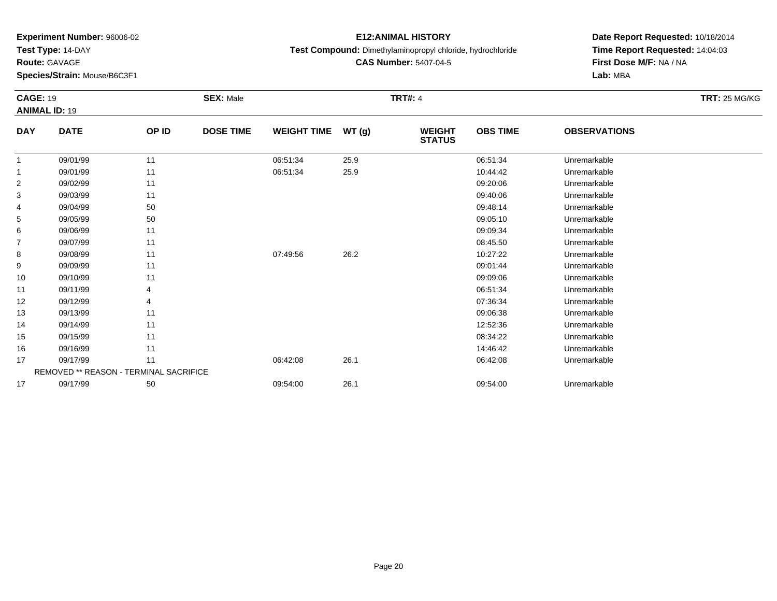**Test Type:** 14-DAY

**Route:** GAVAGE

**Species/Strain:** Mouse/B6C3F1

# **E12:ANIMAL HISTORY**

**Test Compound:** Dimethylaminopropyl chloride, hydrochloride

**Date Report Requested:** 10/18/2014**Time Report Requested:** 14:04:03**First Dose M/F:** NA / NA**Lab:** MBA

|                | <b>CAGE: 19</b><br><b>ANIMAL ID: 19</b> |       | <b>SEX: Male</b> |                    | <b>TRT#: 4</b> |                                |                 |                     | <b>TRT: 25 MG/KG</b> |
|----------------|-----------------------------------------|-------|------------------|--------------------|----------------|--------------------------------|-----------------|---------------------|----------------------|
| <b>DAY</b>     | <b>DATE</b>                             | OP ID | <b>DOSE TIME</b> | <b>WEIGHT TIME</b> | WT(g)          | <b>WEIGHT</b><br><b>STATUS</b> | <b>OBS TIME</b> | <b>OBSERVATIONS</b> |                      |
| 1              | 09/01/99                                | 11    |                  | 06:51:34           | 25.9           |                                | 06:51:34        | Unremarkable        |                      |
| 1              | 09/01/99                                | 11    |                  | 06:51:34           | 25.9           |                                | 10:44:42        | Unremarkable        |                      |
| 2              | 09/02/99                                | 11    |                  |                    |                |                                | 09:20:06        | Unremarkable        |                      |
| 3              | 09/03/99                                | 11    |                  |                    |                |                                | 09:40:06        | Unremarkable        |                      |
| 4              | 09/04/99                                | 50    |                  |                    |                |                                | 09:48:14        | Unremarkable        |                      |
| 5              | 09/05/99                                | 50    |                  |                    |                |                                | 09:05:10        | Unremarkable        |                      |
| 6              | 09/06/99                                | 11    |                  |                    |                |                                | 09:09:34        | Unremarkable        |                      |
| $\overline{7}$ | 09/07/99                                | 11    |                  |                    |                |                                | 08:45:50        | Unremarkable        |                      |
| 8              | 09/08/99                                | 11    |                  | 07:49:56           | 26.2           |                                | 10:27:22        | Unremarkable        |                      |
| 9              | 09/09/99                                | 11    |                  |                    |                |                                | 09:01:44        | Unremarkable        |                      |
| 10             | 09/10/99                                | 11    |                  |                    |                |                                | 09:09:06        | Unremarkable        |                      |
| 11             | 09/11/99                                |       |                  |                    |                |                                | 06:51:34        | Unremarkable        |                      |
| 12             | 09/12/99                                |       |                  |                    |                |                                | 07:36:34        | Unremarkable        |                      |
| 13             | 09/13/99                                | 11    |                  |                    |                |                                | 09:06:38        | Unremarkable        |                      |
| 14             | 09/14/99                                | 11    |                  |                    |                |                                | 12:52:36        | Unremarkable        |                      |
| 15             | 09/15/99                                | 11    |                  |                    |                |                                | 08:34:22        | Unremarkable        |                      |
| 16             | 09/16/99                                | 11    |                  |                    |                |                                | 14:46:42        | Unremarkable        |                      |
| 17             | 09/17/99                                | 11    |                  | 06:42:08           | 26.1           |                                | 06:42:08        | Unremarkable        |                      |
|                | REMOVED ** REASON - TERMINAL SACRIFICE  |       |                  |                    |                |                                |                 |                     |                      |
| 17             | 09/17/99                                | 50    |                  | 09:54:00           | 26.1           |                                | 09:54:00        | Unremarkable        |                      |

**CAS Number:** 5407-04-5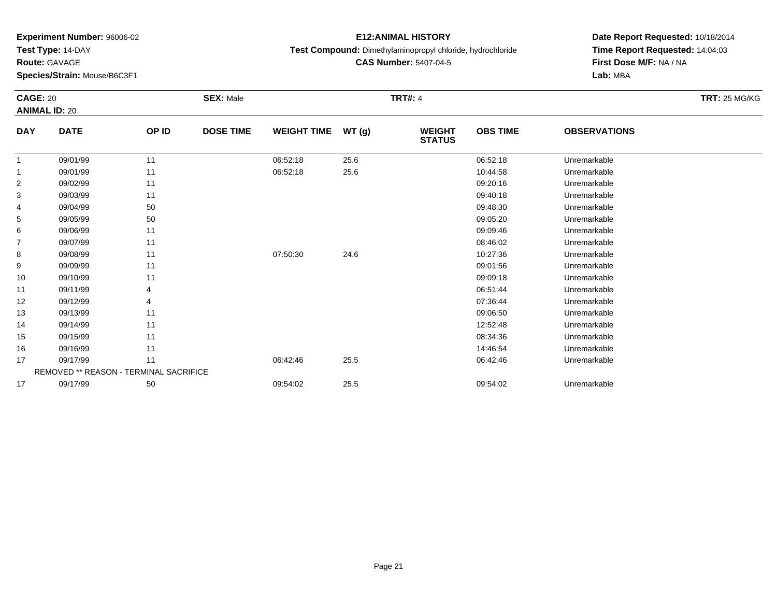**Test Type:** 14-DAY

**Route:** GAVAGE

**Species/Strain:** Mouse/B6C3F1

# **E12:ANIMAL HISTORY**

**Test Compound:** Dimethylaminopropyl chloride, hydrochloride

**CAS Number:** 5407-04-5

| <b>CAGE: 20</b> | <b>ANIMAL ID: 20</b>                          |       | <b>SEX: Male</b> |                    |       | <b>TRT#: 4</b>                 |                 |                     | <b>TRT: 25 MG/KG</b> |
|-----------------|-----------------------------------------------|-------|------------------|--------------------|-------|--------------------------------|-----------------|---------------------|----------------------|
| <b>DAY</b>      | <b>DATE</b>                                   | OP ID | <b>DOSE TIME</b> | <b>WEIGHT TIME</b> | WT(g) | <b>WEIGHT</b><br><b>STATUS</b> | <b>OBS TIME</b> | <b>OBSERVATIONS</b> |                      |
| 1               | 09/01/99                                      | 11    |                  | 06:52:18           | 25.6  |                                | 06:52:18        | Unremarkable        |                      |
| 1               | 09/01/99                                      | 11    |                  | 06:52:18           | 25.6  |                                | 10:44:58        | Unremarkable        |                      |
| $\overline{2}$  | 09/02/99                                      | 11    |                  |                    |       |                                | 09:20:16        | Unremarkable        |                      |
| 3               | 09/03/99                                      | 11    |                  |                    |       |                                | 09:40:18        | Unremarkable        |                      |
| 4               | 09/04/99                                      | 50    |                  |                    |       |                                | 09:48:30        | Unremarkable        |                      |
| 5               | 09/05/99                                      | 50    |                  |                    |       |                                | 09:05:20        | Unremarkable        |                      |
| 6               | 09/06/99                                      | 11    |                  |                    |       |                                | 09:09:46        | Unremarkable        |                      |
| 7               | 09/07/99                                      | 11    |                  |                    |       |                                | 08:46:02        | Unremarkable        |                      |
| 8               | 09/08/99                                      | 11    |                  | 07:50:30           | 24.6  |                                | 10:27:36        | Unremarkable        |                      |
| 9               | 09/09/99                                      | 11    |                  |                    |       |                                | 09:01:56        | Unremarkable        |                      |
| 10              | 09/10/99                                      | 11    |                  |                    |       |                                | 09:09:18        | Unremarkable        |                      |
| 11              | 09/11/99                                      |       |                  |                    |       |                                | 06:51:44        | Unremarkable        |                      |
| 12              | 09/12/99                                      |       |                  |                    |       |                                | 07:36:44        | Unremarkable        |                      |
| 13              | 09/13/99                                      | 11    |                  |                    |       |                                | 09:06:50        | Unremarkable        |                      |
| 14              | 09/14/99                                      | 11    |                  |                    |       |                                | 12:52:48        | Unremarkable        |                      |
| 15              | 09/15/99                                      | 11    |                  |                    |       |                                | 08:34:36        | Unremarkable        |                      |
| 16              | 09/16/99                                      | 11    |                  |                    |       |                                | 14:46:54        | Unremarkable        |                      |
| 17              | 09/17/99                                      | 11    |                  | 06:42:46           | 25.5  |                                | 06:42:46        | Unremarkable        |                      |
|                 | <b>REMOVED ** REASON - TERMINAL SACRIFICE</b> |       |                  |                    |       |                                |                 |                     |                      |
| 17              | 09/17/99                                      | 50    |                  | 09:54:02           | 25.5  |                                | 09:54:02        | Unremarkable        |                      |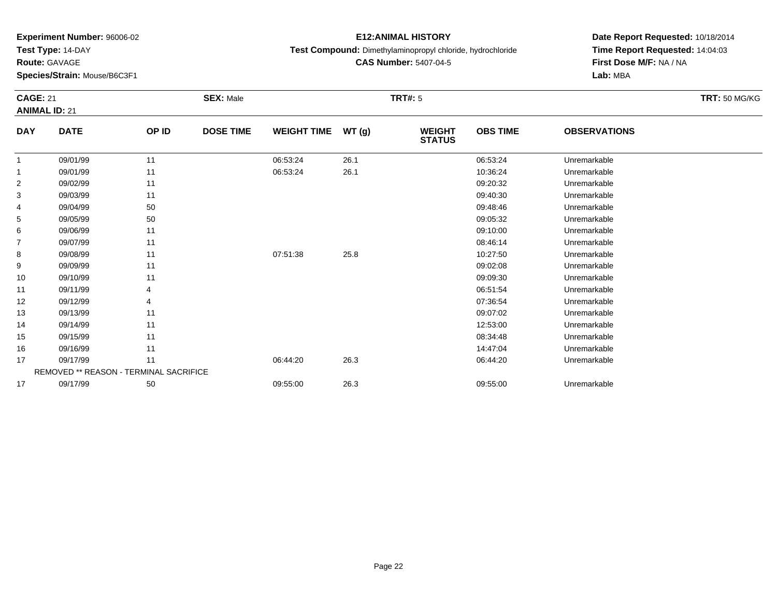**Test Type:** 14-DAY

**Route:** GAVAGE

16

17

17

**Species/Strain:** Mouse/B6C3F1

REMOVED \*\* REASON - TERMINAL SACRIFICE

#### **E12:ANIMAL HISTORY**

**Test Compound:** Dimethylaminopropyl chloride, hydrochloride

**CAS Number:** 5407-04-5

**Date Report Requested:** 10/18/2014**Time Report Requested:** 14:04:03**First Dose M/F:** NA / NA**Lab:** MBA

#### **CAGE:** 21 **SEX:** Male **TRT#:** <sup>5</sup> **TRT:** 50 MG/KG**ANIMAL ID:** 21**DAY DATE OP ID DOSE TIME WEIGHT TIME WT (g) WEIGHT STATUSOBS TIME OBSERVATIONS** 1 09/01/99 <sup>11</sup> 06:53:24 26.1 06:53:24 Unremarkable 11 09/01/99 11 1 06:53:24 26.1 1 1 06:53:24 10:36:24 Unremarkable 2 09/02/99 <sup>11</sup> 09:20:32 Unremarkable 3 09/03/99 <sup>11</sup> 09:40:30 Unremarkable 4 09/04/99 <sup>50</sup> 09:48:46 Unremarkable 55 09:05:32 Unremarkable 50 50 09:05:32 Unremarkable 5 09:05:32 Unremarkable 6 09/06/99 <sup>11</sup> 09:10:00 Unremarkable 77 09/07/99 11 12 12 13 13 13 14 15 16 17 18 19 19 19 19 19 19 19 19 19 19 19 19 1 88 09/08/99 11 1 07:51:38 25.8 10:27:50 Unremarkable 99 09:02:08 Unremarkable 11 2010 11 2010 12:08 09:02:08 Unremarkable 10 09/10/99 <sup>11</sup> 09:09:30 Unremarkable 11 09/11/99 <sup>4</sup> 06:51:54 Unremarkable 12 09/12/99 <sup>4</sup> 07:36:54 Unremarkable 13 09/13/99 <sup>11</sup> 09:07:02 Unremarkable 14 09/14/99 <sup>11</sup> 12:53:00 Unremarkable 1509/15/99 <sup>11</sup> 08:34:48 Unremarkable

6 09/16/99 11 12:47:04 Unremarkable

09/17/99 <sup>11</sup> 06:44:20 26.3 06:44:20 Unremarkable

09/17/99 <sup>50</sup> 09:55:00 26.3 09:55:00 Unremarkable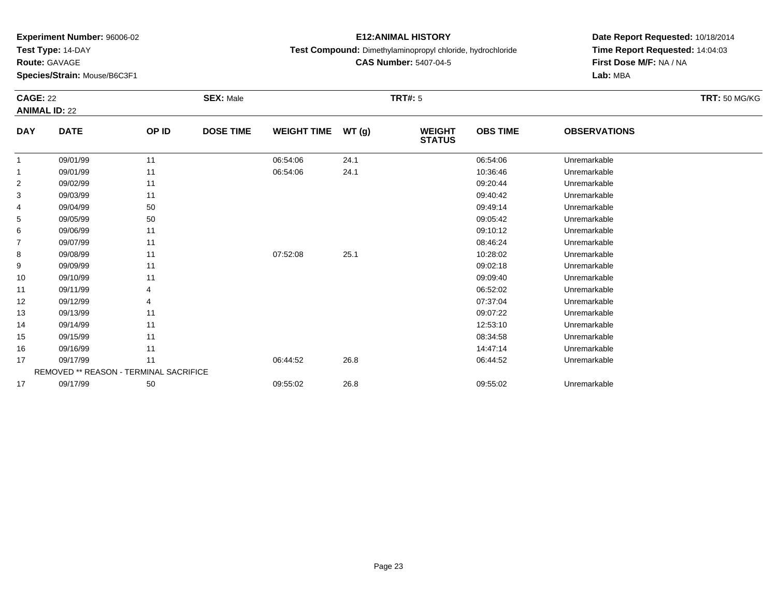**Test Type:** 14-DAY

**Route:** GAVAGE

17

**Species/Strain:** Mouse/B6C3F1

REMOVED \*\* REASON - TERMINAL SACRIFICE

#### **E12:ANIMAL HISTORY**

**Test Compound:** Dimethylaminopropyl chloride, hydrochloride

**CAS Number:** 5407-04-5

**Date Report Requested:** 10/18/2014**Time Report Requested:** 14:04:03**First Dose M/F:** NA / NA**Lab:** MBA

#### **CAGE:** 22 **SEX:** Male **TRT#:** <sup>5</sup> **TRT:** 50 MG/KG**ANIMAL ID:** 22**DAY DATE OP ID DOSE TIME WEIGHT TIME WT (g) WEIGHT STATUSOBS TIME OBSERVATIONS** 11 09/01/99 11 1 06:54:06 24.1 06:54:06 06:54:06 1 06:54:06 06:54:06 06:54:06 05:54:06 11 09/01/99 11 1 06:54:06 24.1 1 0.36:46 Unremarkable 2 09/02/99 <sup>11</sup> 09:20:44 Unremarkable 33 09:40:42 Unremarkable 11 11 11 12 13 13 14 15 16 17 18 19:40 12 14 15 16 17 18:42 Unremarkable 4 09/04/99 <sup>50</sup> 09:49:14 Unremarkable 55 09:05:42 Unremarkable 50 50 09:05:42 Unremarkable 5 09:05:42 Unremarkable 6 09/06/99 <sup>11</sup> 09:10:12 Unremarkable 77 09/07/99 11 12 12 12 13 13 14 15 16 17 18 19 19 19 19 19 19 19 19 19 19 19 19 1 88 09/08/99 11 1 07:52:08 25.1 1 1 0.28:02 Dhremarkable 99 09:02:18 Unremarkable 11 2010 11 2010 12:00 12:00 12:00 13:00 14:00 14:00 14:00 14:00 14:00 14:00 14:00 14:0 10 09/10/99 <sup>11</sup> 09:09:40 Unremarkable 111 09/11/99 4 4 5 06:52:02 Dhremarkable 12 09/12/99 <sup>4</sup> 07:37:04 Unremarkable 13 09/13/99 <sup>11</sup> 09:07:22 Unremarkable 14 09/14/99 <sup>11</sup> 12:53:10 Unremarkable 15 09/15/99 <sup>11</sup> 08:34:58 Unremarkable 16 09/16/99 <sup>11</sup> 14:47:14 Unremarkable 1709/17/99 <sup>11</sup> 06:44:52 26.8 06:44:52 Unremarkable

09/17/99 <sup>50</sup> 09:55:02 26.8 09:55:02 Unremarkable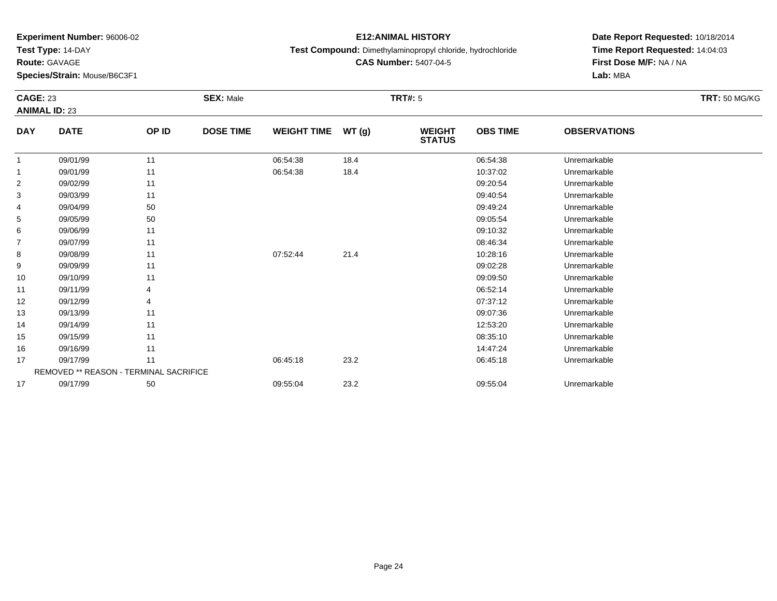**Test Type:** 14-DAY

**Route:** GAVAGE

17

**Species/Strain:** Mouse/B6C3F1

#### **E12:ANIMAL HISTORY**

**Test Compound:** Dimethylaminopropyl chloride, hydrochloride

**CAS Number:** 5407-04-5

**Date Report Requested:** 10/18/2014**Time Report Requested:** 14:04:03**First Dose M/F:** NA / NA**Lab:** MBA

#### **CAGE:** 23 **SEX:** Male **TRT#:** <sup>5</sup> **TRT:** 50 MG/KG**ANIMAL ID:** 23**DAY DATE OP ID DOSE TIME WEIGHT TIME WT (g) WEIGHT STATUSOBS TIME OBSERVATIONS** 11 09/01/99 11 1 06:54:38 18.4 06:54:38 06:54:38 Unremarkable 11 09/01/99 11 1 06:54:38 18.4 10:37:02 Unremarkable 22 09:20:54 Unremarkable 11 2010 11 2010 12:00 12:00 12:00 12:00 12:00 12:00 12:00 12:00 12:00 12:00 12:00 12:0 33 09:40:54 Unremarkable 11 2010 11 2010 12:00 12:00 12:00 12:00 12:00 12:00 13:00 14:00 14:00 14:00 14:00 14:0 4 09/04/99 <sup>50</sup> 09:49:24 Unremarkable 55 09:05:54 Unremarkable 50 50 09:05:54 Unremarkable 5 09:05:54 Unremarkable 6 09/06/99 <sup>11</sup> 09:10:32 Unremarkable 77 09/07/99 11 12 12 13 13 13 14 15 16 17 18 19 19 19 19 19 19 19 19 19 19 19 19 1 88 09/08/99 11 1 07:52:44 21.4 21.4 10:28:16 Unremarkable 99 09:02:28 Unremarkable 11 2010 11 2010 12:00 12:00 12:00 13:00 14:00 14:00 14:00 14:00 14:00 14:00 14:00 14:0 10 09/10/99 <sup>11</sup> 09:09:50 Unremarkable 111 09/11/99 4 9 06:52:14 Unremarkable 12 09/12/99 <sup>4</sup> 07:37:12 Unremarkable 13 09/13/99 <sup>11</sup> 09:07:36 Unremarkable 14 09/14/99 <sup>11</sup> 12:53:20 Unremarkable 15 09/15/99 <sup>11</sup> 08:35:10 Unremarkable 166 09/16/99 11 12:47:24 Unremarkable 17 09/17/99 <sup>11</sup> 06:45:18 23.2 06:45:18 Unremarkable REMOVED \*\* REASON - TERMINAL SACRIFICE

09/17/99 <sup>50</sup> 09:55:04 23.2 09:55:04 Unremarkable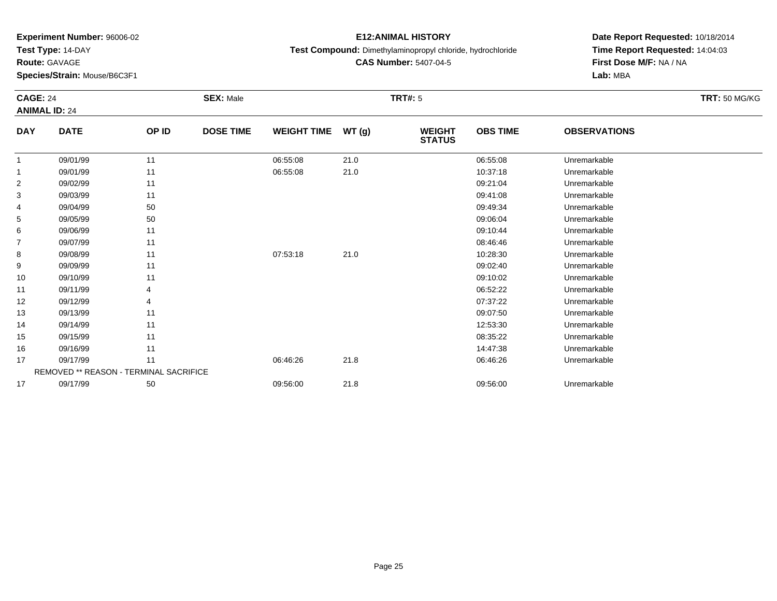**Test Type:** 14-DAY

**Route:** GAVAGE

17

**Species/Strain:** Mouse/B6C3F1

#### **E12:ANIMAL HISTORY**

**Test Compound:** Dimethylaminopropyl chloride, hydrochloride

**CAS Number:** 5407-04-5

**Date Report Requested:** 10/18/2014**Time Report Requested:** 14:04:03**First Dose M/F:** NA / NA**Lab:** MBA

#### **CAGE:** 24 **SEX:** Male **TRT#:** <sup>5</sup> **TRT:** 50 MG/KG**ANIMAL ID:** 24**DAY DATE OP ID DOSE TIME WEIGHT TIME WT (g) WEIGHT STATUSOBS TIME OBSERVATIONS** 11 09/01/99 11 1 06:55:08 21.0 06:55:08 06:55:08 Unremarkable 11 09/01/99 11 1 06:55:08 21.0 10:37:18 Unremarkable 2 09/02/99 <sup>11</sup> 09:21:04 Unremarkable 33 09:41:08 Unremarkable 11 11 11 12 12 13 13 14 15 16 17 18 19:41 109:41:08 Unremarkable 4 09/04/99 <sup>50</sup> 09:49:34 Unremarkable 55 09:06:04 Unremarkable 50 50 09:06:04 Degree 5 09:06:04 Degree 5 09:06:04 Degree 5 09:06:04 Degree 5 09:06:04 66 09:10:44 Unremarkable 11 09:10:44 Unremarkable 77 09/07/99 11 12 12 12 13 13 14:46:46 Unremarkable 88 09/08/99 11 1 07:53:18 21.0 10:28:30 Unremarkable 99 09:02:40 Unremarkable 11 1990 11 1990 12:40 09:02:40 Dhremarkable 10 09/10/99 <sup>11</sup> 09:10:02 Unremarkable 11 09/11/99 <sup>4</sup> 06:52:22 Unremarkable 12 09/12/99 <sup>4</sup> 07:37:22 Unremarkable 13 09/13/99 <sup>11</sup> 09:07:50 Unremarkable 14 09/14/99 <sup>11</sup> 12:53:30 Unremarkable 15 09/15/99 <sup>11</sup> 08:35:22 Unremarkable 16 09/16/99 <sup>11</sup> 14:47:38 Unremarkable 17 09/17/99 <sup>11</sup> 06:46:26 21.8 06:46:26 Unremarkable REMOVED \*\* REASON - TERMINAL SACRIFICE

09/17/99 <sup>50</sup> 09:56:00 21.8 09:56:00 Unremarkable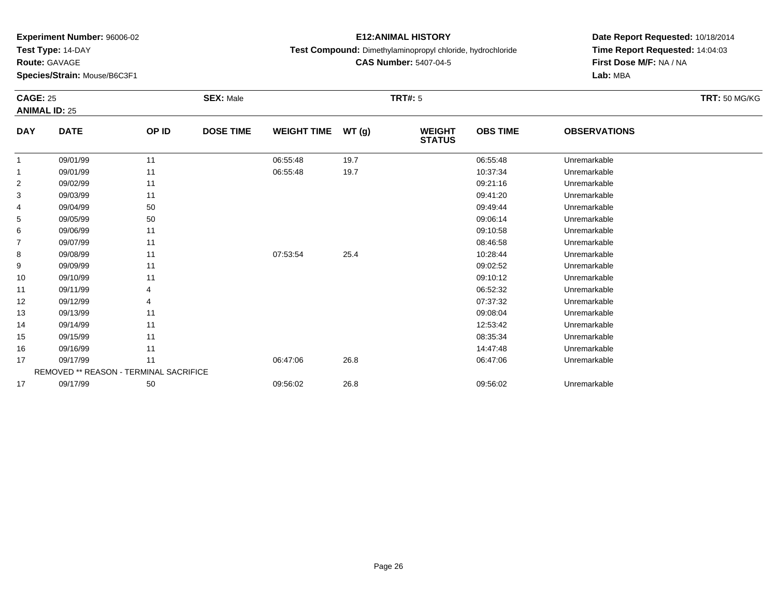**Test Type:** 14-DAY

**Route:** GAVAGE

**Species/Strain:** Mouse/B6C3F1

#### **E12:ANIMAL HISTORY**

**Test Compound:** Dimethylaminopropyl chloride, hydrochloride

**CAS Number:** 5407-04-5

**Date Report Requested:** 10/18/2014**Time Report Requested:** 14:04:03**First Dose M/F:** NA / NA**Lab:** MBA

#### **CAGE:** 25 **SEX:** Male **TRT#:** <sup>5</sup> **TRT:** 50 MG/KG**ANIMAL ID:** 25**DAY DATE OP ID DOSE TIME WEIGHT TIME WT (g) WEIGHT STATUSOBS TIME OBSERVATIONS** 11 09/01/99 11 1 06:55:48 19.7 1 06:55:48 Dhremarkable 11 09/01/99 11 1 06:55:48 19.7 10:37:34 Unremarkable 22 09:21:16 Unremarkable 11 09:21:16 Unremarkable 33 09:41:20 Unremarkable 11 11 11 12 12 13 13 14 15 16 17 18 19:41 120 19:41:20 Unremarkable 4 09/04/99 <sup>50</sup> 09:49:44 Unremarkable 55 09:06:14 Unremarkable 50 50 09:06:14 Unremarkable 5 09:06:14 Unremarkable 6 09/06/99 <sup>11</sup> 09:10:58 Unremarkable 77 09/07/99 11 12 12 12 13 13 14:58 Unremarkable 88 09/08/99 11 1 07:53:54 25.4 25.4 10:28:44 Unremarkable 99 09:02:52 Unremarkable 11 09:02:52 Unremarkable 10 09/10/99 <sup>11</sup> 09:10:12 Unremarkable 11 09/11/99 <sup>4</sup> 06:52:32 Unremarkable 12 09/12/99 <sup>4</sup> 07:37:32 Unremarkable 13 09/13/99 <sup>11</sup> 09:08:04 Unremarkable 14 09/14/99 <sup>11</sup> 12:53:42 Unremarkable 15 09/15/99 <sup>11</sup> 08:35:34 Unremarkable 166 09/16/99 11 12:47:48 Unremarkable 17 09/17/99 <sup>11</sup> 06:47:06 26.8 06:47:06 Unremarkable REMOVED \*\* REASON - TERMINAL SACRIFICE1709/17/99 <sup>50</sup> 09:56:02 26.8 09:56:02 Unremarkable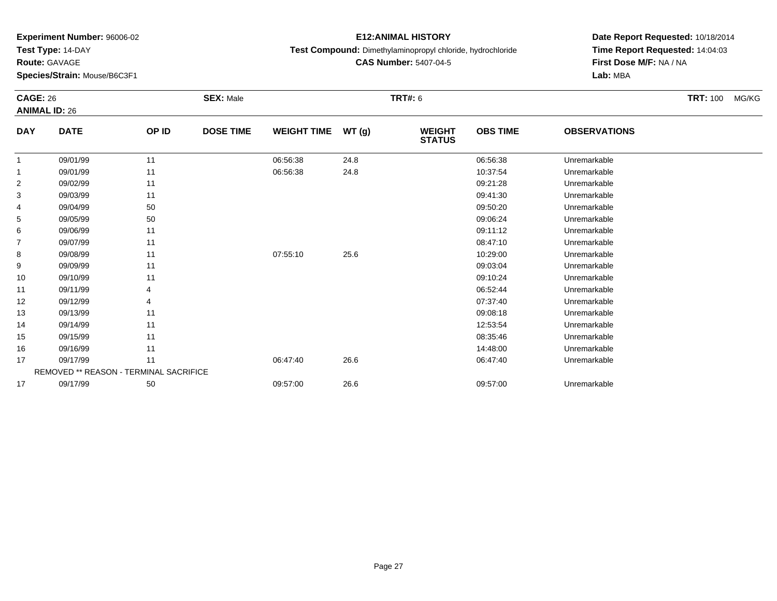**Test Type:** 14-DAY

**Route:** GAVAGE

**Species/Strain:** Mouse/B6C3F1

# **E12:ANIMAL HISTORY**

**Test Compound:** Dimethylaminopropyl chloride, hydrochloride

**CAS Number:** 5407-04-5

|                | <b>CAGE: 26</b><br><b>ANIMAL ID: 26</b> |       | <b>SEX: Male</b> |                    |       | <b>TRT#: 6</b>                 |                 | <b>TRT: 100</b><br>MG/KG |  |
|----------------|-----------------------------------------|-------|------------------|--------------------|-------|--------------------------------|-----------------|--------------------------|--|
| <b>DAY</b>     | <b>DATE</b>                             | OP ID | <b>DOSE TIME</b> | <b>WEIGHT TIME</b> | WT(g) | <b>WEIGHT</b><br><b>STATUS</b> | <b>OBS TIME</b> | <b>OBSERVATIONS</b>      |  |
| 1              | 09/01/99                                | 11    |                  | 06:56:38           | 24.8  |                                | 06:56:38        | Unremarkable             |  |
| 1              | 09/01/99                                | 11    |                  | 06:56:38           | 24.8  |                                | 10:37:54        | Unremarkable             |  |
| $\overline{c}$ | 09/02/99                                | 11    |                  |                    |       |                                | 09:21:28        | Unremarkable             |  |
| 3              | 09/03/99                                | 11    |                  |                    |       |                                | 09:41:30        | Unremarkable             |  |
| 4              | 09/04/99                                | 50    |                  |                    |       |                                | 09:50:20        | Unremarkable             |  |
| 5              | 09/05/99                                | 50    |                  |                    |       |                                | 09:06:24        | Unremarkable             |  |
| 6              | 09/06/99                                | 11    |                  |                    |       |                                | 09:11:12        | Unremarkable             |  |
| 7              | 09/07/99                                | 11    |                  |                    |       |                                | 08:47:10        | Unremarkable             |  |
| 8              | 09/08/99                                | 11    |                  | 07:55:10           | 25.6  |                                | 10:29:00        | Unremarkable             |  |
| 9              | 09/09/99                                | 11    |                  |                    |       |                                | 09:03:04        | Unremarkable             |  |
| 10             | 09/10/99                                | 11    |                  |                    |       |                                | 09:10:24        | Unremarkable             |  |
| 11             | 09/11/99                                |       |                  |                    |       |                                | 06:52:44        | Unremarkable             |  |
| 12             | 09/12/99                                |       |                  |                    |       |                                | 07:37:40        | Unremarkable             |  |
| 13             | 09/13/99                                | 11    |                  |                    |       |                                | 09:08:18        | Unremarkable             |  |
| 14             | 09/14/99                                | 11    |                  |                    |       |                                | 12:53:54        | Unremarkable             |  |
| 15             | 09/15/99                                | 11    |                  |                    |       |                                | 08:35:46        | Unremarkable             |  |
| 16             | 09/16/99                                | 11    |                  |                    |       |                                | 14:48:00        | Unremarkable             |  |
| 17             | 09/17/99                                | 11    |                  | 06:47:40           | 26.6  |                                | 06:47:40        | Unremarkable             |  |
|                | REMOVED ** REASON - TERMINAL SACRIFICE  |       |                  |                    |       |                                |                 |                          |  |
| 17             | 09/17/99                                | 50    |                  | 09:57:00           | 26.6  |                                | 09:57:00        | Unremarkable             |  |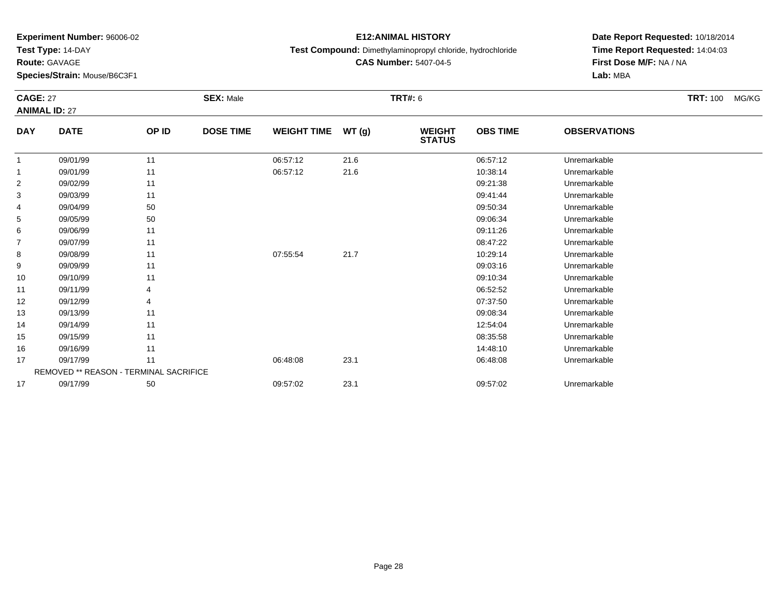**Test Type:** 14-DAY

**Route:** GAVAGE

**Species/Strain:** Mouse/B6C3F1

# **E12:ANIMAL HISTORY**

**Test Compound:** Dimethylaminopropyl chloride, hydrochloride

**CAS Number:** 5407-04-5

**Date Report Requested:** 10/18/2014**Time Report Requested:** 14:04:03**First Dose M/F:** NA / NA**Lab:** MBA

| <b>CAGE: 27</b> | <b>ANIMAL ID: 27</b>                          |       | <b>SEX: Male</b> |                    |       | <b>TRT#: 6</b>                 |                 |                     | <b>TRT: 100</b><br>MG/KG |
|-----------------|-----------------------------------------------|-------|------------------|--------------------|-------|--------------------------------|-----------------|---------------------|--------------------------|
| <b>DAY</b>      | <b>DATE</b>                                   | OP ID | <b>DOSE TIME</b> | <b>WEIGHT TIME</b> | WT(g) | <b>WEIGHT</b><br><b>STATUS</b> | <b>OBS TIME</b> | <b>OBSERVATIONS</b> |                          |
|                 | 09/01/99                                      | 11    |                  | 06:57:12           | 21.6  |                                | 06:57:12        | Unremarkable        |                          |
|                 | 09/01/99                                      | 11    |                  | 06:57:12           | 21.6  |                                | 10:38:14        | Unremarkable        |                          |
| $\overline{2}$  | 09/02/99                                      | 11    |                  |                    |       |                                | 09:21:38        | Unremarkable        |                          |
| 3               | 09/03/99                                      | 11    |                  |                    |       |                                | 09:41:44        | Unremarkable        |                          |
| 4               | 09/04/99                                      | 50    |                  |                    |       |                                | 09:50:34        | Unremarkable        |                          |
| 5               | 09/05/99                                      | 50    |                  |                    |       |                                | 09:06:34        | Unremarkable        |                          |
| 6               | 09/06/99                                      | 11    |                  |                    |       |                                | 09:11:26        | Unremarkable        |                          |
| $\overline{7}$  | 09/07/99                                      | 11    |                  |                    |       |                                | 08:47:22        | Unremarkable        |                          |
| 8               | 09/08/99                                      | 11    |                  | 07:55:54           | 21.7  |                                | 10:29:14        | Unremarkable        |                          |
| 9               | 09/09/99                                      | 11    |                  |                    |       |                                | 09:03:16        | Unremarkable        |                          |
| 10              | 09/10/99                                      | 11    |                  |                    |       |                                | 09:10:34        | Unremarkable        |                          |
| 11              | 09/11/99                                      |       |                  |                    |       |                                | 06:52:52        | Unremarkable        |                          |
| 12              | 09/12/99                                      |       |                  |                    |       |                                | 07:37:50        | Unremarkable        |                          |
| 13              | 09/13/99                                      | 11    |                  |                    |       |                                | 09:08:34        | Unremarkable        |                          |
| 14              | 09/14/99                                      | 11    |                  |                    |       |                                | 12:54:04        | Unremarkable        |                          |
| 15              | 09/15/99                                      | 11    |                  |                    |       |                                | 08:35:58        | Unremarkable        |                          |
| 16              | 09/16/99                                      | 11    |                  |                    |       |                                | 14:48:10        | Unremarkable        |                          |
| 17              | 09/17/99                                      | 11    |                  | 06:48:08           | 23.1  |                                | 06:48:08        | Unremarkable        |                          |
|                 | <b>REMOVED ** REASON - TERMINAL SACRIFICE</b> |       |                  |                    |       |                                |                 |                     |                          |
| 17              | 09/17/99                                      | 50    |                  | 09:57:02           | 23.1  |                                | 09:57:02        | Unremarkable        |                          |

09/17/99 <sup>50</sup> 09:57:02 23.1 09:57:02 Unremarkable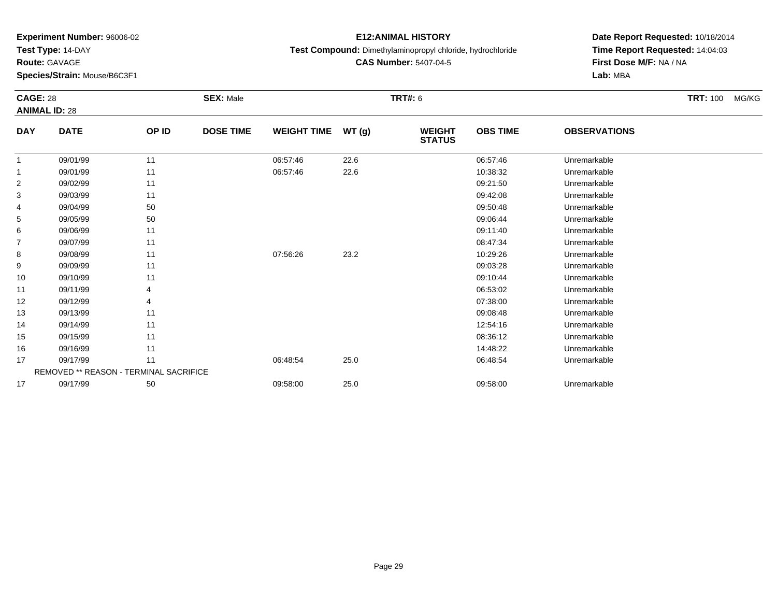**Test Type:** 14-DAY

**Route:** GAVAGE

**Species/Strain:** Mouse/B6C3F1

# **E12:ANIMAL HISTORY**

**Test Compound:** Dimethylaminopropyl chloride, hydrochloride

**CAS Number:** 5407-04-5

|                | <b>CAGE: 28</b><br><b>ANIMAL ID: 28</b>       |       | <b>SEX: Male</b> |                    |       | <b>TRT#: 6</b>                 |                 | <b>TRT:</b> 100<br>MG/KG |  |
|----------------|-----------------------------------------------|-------|------------------|--------------------|-------|--------------------------------|-----------------|--------------------------|--|
|                |                                               |       |                  |                    |       |                                |                 |                          |  |
| <b>DAY</b>     | <b>DATE</b>                                   | OP ID | <b>DOSE TIME</b> | <b>WEIGHT TIME</b> | WT(g) | <b>WEIGHT</b><br><b>STATUS</b> | <b>OBS TIME</b> | <b>OBSERVATIONS</b>      |  |
| 1              | 09/01/99                                      | 11    |                  | 06:57:46           | 22.6  |                                | 06:57:46        | Unremarkable             |  |
| 1              | 09/01/99                                      | 11    |                  | 06:57:46           | 22.6  |                                | 10:38:32        | Unremarkable             |  |
| $\overline{c}$ | 09/02/99                                      | 11    |                  |                    |       |                                | 09:21:50        | Unremarkable             |  |
| 3              | 09/03/99                                      | 11    |                  |                    |       |                                | 09:42:08        | Unremarkable             |  |
| 4              | 09/04/99                                      | 50    |                  |                    |       |                                | 09:50:48        | Unremarkable             |  |
| 5              | 09/05/99                                      | 50    |                  |                    |       |                                | 09:06:44        | Unremarkable             |  |
| 6              | 09/06/99                                      | 11    |                  |                    |       |                                | 09:11:40        | Unremarkable             |  |
| 7              | 09/07/99                                      | 11    |                  |                    |       |                                | 08:47:34        | Unremarkable             |  |
| 8              | 09/08/99                                      | 11    |                  | 07:56:26           | 23.2  |                                | 10:29:26        | Unremarkable             |  |
| 9              | 09/09/99                                      | 11    |                  |                    |       |                                | 09:03:28        | Unremarkable             |  |
| 10             | 09/10/99                                      | 11    |                  |                    |       |                                | 09:10:44        | Unremarkable             |  |
| 11             | 09/11/99                                      | 4     |                  |                    |       |                                | 06:53:02        | Unremarkable             |  |
| 12             | 09/12/99                                      |       |                  |                    |       |                                | 07:38:00        | Unremarkable             |  |
| 13             | 09/13/99                                      | 11    |                  |                    |       |                                | 09:08:48        | Unremarkable             |  |
| 14             | 09/14/99                                      | 11    |                  |                    |       |                                | 12:54:16        | Unremarkable             |  |
| 15             | 09/15/99                                      | 11    |                  |                    |       |                                | 08:36:12        | Unremarkable             |  |
| 16             | 09/16/99                                      | 11    |                  |                    |       |                                | 14:48:22        | Unremarkable             |  |
| 17             | 09/17/99                                      | 11    |                  | 06:48:54           | 25.0  |                                | 06:48:54        | Unremarkable             |  |
|                | <b>REMOVED ** REASON - TERMINAL SACRIFICE</b> |       |                  |                    |       |                                |                 |                          |  |
| 17             | 09/17/99                                      | 50    |                  | 09:58:00           | 25.0  |                                | 09:58:00        | Unremarkable             |  |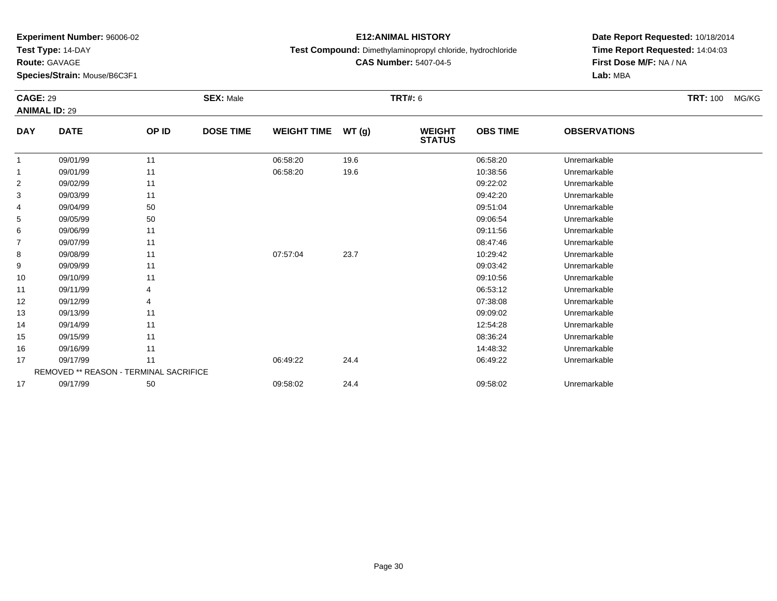**Test Type:** 14-DAY

**Route:** GAVAGE

17

**Species/Strain:** Mouse/B6C3F1

# **E12:ANIMAL HISTORY**

**Test Compound:** Dimethylaminopropyl chloride, hydrochloride

**CAS Number:** 5407-04-5

**Date Report Requested:** 10/18/2014**Time Report Requested:** 14:04:03**First Dose M/F:** NA / NA**Lab:** MBA

|            | <b>CAGE: 29</b><br><b>ANIMAL ID: 29</b> |                                        | <b>SEX: Male</b> |                    |        | <b>TRT#: 6</b>                 | <b>TRT: 100</b> | MG/KG               |  |  |
|------------|-----------------------------------------|----------------------------------------|------------------|--------------------|--------|--------------------------------|-----------------|---------------------|--|--|
|            |                                         |                                        |                  |                    |        |                                |                 |                     |  |  |
| <b>DAY</b> | <b>DATE</b>                             | OP ID                                  | <b>DOSE TIME</b> | <b>WEIGHT TIME</b> | WT (g) | <b>WEIGHT</b><br><b>STATUS</b> | <b>OBS TIME</b> | <b>OBSERVATIONS</b> |  |  |
| 1          | 09/01/99                                | 11                                     |                  | 06:58:20           | 19.6   |                                | 06:58:20        | Unremarkable        |  |  |
| 1          | 09/01/99                                | 11                                     |                  | 06:58:20           | 19.6   |                                | 10:38:56        | Unremarkable        |  |  |
| 2          | 09/02/99                                | 11                                     |                  |                    |        |                                | 09:22:02        | Unremarkable        |  |  |
| 3          | 09/03/99                                | 11                                     |                  |                    |        |                                | 09:42:20        | Unremarkable        |  |  |
| 4          | 09/04/99                                | 50                                     |                  |                    |        |                                | 09:51:04        | Unremarkable        |  |  |
| 5          | 09/05/99                                | 50                                     |                  |                    |        |                                | 09:06:54        | Unremarkable        |  |  |
| 6          | 09/06/99                                | 11                                     |                  |                    |        |                                | 09:11:56        | Unremarkable        |  |  |
| 7          | 09/07/99                                | 11                                     |                  |                    |        |                                | 08:47:46        | Unremarkable        |  |  |
| 8          | 09/08/99                                | 11                                     |                  | 07:57:04           | 23.7   |                                | 10:29:42        | Unremarkable        |  |  |
| 9          | 09/09/99                                | 11                                     |                  |                    |        |                                | 09:03:42        | Unremarkable        |  |  |
| 10         | 09/10/99                                | 11                                     |                  |                    |        |                                | 09:10:56        | Unremarkable        |  |  |
| 11         | 09/11/99                                | 4                                      |                  |                    |        |                                | 06:53:12        | Unremarkable        |  |  |
| 12         | 09/12/99                                |                                        |                  |                    |        |                                | 07:38:08        | Unremarkable        |  |  |
| 13         | 09/13/99                                | 11                                     |                  |                    |        |                                | 09:09:02        | Unremarkable        |  |  |
| 14         | 09/14/99                                | 11                                     |                  |                    |        |                                | 12:54:28        | Unremarkable        |  |  |
| 15         | 09/15/99                                | 11                                     |                  |                    |        |                                | 08:36:24        | Unremarkable        |  |  |
| 16         | 09/16/99                                | 11                                     |                  |                    |        |                                | 14:48:32        | Unremarkable        |  |  |
| 17         | 09/17/99                                | 11                                     |                  | 06:49:22           | 24.4   |                                | 06:49:22        | Unremarkable        |  |  |
|            |                                         | REMOVED ** REASON - TERMINAL SACRIFICE |                  |                    |        |                                |                 |                     |  |  |

09/17/99 <sup>50</sup> 09:58:02 24.4 09:58:02 Unremarkable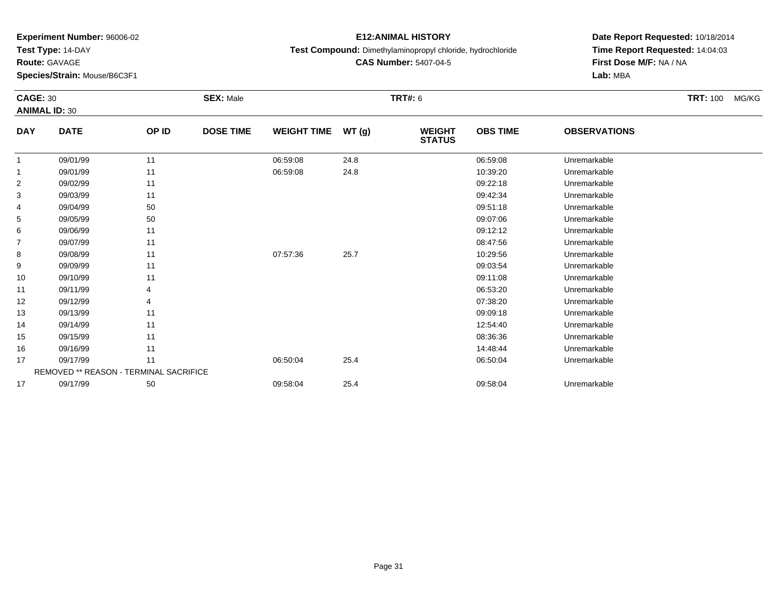**Test Type:** 14-DAY

**Route:** GAVAGE

**Species/Strain:** Mouse/B6C3F1

# **E12:ANIMAL HISTORY**

**Test Compound:** Dimethylaminopropyl chloride, hydrochloride

**CAS Number:** 5407-04-5

| <b>CAGE: 30</b> |                                        |       | <b>SEX: Male</b> |                    |       | <b>TRT#: 6</b>                 |                 |                     | <b>TRT: 100</b><br>MG/KG |
|-----------------|----------------------------------------|-------|------------------|--------------------|-------|--------------------------------|-----------------|---------------------|--------------------------|
|                 | <b>ANIMAL ID: 30</b>                   |       |                  |                    |       |                                |                 |                     |                          |
| <b>DAY</b>      | <b>DATE</b>                            | OP ID | <b>DOSE TIME</b> | <b>WEIGHT TIME</b> | WT(g) | <b>WEIGHT</b><br><b>STATUS</b> | <b>OBS TIME</b> | <b>OBSERVATIONS</b> |                          |
| 1               | 09/01/99                               | 11    |                  | 06:59:08           | 24.8  |                                | 06:59:08        | Unremarkable        |                          |
|                 | 09/01/99                               | 11    |                  | 06:59:08           | 24.8  |                                | 10:39:20        | Unremarkable        |                          |
| $\overline{2}$  | 09/02/99                               | 11    |                  |                    |       |                                | 09:22:18        | Unremarkable        |                          |
| 3               | 09/03/99                               | 11    |                  |                    |       |                                | 09:42:34        | Unremarkable        |                          |
| 4               | 09/04/99                               | 50    |                  |                    |       |                                | 09:51:18        | Unremarkable        |                          |
| 5               | 09/05/99                               | 50    |                  |                    |       |                                | 09:07:06        | Unremarkable        |                          |
| 6               | 09/06/99                               | 11    |                  |                    |       |                                | 09:12:12        | Unremarkable        |                          |
| $\overline{7}$  | 09/07/99                               | 11    |                  |                    |       |                                | 08:47:56        | Unremarkable        |                          |
| 8               | 09/08/99                               | 11    |                  | 07:57:36           | 25.7  |                                | 10:29:56        | Unremarkable        |                          |
| 9               | 09/09/99                               | 11    |                  |                    |       |                                | 09:03:54        | Unremarkable        |                          |
| 10              | 09/10/99                               | 11    |                  |                    |       |                                | 09:11:08        | Unremarkable        |                          |
| 11              | 09/11/99                               |       |                  |                    |       |                                | 06:53:20        | Unremarkable        |                          |
| 12              | 09/12/99                               |       |                  |                    |       |                                | 07:38:20        | Unremarkable        |                          |
| 13              | 09/13/99                               | 11    |                  |                    |       |                                | 09:09:18        | Unremarkable        |                          |
| 14              | 09/14/99                               | 11    |                  |                    |       |                                | 12:54:40        | Unremarkable        |                          |
| 15              | 09/15/99                               | 11    |                  |                    |       |                                | 08:36:36        | Unremarkable        |                          |
| 16              | 09/16/99                               | 11    |                  |                    |       |                                | 14:48:44        | Unremarkable        |                          |
| 17              | 09/17/99                               | 11    |                  | 06:50:04           | 25.4  |                                | 06:50:04        | Unremarkable        |                          |
|                 | REMOVED ** REASON - TERMINAL SACRIFICE |       |                  |                    |       |                                |                 |                     |                          |
| 17              | 09/17/99                               | 50    |                  | 09:58:04           | 25.4  |                                | 09:58:04        | Unremarkable        |                          |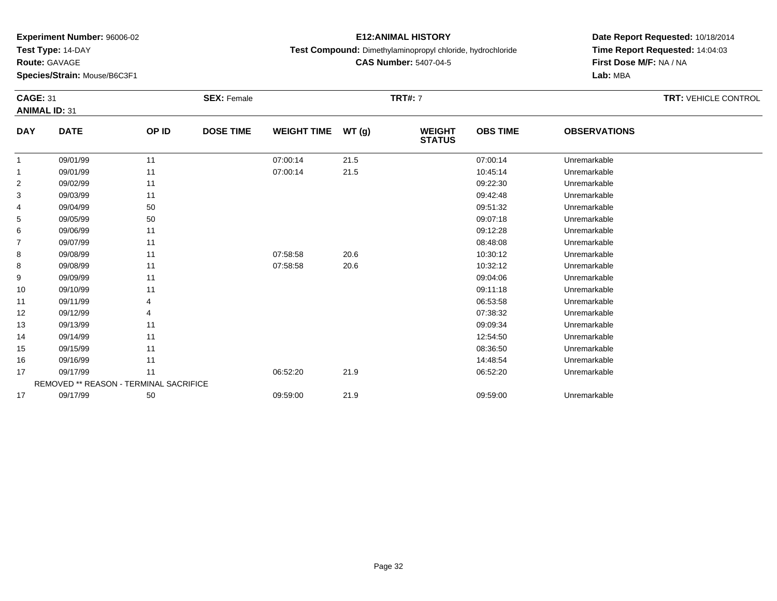**Test Type:** 14-DAY

**Route:** GAVAGE

**Species/Strain:** Mouse/B6C3F1

# **E12:ANIMAL HISTORY**

**Test Compound:** Dimethylaminopropyl chloride, hydrochloride

**CAS Number:** 5407-04-5

| <b>CAGE: 31</b> |                                               |       | <b>SEX: Female</b> |                    |       | <b>TRT#: 7</b>                 |                 |                     | <b>TRT: VEHICLE CONTROL</b> |
|-----------------|-----------------------------------------------|-------|--------------------|--------------------|-------|--------------------------------|-----------------|---------------------|-----------------------------|
|                 | <b>ANIMAL ID: 31</b>                          |       |                    |                    |       |                                |                 |                     |                             |
| <b>DAY</b>      | <b>DATE</b>                                   | OP ID | <b>DOSE TIME</b>   | <b>WEIGHT TIME</b> | WT(g) | <b>WEIGHT</b><br><b>STATUS</b> | <b>OBS TIME</b> | <b>OBSERVATIONS</b> |                             |
| 1               | 09/01/99                                      | 11    |                    | 07:00:14           | 21.5  |                                | 07:00:14        | Unremarkable        |                             |
| 1               | 09/01/99                                      | 11    |                    | 07:00:14           | 21.5  |                                | 10:45:14        | Unremarkable        |                             |
| 2               | 09/02/99                                      | 11    |                    |                    |       |                                | 09:22:30        | Unremarkable        |                             |
| 3               | 09/03/99                                      | 11    |                    |                    |       |                                | 09:42:48        | Unremarkable        |                             |
| 4               | 09/04/99                                      | 50    |                    |                    |       |                                | 09:51:32        | Unremarkable        |                             |
| 5               | 09/05/99                                      | 50    |                    |                    |       |                                | 09:07:18        | Unremarkable        |                             |
| 6               | 09/06/99                                      | 11    |                    |                    |       |                                | 09:12:28        | Unremarkable        |                             |
| 7               | 09/07/99                                      | 11    |                    |                    |       |                                | 08:48:08        | Unremarkable        |                             |
| 8               | 09/08/99                                      | 11    |                    | 07:58:58           | 20.6  |                                | 10:30:12        | Unremarkable        |                             |
| 8               | 09/08/99                                      | 11    |                    | 07:58:58           | 20.6  |                                | 10:32:12        | Unremarkable        |                             |
| 9               | 09/09/99                                      | 11    |                    |                    |       |                                | 09:04:06        | Unremarkable        |                             |
| 10              | 09/10/99                                      | 11    |                    |                    |       |                                | 09:11:18        | Unremarkable        |                             |
| 11              | 09/11/99                                      |       |                    |                    |       |                                | 06:53:58        | Unremarkable        |                             |
| 12              | 09/12/99                                      |       |                    |                    |       |                                | 07:38:32        | Unremarkable        |                             |
| 13              | 09/13/99                                      | 11    |                    |                    |       |                                | 09:09:34        | Unremarkable        |                             |
| 14              | 09/14/99                                      | 11    |                    |                    |       |                                | 12:54:50        | Unremarkable        |                             |
| 15              | 09/15/99                                      | 11    |                    |                    |       |                                | 08:36:50        | Unremarkable        |                             |
| 16              | 09/16/99                                      | 11    |                    |                    |       |                                | 14:48:54        | Unremarkable        |                             |
| 17              | 09/17/99                                      | 11    |                    | 06:52:20           | 21.9  |                                | 06:52:20        | Unremarkable        |                             |
|                 | <b>REMOVED ** REASON - TERMINAL SACRIFICE</b> |       |                    |                    |       |                                |                 |                     |                             |
| 17              | 09/17/99                                      | 50    |                    | 09:59:00           | 21.9  |                                | 09:59:00        | Unremarkable        |                             |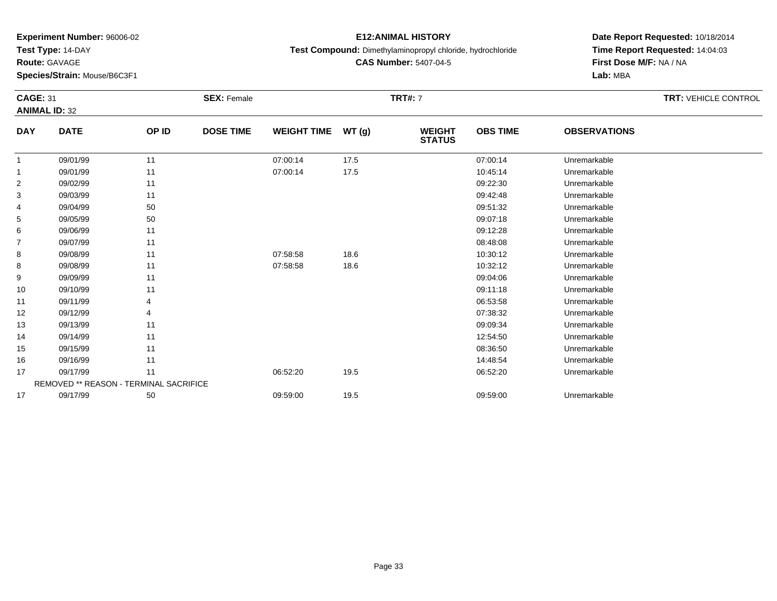**Test Type:** 14-DAY

**Route:** GAVAGE

**Species/Strain:** Mouse/B6C3F1

### **E12:ANIMAL HISTORY**

**Test Compound:** Dimethylaminopropyl chloride, hydrochloride

**CAS Number:** 5407-04-5

|                | <b>CAGE: 31</b><br><b>SEX: Female</b>         |       |                  |                    |       | <b>TRT#: 7</b>                 | <b>TRT: VEHICLE CONTROL</b> |                     |  |
|----------------|-----------------------------------------------|-------|------------------|--------------------|-------|--------------------------------|-----------------------------|---------------------|--|
|                | <b>ANIMAL ID: 32</b>                          |       |                  |                    |       |                                |                             |                     |  |
| <b>DAY</b>     | <b>DATE</b>                                   | OP ID | <b>DOSE TIME</b> | <b>WEIGHT TIME</b> | WT(g) | <b>WEIGHT</b><br><b>STATUS</b> | <b>OBS TIME</b>             | <b>OBSERVATIONS</b> |  |
| $\mathbf{1}$   | 09/01/99                                      | 11    |                  | 07:00:14           | 17.5  |                                | 07:00:14                    | Unremarkable        |  |
| 1              | 09/01/99                                      | 11    |                  | 07:00:14           | 17.5  |                                | 10:45:14                    | Unremarkable        |  |
| $\overline{2}$ | 09/02/99                                      | 11    |                  |                    |       |                                | 09:22:30                    | Unremarkable        |  |
| 3              | 09/03/99                                      | 11    |                  |                    |       |                                | 09:42:48                    | Unremarkable        |  |
| 4              | 09/04/99                                      | 50    |                  |                    |       |                                | 09:51:32                    | Unremarkable        |  |
| 5              | 09/05/99                                      | 50    |                  |                    |       |                                | 09:07:18                    | Unremarkable        |  |
| 6              | 09/06/99                                      | 11    |                  |                    |       |                                | 09:12:28                    | Unremarkable        |  |
| $\overline{7}$ | 09/07/99                                      | 11    |                  |                    |       |                                | 08:48:08                    | Unremarkable        |  |
| 8              | 09/08/99                                      | 11    |                  | 07:58:58           | 18.6  |                                | 10:30:12                    | Unremarkable        |  |
| 8              | 09/08/99                                      | 11    |                  | 07:58:58           | 18.6  |                                | 10:32:12                    | Unremarkable        |  |
| 9              | 09/09/99                                      | 11    |                  |                    |       |                                | 09:04:06                    | Unremarkable        |  |
| 10             | 09/10/99                                      | 11    |                  |                    |       |                                | 09:11:18                    | Unremarkable        |  |
| 11             | 09/11/99                                      |       |                  |                    |       |                                | 06:53:58                    | Unremarkable        |  |
| 12             | 09/12/99                                      | 4     |                  |                    |       |                                | 07:38:32                    | Unremarkable        |  |
| 13             | 09/13/99                                      | 11    |                  |                    |       |                                | 09:09:34                    | Unremarkable        |  |
| 14             | 09/14/99                                      | 11    |                  |                    |       |                                | 12:54:50                    | Unremarkable        |  |
| 15             | 09/15/99                                      | 11    |                  |                    |       |                                | 08:36:50                    | Unremarkable        |  |
| 16             | 09/16/99                                      | 11    |                  |                    |       |                                | 14:48:54                    | Unremarkable        |  |
| 17             | 09/17/99                                      | 11    |                  | 06:52:20           | 19.5  |                                | 06:52:20                    | Unremarkable        |  |
|                | <b>REMOVED ** REASON - TERMINAL SACRIFICE</b> |       |                  |                    |       |                                |                             |                     |  |
| 17             | 09/17/99                                      | 50    |                  | 09:59:00           | 19.5  |                                | 09:59:00                    | Unremarkable        |  |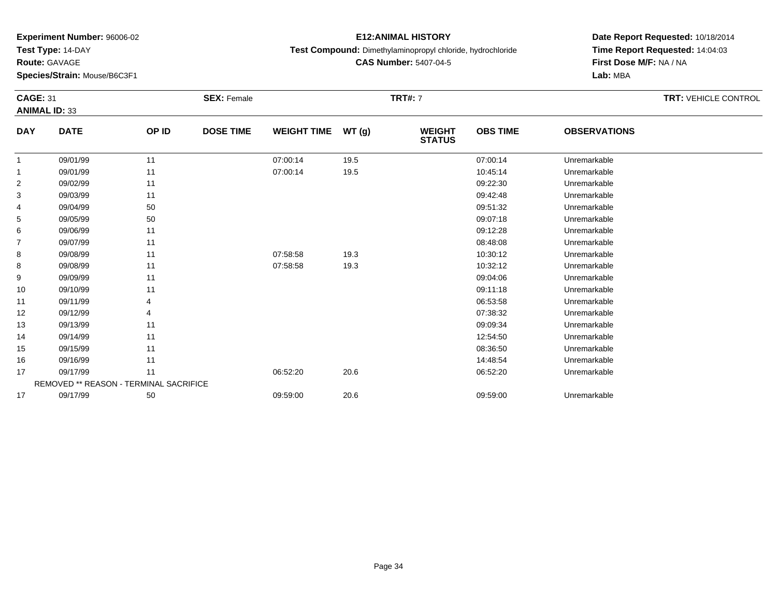**Test Type:** 14-DAY

**Route:** GAVAGE

**Species/Strain:** Mouse/B6C3F1

# **E12:ANIMAL HISTORY**

**Test Compound:** Dimethylaminopropyl chloride, hydrochloride

**CAS Number:** 5407-04-5

|                | <b>CAGE: 31</b><br><b>ANIMAL ID: 33</b> |       | <b>SEX: Female</b> |                    | <b>TRT: VEHICLE CONTROL</b> |                                |                 |                     |  |
|----------------|-----------------------------------------|-------|--------------------|--------------------|-----------------------------|--------------------------------|-----------------|---------------------|--|
|                |                                         |       |                    |                    |                             |                                |                 |                     |  |
| <b>DAY</b>     | <b>DATE</b>                             | OP ID | <b>DOSE TIME</b>   | <b>WEIGHT TIME</b> | WT(g)                       | <b>WEIGHT</b><br><b>STATUS</b> | <b>OBS TIME</b> | <b>OBSERVATIONS</b> |  |
| $\mathbf{1}$   | 09/01/99                                | 11    |                    | 07:00:14           | 19.5                        |                                | 07:00:14        | Unremarkable        |  |
| 1              | 09/01/99                                | 11    |                    | 07:00:14           | 19.5                        |                                | 10:45:14        | Unremarkable        |  |
| $\overline{2}$ | 09/02/99                                | 11    |                    |                    |                             |                                | 09:22:30        | Unremarkable        |  |
| 3              | 09/03/99                                | 11    |                    |                    |                             |                                | 09:42:48        | Unremarkable        |  |
| 4              | 09/04/99                                | 50    |                    |                    |                             |                                | 09:51:32        | Unremarkable        |  |
| 5              | 09/05/99                                | 50    |                    |                    |                             |                                | 09:07:18        | Unremarkable        |  |
| 6              | 09/06/99                                | 11    |                    |                    |                             |                                | 09:12:28        | Unremarkable        |  |
| 7              | 09/07/99                                | 11    |                    |                    |                             |                                | 08:48:08        | Unremarkable        |  |
| 8              | 09/08/99                                | 11    |                    | 07:58:58           | 19.3                        |                                | 10:30:12        | Unremarkable        |  |
| 8              | 09/08/99                                | 11    |                    | 07:58:58           | 19.3                        |                                | 10:32:12        | Unremarkable        |  |
| 9              | 09/09/99                                | 11    |                    |                    |                             |                                | 09:04:06        | Unremarkable        |  |
| 10             | 09/10/99                                | 11    |                    |                    |                             |                                | 09:11:18        | Unremarkable        |  |
| 11             | 09/11/99                                | 4     |                    |                    |                             |                                | 06:53:58        | Unremarkable        |  |
| 12             | 09/12/99                                |       |                    |                    |                             |                                | 07:38:32        | Unremarkable        |  |
| 13             | 09/13/99                                | 11    |                    |                    |                             |                                | 09:09:34        | Unremarkable        |  |
| 14             | 09/14/99                                | 11    |                    |                    |                             |                                | 12:54:50        | Unremarkable        |  |
| 15             | 09/15/99                                | 11    |                    |                    |                             |                                | 08:36:50        | Unremarkable        |  |
| 16             | 09/16/99                                | 11    |                    |                    |                             |                                | 14:48:54        | Unremarkable        |  |
| 17             | 09/17/99                                | 11    |                    | 06:52:20           | 20.6                        |                                | 06:52:20        | Unremarkable        |  |
|                | REMOVED ** REASON - TERMINAL SACRIFICE  |       |                    |                    |                             |                                |                 |                     |  |
| 17             | 09/17/99                                | 50    |                    | 09:59:00           | 20.6                        |                                | 09:59:00        | Unremarkable        |  |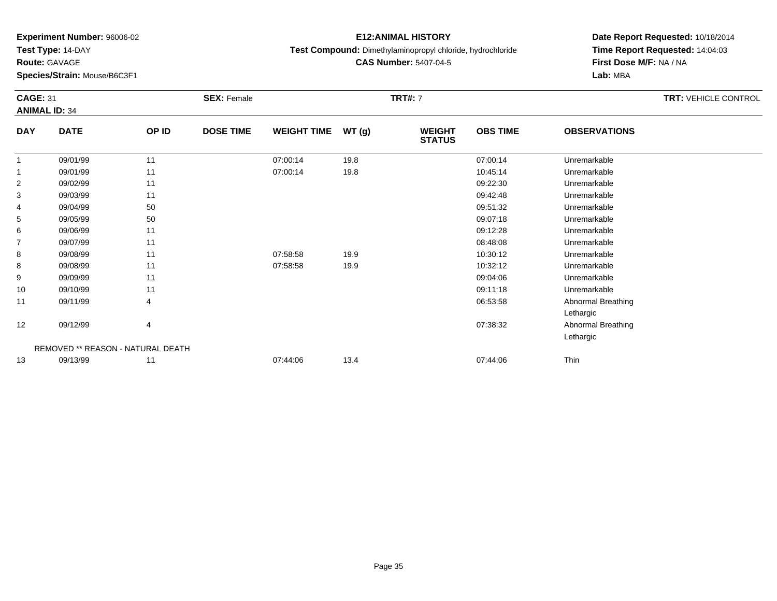**Test Type:** 14-DAY

**Route:** GAVAGE

**Species/Strain:** Mouse/B6C3F1

# **E12:ANIMAL HISTORY**

**Test Compound:** Dimethylaminopropyl chloride, hydrochloride

**CAS Number:** 5407-04-5

|                | <b>CAGE: 31</b><br><b>ANIMAL ID: 34</b> |       | <b>SEX: Female</b> |                    |       | <b>TRT#: 7</b>                 | <b>TRT: VEHICLE CONTROL</b> |                           |  |
|----------------|-----------------------------------------|-------|--------------------|--------------------|-------|--------------------------------|-----------------------------|---------------------------|--|
| <b>DAY</b>     | <b>DATE</b>                             | OP ID | <b>DOSE TIME</b>   | <b>WEIGHT TIME</b> | WT(g) | <b>WEIGHT</b><br><b>STATUS</b> | <b>OBS TIME</b>             | <b>OBSERVATIONS</b>       |  |
|                | 09/01/99                                | 11    |                    | 07:00:14           | 19.8  |                                | 07:00:14                    | Unremarkable              |  |
|                | 09/01/99                                | 11    |                    | 07:00:14           | 19.8  |                                | 10:45:14                    | Unremarkable              |  |
| $\overline{2}$ | 09/02/99                                | 11    |                    |                    |       |                                | 09:22:30                    | Unremarkable              |  |
| 3              | 09/03/99                                | 11    |                    |                    |       |                                | 09:42:48                    | Unremarkable              |  |
| 4              | 09/04/99                                | 50    |                    |                    |       |                                | 09:51:32                    | Unremarkable              |  |
| 5              | 09/05/99                                | 50    |                    |                    |       |                                | 09:07:18                    | Unremarkable              |  |
| 6              | 09/06/99                                | 11    |                    |                    |       |                                | 09:12:28                    | Unremarkable              |  |
| $\overline{7}$ | 09/07/99                                | 11    |                    |                    |       |                                | 08:48:08                    | Unremarkable              |  |
| 8              | 09/08/99                                | 11    |                    | 07:58:58           | 19.9  |                                | 10:30:12                    | Unremarkable              |  |
| 8              | 09/08/99                                | 11    |                    | 07:58:58           | 19.9  |                                | 10:32:12                    | Unremarkable              |  |
| 9              | 09/09/99                                | 11    |                    |                    |       |                                | 09:04:06                    | Unremarkable              |  |
| 10             | 09/10/99                                | 11    |                    |                    |       |                                | 09:11:18                    | Unremarkable              |  |
| 11             | 09/11/99                                | 4     |                    |                    |       |                                | 06:53:58                    | <b>Abnormal Breathing</b> |  |
|                |                                         |       |                    |                    |       |                                |                             | Lethargic                 |  |
| 12             | 09/12/99                                | 4     |                    |                    |       |                                | 07:38:32                    | <b>Abnormal Breathing</b> |  |
|                |                                         |       |                    |                    |       |                                |                             | Lethargic                 |  |
|                | REMOVED ** REASON - NATURAL DEATH       |       |                    |                    |       |                                |                             |                           |  |
| 13             | 09/13/99                                | 11    |                    | 07:44:06           | 13.4  |                                | 07:44:06                    | Thin                      |  |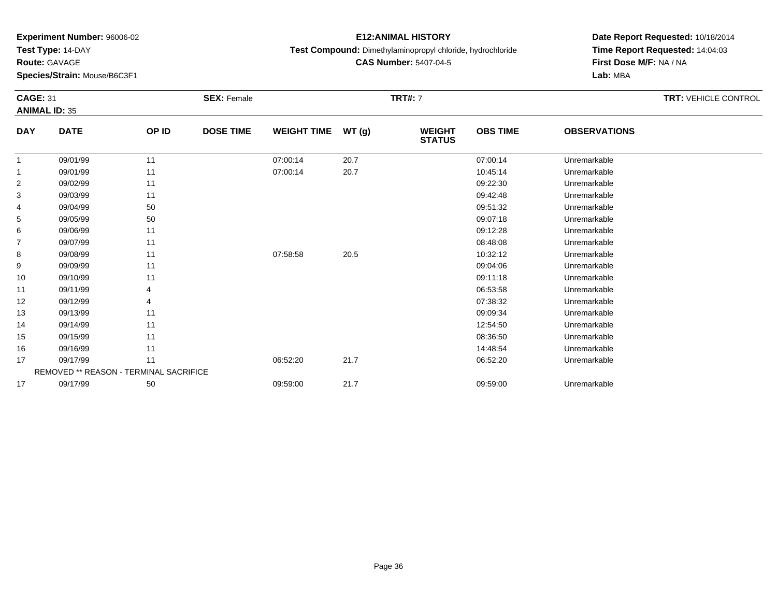**Test Type:** 14-DAY

**Route:** GAVAGE

**Species/Strain:** Mouse/B6C3F1

# **E12:ANIMAL HISTORY**

**Test Compound:** Dimethylaminopropyl chloride, hydrochloride

**CAS Number:** 5407-04-5

| <b>CAGE: 31</b><br><b>ANIMAL ID: 35</b> |                                               |       | <b>SEX: Female</b> |                    |       | <b>TRT#: 7</b>                 |                 | <b>TRT: VEHICLE CONTROL</b> |  |
|-----------------------------------------|-----------------------------------------------|-------|--------------------|--------------------|-------|--------------------------------|-----------------|-----------------------------|--|
| <b>DAY</b>                              | <b>DATE</b>                                   | OP ID | <b>DOSE TIME</b>   | <b>WEIGHT TIME</b> | WT(g) | <b>WEIGHT</b><br><b>STATUS</b> | <b>OBS TIME</b> | <b>OBSERVATIONS</b>         |  |
| 1                                       | 09/01/99                                      | 11    |                    | 07:00:14           | 20.7  |                                | 07:00:14        | Unremarkable                |  |
|                                         | 09/01/99                                      | 11    |                    | 07:00:14           | 20.7  |                                | 10:45:14        | Unremarkable                |  |
| 2                                       | 09/02/99                                      | 11    |                    |                    |       |                                | 09:22:30        | Unremarkable                |  |
| 3                                       | 09/03/99                                      | 11    |                    |                    |       |                                | 09:42:48        | Unremarkable                |  |
| 4                                       | 09/04/99                                      | 50    |                    |                    |       |                                | 09:51:32        | Unremarkable                |  |
| 5                                       | 09/05/99                                      | 50    |                    |                    |       |                                | 09:07:18        | Unremarkable                |  |
| 6                                       | 09/06/99                                      | 11    |                    |                    |       |                                | 09:12:28        | Unremarkable                |  |
| 7                                       | 09/07/99                                      | 11    |                    |                    |       |                                | 08:48:08        | Unremarkable                |  |
| 8                                       | 09/08/99                                      | 11    |                    | 07:58:58           | 20.5  |                                | 10:32:12        | Unremarkable                |  |
| 9                                       | 09/09/99                                      | 11    |                    |                    |       |                                | 09:04:06        | Unremarkable                |  |
| 10                                      | 09/10/99                                      | 11    |                    |                    |       |                                | 09:11:18        | Unremarkable                |  |
| 11                                      | 09/11/99                                      |       |                    |                    |       |                                | 06:53:58        | Unremarkable                |  |
| 12                                      | 09/12/99                                      |       |                    |                    |       |                                | 07:38:32        | Unremarkable                |  |
| 13                                      | 09/13/99                                      | 11    |                    |                    |       |                                | 09:09:34        | Unremarkable                |  |
| 14                                      | 09/14/99                                      | 11    |                    |                    |       |                                | 12:54:50        | Unremarkable                |  |
| 15                                      | 09/15/99                                      | 11    |                    |                    |       |                                | 08:36:50        | Unremarkable                |  |
| 16                                      | 09/16/99                                      | 11    |                    |                    |       |                                | 14:48:54        | Unremarkable                |  |
| 17                                      | 09/17/99                                      | 11    |                    | 06:52:20           | 21.7  |                                | 06:52:20        | Unremarkable                |  |
|                                         | <b>REMOVED ** REASON - TERMINAL SACRIFICE</b> |       |                    |                    |       |                                |                 |                             |  |
| 17                                      | 09/17/99                                      | 50    |                    | 09:59:00           | 21.7  |                                | 09:59:00        | Unremarkable                |  |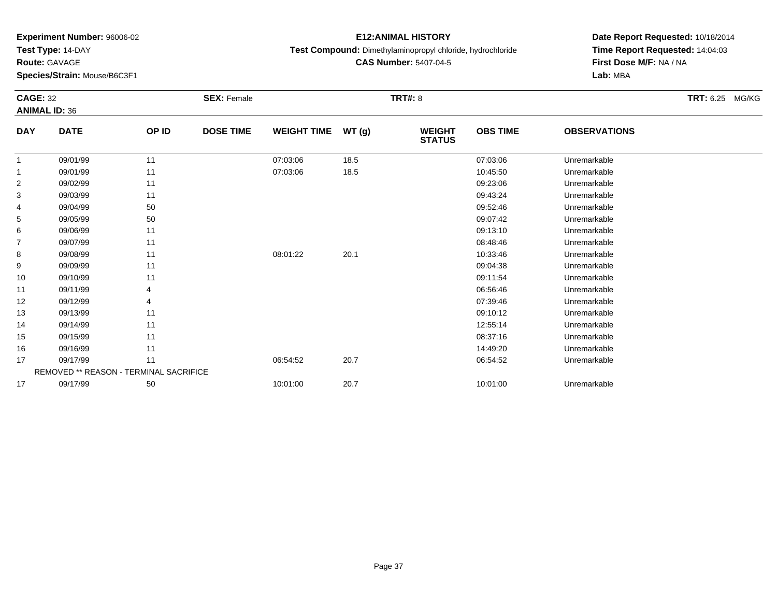**Test Type:** 14-DAY

**Route:** GAVAGE

**Species/Strain:** Mouse/B6C3F1

# **E12:ANIMAL HISTORY**

#### **Test Compound:** Dimethylaminopropyl chloride, hydrochloride

**CAS Number:** 5407-04-5

| <b>CAGE: 32</b> | <b>ANIMAL ID: 36</b>                          |       | <b>SEX: Female</b> |                    |       | <b>TRT#: 8</b>                 |                 |                     | <b>TRT: 6.25 MG/KG</b> |  |
|-----------------|-----------------------------------------------|-------|--------------------|--------------------|-------|--------------------------------|-----------------|---------------------|------------------------|--|
| <b>DAY</b>      | <b>DATE</b>                                   | OP ID | <b>DOSE TIME</b>   | <b>WEIGHT TIME</b> | WT(g) | <b>WEIGHT</b><br><b>STATUS</b> | <b>OBS TIME</b> | <b>OBSERVATIONS</b> |                        |  |
| $\mathbf{1}$    | 09/01/99                                      | 11    |                    | 07:03:06           | 18.5  |                                | 07:03:06        | Unremarkable        |                        |  |
| 1               | 09/01/99                                      | 11    |                    | 07:03:06           | 18.5  |                                | 10:45:50        | Unremarkable        |                        |  |
| $\overline{2}$  | 09/02/99                                      | 11    |                    |                    |       |                                | 09:23:06        | Unremarkable        |                        |  |
| 3               | 09/03/99                                      | 11    |                    |                    |       |                                | 09:43:24        | Unremarkable        |                        |  |
| 4               | 09/04/99                                      | 50    |                    |                    |       |                                | 09:52:46        | Unremarkable        |                        |  |
| 5               | 09/05/99                                      | 50    |                    |                    |       |                                | 09:07:42        | Unremarkable        |                        |  |
| 6               | 09/06/99                                      | 11    |                    |                    |       |                                | 09:13:10        | Unremarkable        |                        |  |
| $\overline{7}$  | 09/07/99                                      | 11    |                    |                    |       |                                | 08:48:46        | Unremarkable        |                        |  |
| 8               | 09/08/99                                      | 11    |                    | 08:01:22           | 20.1  |                                | 10:33:46        | Unremarkable        |                        |  |
| 9               | 09/09/99                                      | 11    |                    |                    |       |                                | 09:04:38        | Unremarkable        |                        |  |
| 10              | 09/10/99                                      | 11    |                    |                    |       |                                | 09:11:54        | Unremarkable        |                        |  |
| 11              | 09/11/99                                      |       |                    |                    |       |                                | 06:56:46        | Unremarkable        |                        |  |
| 12              | 09/12/99                                      | 4     |                    |                    |       |                                | 07:39:46        | Unremarkable        |                        |  |
| 13              | 09/13/99                                      | 11    |                    |                    |       |                                | 09:10:12        | Unremarkable        |                        |  |
| 14              | 09/14/99                                      | 11    |                    |                    |       |                                | 12:55:14        | Unremarkable        |                        |  |
| 15              | 09/15/99                                      | 11    |                    |                    |       |                                | 08:37:16        | Unremarkable        |                        |  |
| 16              | 09/16/99                                      | 11    |                    |                    |       |                                | 14:49:20        | Unremarkable        |                        |  |
| 17              | 09/17/99                                      | 11    |                    | 06:54:52           | 20.7  |                                | 06:54:52        | Unremarkable        |                        |  |
|                 | <b>REMOVED ** REASON - TERMINAL SACRIFICE</b> |       |                    |                    |       |                                |                 |                     |                        |  |
| 17              | 09/17/99                                      | 50    |                    | 10:01:00           | 20.7  |                                | 10:01:00        | Unremarkable        |                        |  |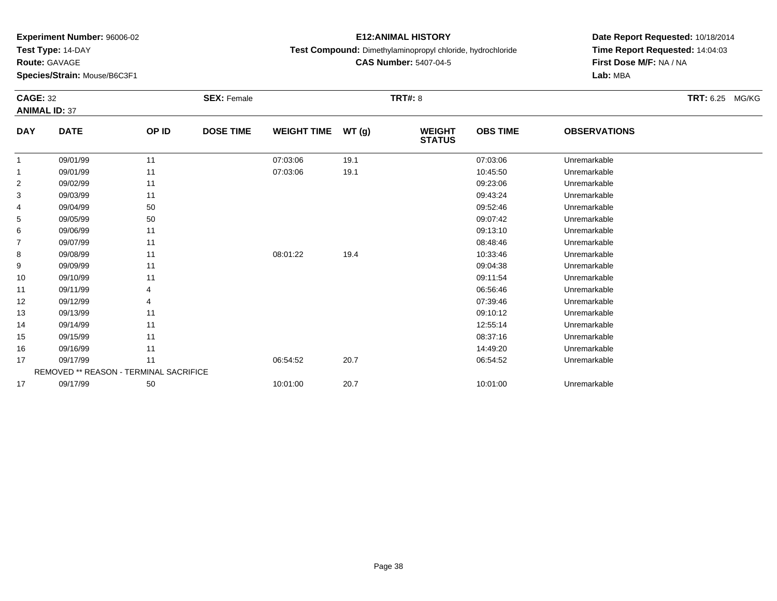**Test Type:** 14-DAY

**Route:** GAVAGE

**Species/Strain:** Mouse/B6C3F1

# **E12:ANIMAL HISTORY**

#### **Test Compound:** Dimethylaminopropyl chloride, hydrochloride

**CAS Number:** 5407-04-5

| <b>CAGE: 32</b> |                                        |       | <b>SEX: Female</b> |                    |       | <b>TRT#: 8</b>                 |                 |                     | <b>TRT: 6.25 MG/KG</b> |
|-----------------|----------------------------------------|-------|--------------------|--------------------|-------|--------------------------------|-----------------|---------------------|------------------------|
|                 | <b>ANIMAL ID: 37</b>                   |       |                    |                    |       |                                |                 |                     |                        |
| <b>DAY</b>      | <b>DATE</b>                            | OP ID | <b>DOSE TIME</b>   | <b>WEIGHT TIME</b> | WT(g) | <b>WEIGHT</b><br><b>STATUS</b> | <b>OBS TIME</b> | <b>OBSERVATIONS</b> |                        |
| $\mathbf{1}$    | 09/01/99                               | 11    |                    | 07:03:06           | 19.1  |                                | 07:03:06        | Unremarkable        |                        |
| $\mathbf{1}$    | 09/01/99                               | 11    |                    | 07:03:06           | 19.1  |                                | 10:45:50        | Unremarkable        |                        |
| $\overline{2}$  | 09/02/99                               | 11    |                    |                    |       |                                | 09:23:06        | Unremarkable        |                        |
| 3               | 09/03/99                               | 11    |                    |                    |       |                                | 09:43:24        | Unremarkable        |                        |
| 4               | 09/04/99                               | 50    |                    |                    |       |                                | 09:52:46        | Unremarkable        |                        |
| 5               | 09/05/99                               | 50    |                    |                    |       |                                | 09:07:42        | Unremarkable        |                        |
| 6               | 09/06/99                               | 11    |                    |                    |       |                                | 09:13:10        | Unremarkable        |                        |
| $\overline{7}$  | 09/07/99                               | 11    |                    |                    |       |                                | 08:48:46        | Unremarkable        |                        |
| 8               | 09/08/99                               | 11    |                    | 08:01:22           | 19.4  |                                | 10:33:46        | Unremarkable        |                        |
| 9               | 09/09/99                               | 11    |                    |                    |       |                                | 09:04:38        | Unremarkable        |                        |
| 10              | 09/10/99                               | 11    |                    |                    |       |                                | 09:11:54        | Unremarkable        |                        |
| 11              | 09/11/99                               |       |                    |                    |       |                                | 06:56:46        | Unremarkable        |                        |
| 12              | 09/12/99                               | 4     |                    |                    |       |                                | 07:39:46        | Unremarkable        |                        |
| 13              | 09/13/99                               | 11    |                    |                    |       |                                | 09:10:12        | Unremarkable        |                        |
| 14              | 09/14/99                               | 11    |                    |                    |       |                                | 12:55:14        | Unremarkable        |                        |
| 15              | 09/15/99                               | 11    |                    |                    |       |                                | 08:37:16        | Unremarkable        |                        |
| 16              | 09/16/99                               | 11    |                    |                    |       |                                | 14:49:20        | Unremarkable        |                        |
| 17              | 09/17/99                               | 11    |                    | 06:54:52           | 20.7  |                                | 06:54:52        | Unremarkable        |                        |
|                 | REMOVED ** REASON - TERMINAL SACRIFICE |       |                    |                    |       |                                |                 |                     |                        |
| 17              | 09/17/99                               | 50    |                    | 10:01:00           | 20.7  |                                | 10:01:00        | Unremarkable        |                        |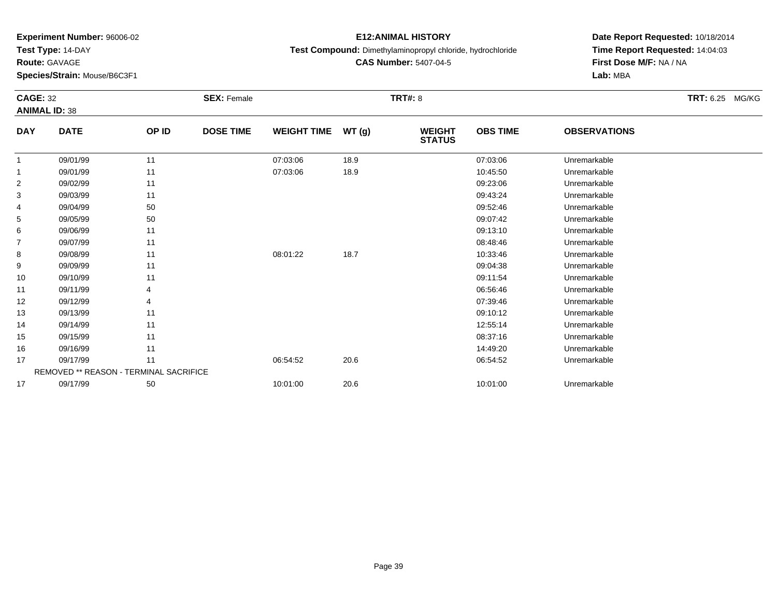**Test Type:** 14-DAY

**Route:** GAVAGE

**Species/Strain:** Mouse/B6C3F1

# **E12:ANIMAL HISTORY**

#### **Test Compound:** Dimethylaminopropyl chloride, hydrochloride

**CAS Number:** 5407-04-5

| <b>CAGE: 32</b>      |                                               | <b>SEX: Female</b> | <b>TRT#: 8</b>   |                    |       |                                |                 |                     |  |
|----------------------|-----------------------------------------------|--------------------|------------------|--------------------|-------|--------------------------------|-----------------|---------------------|--|
| <b>ANIMAL ID: 38</b> |                                               |                    |                  |                    |       |                                |                 |                     |  |
| <b>DAY</b>           | <b>DATE</b>                                   | OP ID              | <b>DOSE TIME</b> | <b>WEIGHT TIME</b> | WT(g) | <b>WEIGHT</b><br><b>STATUS</b> | <b>OBS TIME</b> | <b>OBSERVATIONS</b> |  |
| $\mathbf{1}$         | 09/01/99                                      | 11                 |                  | 07:03:06           | 18.9  |                                | 07:03:06        | Unremarkable        |  |
| 1                    | 09/01/99                                      | 11                 |                  | 07:03:06           | 18.9  |                                | 10:45:50        | Unremarkable        |  |
| 2                    | 09/02/99                                      | 11                 |                  |                    |       |                                | 09:23:06        | Unremarkable        |  |
| 3                    | 09/03/99                                      | 11                 |                  |                    |       |                                | 09:43:24        | Unremarkable        |  |
| 4                    | 09/04/99                                      | 50                 |                  |                    |       |                                | 09:52:46        | Unremarkable        |  |
| 5                    | 09/05/99                                      | 50                 |                  |                    |       |                                | 09:07:42        | Unremarkable        |  |
| 6                    | 09/06/99                                      | 11                 |                  |                    |       |                                | 09:13:10        | Unremarkable        |  |
| 7                    | 09/07/99                                      | 11                 |                  |                    |       |                                | 08:48:46        | Unremarkable        |  |
| 8                    | 09/08/99                                      | 11                 |                  | 08:01:22           | 18.7  |                                | 10:33:46        | Unremarkable        |  |
| 9                    | 09/09/99                                      | 11                 |                  |                    |       |                                | 09:04:38        | Unremarkable        |  |
| 10                   | 09/10/99                                      | 11                 |                  |                    |       |                                | 09:11:54        | Unremarkable        |  |
| 11                   | 09/11/99                                      |                    |                  |                    |       |                                | 06:56:46        | Unremarkable        |  |
| 12                   | 09/12/99                                      |                    |                  |                    |       |                                | 07:39:46        | Unremarkable        |  |
| 13                   | 09/13/99                                      | 11                 |                  |                    |       |                                | 09:10:12        | Unremarkable        |  |
| 14                   | 09/14/99                                      | 11                 |                  |                    |       |                                | 12:55:14        | Unremarkable        |  |
| 15                   | 09/15/99                                      | 11                 |                  |                    |       |                                | 08:37:16        | Unremarkable        |  |
| 16                   | 09/16/99                                      | 11                 |                  |                    |       |                                | 14:49:20        | Unremarkable        |  |
| 17                   | 09/17/99                                      | 11                 |                  | 06:54:52           | 20.6  |                                | 06:54:52        | Unremarkable        |  |
|                      | <b>REMOVED ** REASON - TERMINAL SACRIFICE</b> |                    |                  |                    |       |                                |                 |                     |  |
| 17                   | 09/17/99                                      | 50                 |                  | 10:01:00           | 20.6  |                                | 10:01:00        | Unremarkable        |  |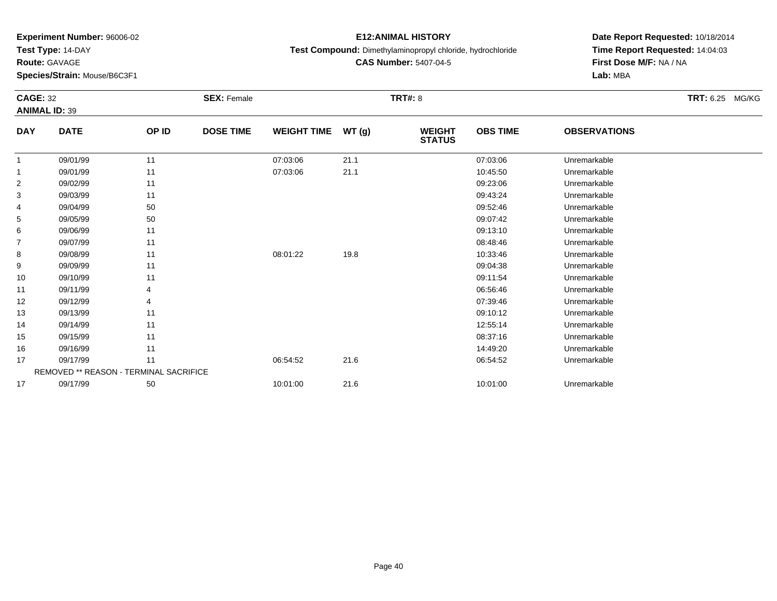**Test Type:** 14-DAY

**Route:** GAVAGE

**Species/Strain:** Mouse/B6C3F1

# **E12:ANIMAL HISTORY**

#### **Test Compound:** Dimethylaminopropyl chloride, hydrochloride

**CAS Number:** 5407-04-5

|                | <b>CAGE: 32</b><br><b>ANIMAL ID: 39</b>       |       | <b>SEX: Female</b> |                    |       | <b>TRT#: 8</b>                 |                 | TRT: 6.25 MG/KG     |  |  |
|----------------|-----------------------------------------------|-------|--------------------|--------------------|-------|--------------------------------|-----------------|---------------------|--|--|
|                |                                               |       |                    |                    |       |                                |                 |                     |  |  |
| <b>DAY</b>     | <b>DATE</b>                                   | OP ID | <b>DOSE TIME</b>   | <b>WEIGHT TIME</b> | WT(g) | <b>WEIGHT</b><br><b>STATUS</b> | <b>OBS TIME</b> | <b>OBSERVATIONS</b> |  |  |
|                | 09/01/99                                      | 11    |                    | 07:03:06           | 21.1  |                                | 07:03:06        | Unremarkable        |  |  |
| $\overline{1}$ | 09/01/99                                      | 11    |                    | 07:03:06           | 21.1  |                                | 10:45:50        | Unremarkable        |  |  |
| $\overline{2}$ | 09/02/99                                      | 11    |                    |                    |       |                                | 09:23:06        | Unremarkable        |  |  |
| 3              | 09/03/99                                      | 11    |                    |                    |       |                                | 09:43:24        | Unremarkable        |  |  |
| 4              | 09/04/99                                      | 50    |                    |                    |       |                                | 09:52:46        | Unremarkable        |  |  |
| 5              | 09/05/99                                      | 50    |                    |                    |       |                                | 09:07:42        | Unremarkable        |  |  |
| 6              | 09/06/99                                      | 11    |                    |                    |       |                                | 09:13:10        | Unremarkable        |  |  |
| $\overline{7}$ | 09/07/99                                      | 11    |                    |                    |       |                                | 08:48:46        | Unremarkable        |  |  |
| 8              | 09/08/99                                      | 11    |                    | 08:01:22           | 19.8  |                                | 10:33:46        | Unremarkable        |  |  |
| 9              | 09/09/99                                      | 11    |                    |                    |       |                                | 09:04:38        | Unremarkable        |  |  |
| 10             | 09/10/99                                      | 11    |                    |                    |       |                                | 09:11:54        | Unremarkable        |  |  |
| 11             | 09/11/99                                      |       |                    |                    |       |                                | 06:56:46        | Unremarkable        |  |  |
| 12             | 09/12/99                                      | 4     |                    |                    |       |                                | 07:39:46        | Unremarkable        |  |  |
| 13             | 09/13/99                                      | 11    |                    |                    |       |                                | 09:10:12        | Unremarkable        |  |  |
| 14             | 09/14/99                                      | 11    |                    |                    |       |                                | 12:55:14        | Unremarkable        |  |  |
| 15             | 09/15/99                                      | 11    |                    |                    |       |                                | 08:37:16        | Unremarkable        |  |  |
| 16             | 09/16/99                                      | 11    |                    |                    |       |                                | 14:49:20        | Unremarkable        |  |  |
| 17             | 09/17/99                                      | 11    |                    | 06:54:52           | 21.6  |                                | 06:54:52        | Unremarkable        |  |  |
|                | <b>REMOVED ** REASON - TERMINAL SACRIFICE</b> |       |                    |                    |       |                                |                 |                     |  |  |
| 17             | 09/17/99                                      | 50    |                    | 10:01:00           | 21.6  |                                | 10:01:00        | Unremarkable        |  |  |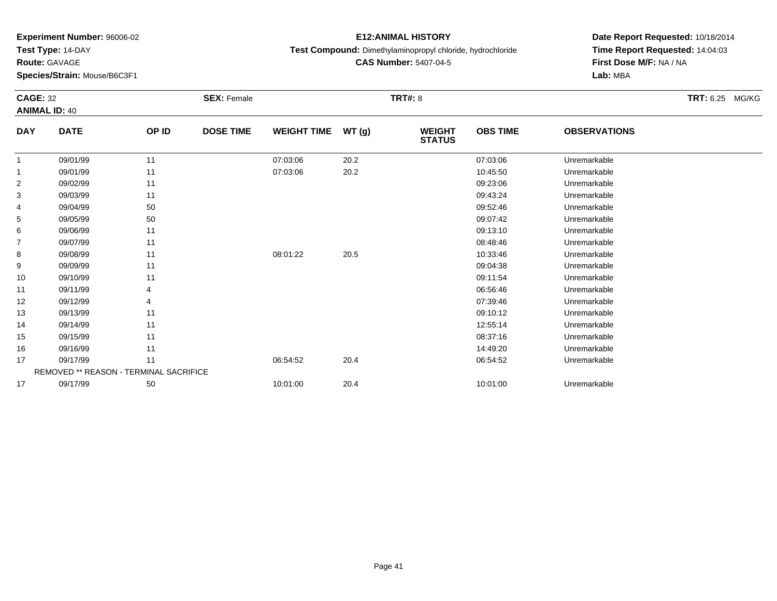**Test Type:** 14-DAY

**Route:** GAVAGE

**Species/Strain:** Mouse/B6C3F1

# **E12:ANIMAL HISTORY**

#### **Test Compound:** Dimethylaminopropyl chloride, hydrochloride

**CAS Number:** 5407-04-5

| <b>CAGE: 32</b><br><b>ANIMAL ID: 40</b> |                                        |       | <b>SEX: Female</b> |                    |       | <b>TRT#: 8</b>                 |                 | <b>TRT: 6.25 MG/KG</b> |  |
|-----------------------------------------|----------------------------------------|-------|--------------------|--------------------|-------|--------------------------------|-----------------|------------------------|--|
| <b>DAY</b>                              | <b>DATE</b>                            | OP ID | <b>DOSE TIME</b>   | <b>WEIGHT TIME</b> | WT(g) | <b>WEIGHT</b><br><b>STATUS</b> | <b>OBS TIME</b> | <b>OBSERVATIONS</b>    |  |
| $\overline{1}$                          | 09/01/99                               | 11    |                    | 07:03:06           | 20.2  |                                | 07:03:06        | Unremarkable           |  |
| -1                                      | 09/01/99                               | 11    |                    | 07:03:06           | 20.2  |                                | 10:45:50        | Unremarkable           |  |
| 2                                       | 09/02/99                               | 11    |                    |                    |       |                                | 09:23:06        | Unremarkable           |  |
| 3                                       | 09/03/99                               | 11    |                    |                    |       |                                | 09:43:24        | Unremarkable           |  |
| 4                                       | 09/04/99                               | 50    |                    |                    |       |                                | 09:52:46        | Unremarkable           |  |
| 5                                       | 09/05/99                               | 50    |                    |                    |       |                                | 09:07:42        | Unremarkable           |  |
| 6                                       | 09/06/99                               | 11    |                    |                    |       |                                | 09:13:10        | Unremarkable           |  |
| $\overline{7}$                          | 09/07/99                               | 11    |                    |                    |       |                                | 08:48:46        | Unremarkable           |  |
| 8                                       | 09/08/99                               | 11    |                    | 08:01:22           | 20.5  |                                | 10:33:46        | Unremarkable           |  |
| 9                                       | 09/09/99                               | 11    |                    |                    |       |                                | 09:04:38        | Unremarkable           |  |
| 10                                      | 09/10/99                               | 11    |                    |                    |       |                                | 09:11:54        | Unremarkable           |  |
| 11                                      | 09/11/99                               |       |                    |                    |       |                                | 06:56:46        | Unremarkable           |  |
| 12                                      | 09/12/99                               |       |                    |                    |       |                                | 07:39:46        | Unremarkable           |  |
| 13                                      | 09/13/99                               | 11    |                    |                    |       |                                | 09:10:12        | Unremarkable           |  |
| 14                                      | 09/14/99                               | 11    |                    |                    |       |                                | 12:55:14        | Unremarkable           |  |
| 15                                      | 09/15/99                               | 11    |                    |                    |       |                                | 08:37:16        | Unremarkable           |  |
| 16                                      | 09/16/99                               | 11    |                    |                    |       |                                | 14:49:20        | Unremarkable           |  |
| 17                                      | 09/17/99                               | 11    |                    | 06:54:52           | 20.4  |                                | 06:54:52        | Unremarkable           |  |
|                                         | REMOVED ** REASON - TERMINAL SACRIFICE |       |                    |                    |       |                                |                 |                        |  |
| 17                                      | 09/17/99                               | 50    |                    | 10:01:00           | 20.4  |                                | 10:01:00        | Unremarkable           |  |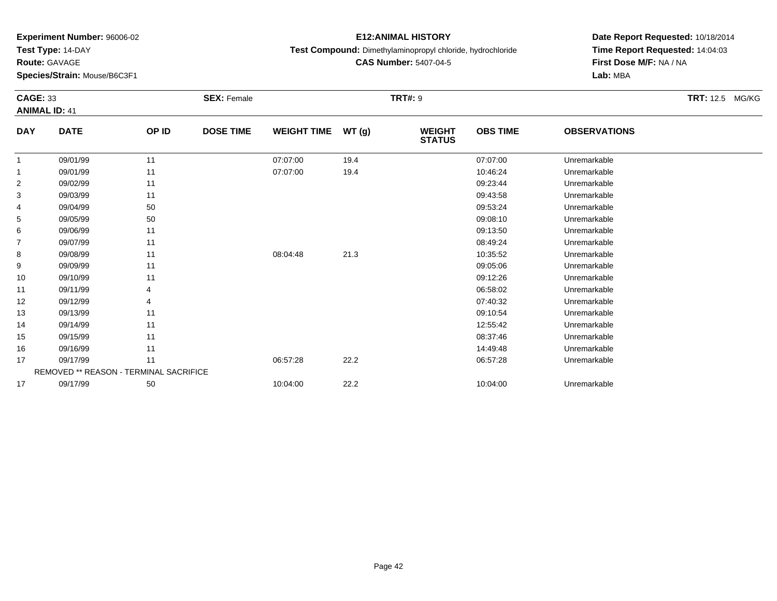**Test Type:** 14-DAY

**Route:** GAVAGE

**Species/Strain:** Mouse/B6C3F1

# **E12:ANIMAL HISTORY**

**Test Compound:** Dimethylaminopropyl chloride, hydrochloride

**CAS Number:** 5407-04-5

| <b>CAGE: 33</b><br><b>ANIMAL ID: 41</b> |                                        |       | <b>SEX: Female</b> |                    |       | <b>TRT#: 9</b>                 |                 |                     | <b>TRT: 12.5 MG/KG</b> |
|-----------------------------------------|----------------------------------------|-------|--------------------|--------------------|-------|--------------------------------|-----------------|---------------------|------------------------|
| <b>DAY</b>                              | <b>DATE</b>                            | OP ID | <b>DOSE TIME</b>   | <b>WEIGHT TIME</b> | WT(g) | <b>WEIGHT</b><br><b>STATUS</b> | <b>OBS TIME</b> | <b>OBSERVATIONS</b> |                        |
|                                         | 09/01/99                               | 11    |                    | 07:07:00           | 19.4  |                                | 07:07:00        | Unremarkable        |                        |
|                                         | 09/01/99                               | 11    |                    | 07:07:00           | 19.4  |                                | 10:46:24        | Unremarkable        |                        |
| $\overline{2}$                          | 09/02/99                               | 11    |                    |                    |       |                                | 09:23:44        | Unremarkable        |                        |
| 3                                       | 09/03/99                               | 11    |                    |                    |       |                                | 09:43:58        | Unremarkable        |                        |
| 4                                       | 09/04/99                               | 50    |                    |                    |       |                                | 09:53:24        | Unremarkable        |                        |
| 5                                       | 09/05/99                               | 50    |                    |                    |       |                                | 09:08:10        | Unremarkable        |                        |
| 6                                       | 09/06/99                               | 11    |                    |                    |       |                                | 09:13:50        | Unremarkable        |                        |
| $\overline{7}$                          | 09/07/99                               | 11    |                    |                    |       |                                | 08:49:24        | Unremarkable        |                        |
| 8                                       | 09/08/99                               | 11    |                    | 08:04:48           | 21.3  |                                | 10:35:52        | Unremarkable        |                        |
| 9                                       | 09/09/99                               | 11    |                    |                    |       |                                | 09:05:06        | Unremarkable        |                        |
| 10                                      | 09/10/99                               | 11    |                    |                    |       |                                | 09:12:26        | Unremarkable        |                        |
| 11                                      | 09/11/99                               |       |                    |                    |       |                                | 06:58:02        | Unremarkable        |                        |
| 12                                      | 09/12/99                               |       |                    |                    |       |                                | 07:40:32        | Unremarkable        |                        |
| 13                                      | 09/13/99                               | 11    |                    |                    |       |                                | 09:10:54        | Unremarkable        |                        |
| 14                                      | 09/14/99                               | 11    |                    |                    |       |                                | 12:55:42        | Unremarkable        |                        |
| 15                                      | 09/15/99                               | 11    |                    |                    |       |                                | 08:37:46        | Unremarkable        |                        |
| 16                                      | 09/16/99                               | 11    |                    |                    |       |                                | 14:49:48        | Unremarkable        |                        |
| 17                                      | 09/17/99                               | 11    |                    | 06:57:28           | 22.2  |                                | 06:57:28        | Unremarkable        |                        |
|                                         | REMOVED ** REASON - TERMINAL SACRIFICE |       |                    |                    |       |                                |                 |                     |                        |
| 17                                      | 09/17/99                               | 50    |                    | 10:04:00           | 22.2  |                                | 10:04:00        | Unremarkable        |                        |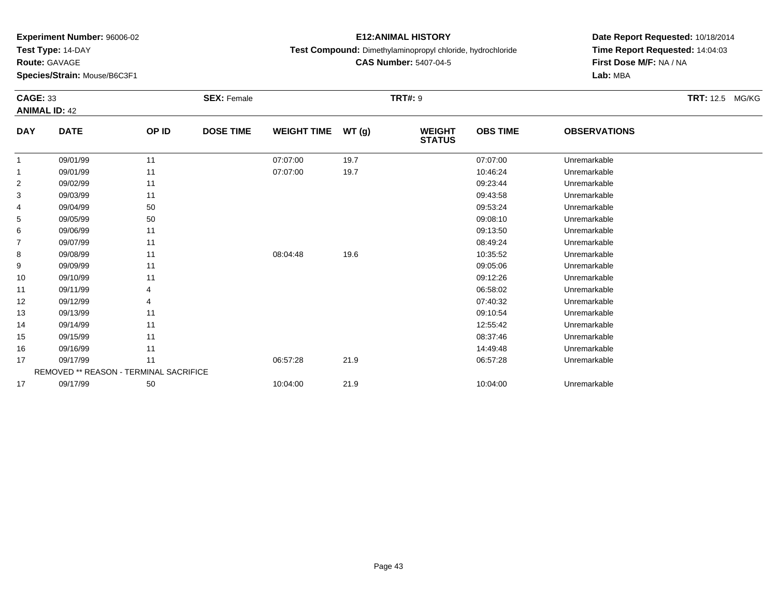**Test Type:** 14-DAY

**Route:** GAVAGE

**Species/Strain:** Mouse/B6C3F1

# **E12:ANIMAL HISTORY**

**Test Compound:** Dimethylaminopropyl chloride, hydrochloride

**CAS Number:** 5407-04-5

| <b>CAGE: 33</b> | <b>ANIMAL ID: 42</b>                   |       | <b>SEX: Female</b> |                    |       | <b>TRT#: 9</b>                 |                 |                     | <b>TRT: 12.5 MG/KG</b> |
|-----------------|----------------------------------------|-------|--------------------|--------------------|-------|--------------------------------|-----------------|---------------------|------------------------|
| <b>DAY</b>      | <b>DATE</b>                            | OP ID | <b>DOSE TIME</b>   | <b>WEIGHT TIME</b> | WT(g) | <b>WEIGHT</b><br><b>STATUS</b> | <b>OBS TIME</b> | <b>OBSERVATIONS</b> |                        |
| $\overline{1}$  | 09/01/99                               | 11    |                    | 07:07:00           | 19.7  |                                | 07:07:00        | Unremarkable        |                        |
| $\mathbf 1$     | 09/01/99                               | 11    |                    | 07:07:00           | 19.7  |                                | 10:46:24        | Unremarkable        |                        |
| 2               | 09/02/99                               | 11    |                    |                    |       |                                | 09:23:44        | Unremarkable        |                        |
| 3               | 09/03/99                               | 11    |                    |                    |       |                                | 09:43:58        | Unremarkable        |                        |
| 4               | 09/04/99                               | 50    |                    |                    |       |                                | 09:53:24        | Unremarkable        |                        |
| 5               | 09/05/99                               | 50    |                    |                    |       |                                | 09:08:10        | Unremarkable        |                        |
| 6               | 09/06/99                               | 11    |                    |                    |       |                                | 09:13:50        | Unremarkable        |                        |
| $\overline{7}$  | 09/07/99                               | 11    |                    |                    |       |                                | 08:49:24        | Unremarkable        |                        |
| 8               | 09/08/99                               | 11    |                    | 08:04:48           | 19.6  |                                | 10:35:52        | Unremarkable        |                        |
| 9               | 09/09/99                               | 11    |                    |                    |       |                                | 09:05:06        | Unremarkable        |                        |
| 10              | 09/10/99                               | 11    |                    |                    |       |                                | 09:12:26        | Unremarkable        |                        |
| 11              | 09/11/99                               |       |                    |                    |       |                                | 06:58:02        | Unremarkable        |                        |
| 12              | 09/12/99                               |       |                    |                    |       |                                | 07:40:32        | Unremarkable        |                        |
| 13              | 09/13/99                               | 11    |                    |                    |       |                                | 09:10:54        | Unremarkable        |                        |
| 14              | 09/14/99                               | 11    |                    |                    |       |                                | 12:55:42        | Unremarkable        |                        |
| 15              | 09/15/99                               | 11    |                    |                    |       |                                | 08:37:46        | Unremarkable        |                        |
| 16              | 09/16/99                               | 11    |                    |                    |       |                                | 14:49:48        | Unremarkable        |                        |
| 17              | 09/17/99                               | 11    |                    | 06:57:28           | 21.9  |                                | 06:57:28        | Unremarkable        |                        |
|                 | REMOVED ** REASON - TERMINAL SACRIFICE |       |                    |                    |       |                                |                 |                     |                        |
| 17              | 09/17/99                               | 50    |                    | 10:04:00           | 21.9  |                                | 10:04:00        | Unremarkable        |                        |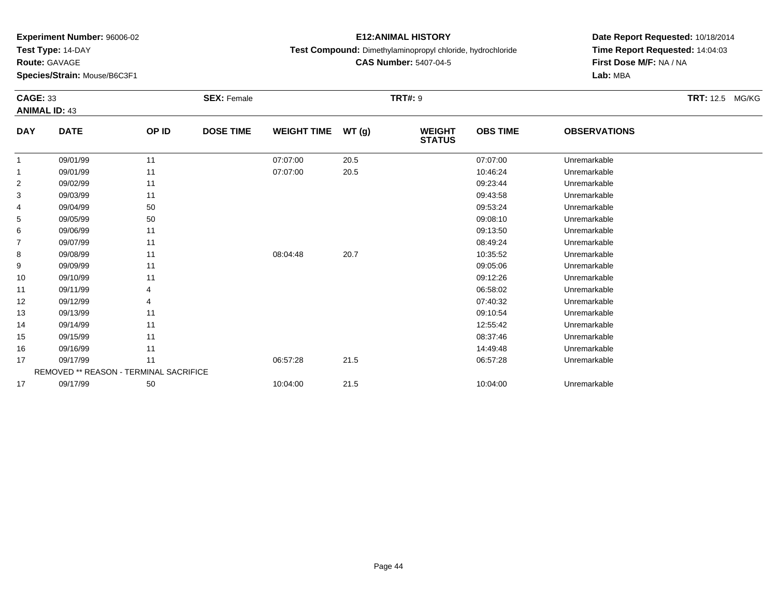**Test Type:** 14-DAY

**Route:** GAVAGE

**Species/Strain:** Mouse/B6C3F1

# **E12:ANIMAL HISTORY**

**Test Compound:** Dimethylaminopropyl chloride, hydrochloride

**CAS Number:** 5407-04-5

| <b>CAGE: 33</b> | <b>ANIMAL ID: 43</b>                   |       | <b>SEX: Female</b> |                    |       | <b>TRT#: 9</b>                 |                 |                     | <b>TRT:</b> 12.5 MG/KG |
|-----------------|----------------------------------------|-------|--------------------|--------------------|-------|--------------------------------|-----------------|---------------------|------------------------|
| <b>DAY</b>      | <b>DATE</b>                            | OP ID | <b>DOSE TIME</b>   | <b>WEIGHT TIME</b> | WT(g) | <b>WEIGHT</b><br><b>STATUS</b> | <b>OBS TIME</b> | <b>OBSERVATIONS</b> |                        |
| -1              | 09/01/99                               | 11    |                    | 07:07:00           | 20.5  |                                | 07:07:00        | Unremarkable        |                        |
| -1              | 09/01/99                               | 11    |                    | 07:07:00           | 20.5  |                                | 10:46:24        | Unremarkable        |                        |
| $\overline{2}$  | 09/02/99                               | 11    |                    |                    |       |                                | 09:23:44        | Unremarkable        |                        |
| 3               | 09/03/99                               | 11    |                    |                    |       |                                | 09:43:58        | Unremarkable        |                        |
| 4               | 09/04/99                               | 50    |                    |                    |       |                                | 09:53:24        | Unremarkable        |                        |
| 5               | 09/05/99                               | 50    |                    |                    |       |                                | 09:08:10        | Unremarkable        |                        |
| 6               | 09/06/99                               | 11    |                    |                    |       |                                | 09:13:50        | Unremarkable        |                        |
| $\overline{7}$  | 09/07/99                               | 11    |                    |                    |       |                                | 08:49:24        | Unremarkable        |                        |
| 8               | 09/08/99                               | 11    |                    | 08:04:48           | 20.7  |                                | 10:35:52        | Unremarkable        |                        |
| 9               | 09/09/99                               | 11    |                    |                    |       |                                | 09:05:06        | Unremarkable        |                        |
| 10              | 09/10/99                               | 11    |                    |                    |       |                                | 09:12:26        | Unremarkable        |                        |
| 11              | 09/11/99                               |       |                    |                    |       |                                | 06:58:02        | Unremarkable        |                        |
| 12              | 09/12/99                               |       |                    |                    |       |                                | 07:40:32        | Unremarkable        |                        |
| 13              | 09/13/99                               | 11    |                    |                    |       |                                | 09:10:54        | Unremarkable        |                        |
| 14              | 09/14/99                               | 11    |                    |                    |       |                                | 12:55:42        | Unremarkable        |                        |
| 15              | 09/15/99                               | 11    |                    |                    |       |                                | 08:37:46        | Unremarkable        |                        |
| 16              | 09/16/99                               | 11    |                    |                    |       |                                | 14:49:48        | Unremarkable        |                        |
| 17              | 09/17/99                               | 11    |                    | 06:57:28           | 21.5  |                                | 06:57:28        | Unremarkable        |                        |
|                 | REMOVED ** REASON - TERMINAL SACRIFICE |       |                    |                    |       |                                |                 |                     |                        |
| 17              | 09/17/99                               | 50    |                    | 10:04:00           | 21.5  |                                | 10:04:00        | Unremarkable        |                        |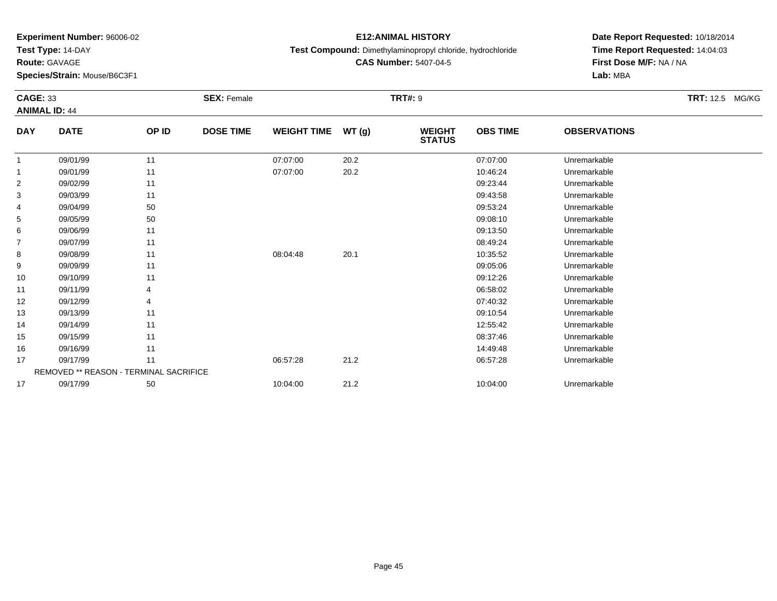**Test Type:** 14-DAY

**Route:** GAVAGE

**Species/Strain:** Mouse/B6C3F1

# **E12:ANIMAL HISTORY**

**Test Compound:** Dimethylaminopropyl chloride, hydrochloride

**CAS Number:** 5407-04-5

| <b>CAGE: 33</b><br><b>ANIMAL ID: 44</b> |                                        |       | <b>SEX: Female</b> |                    |       | <b>TRT#: 9</b>                 |                 |                     | <b>TRT:</b> 12.5 MG/KG |
|-----------------------------------------|----------------------------------------|-------|--------------------|--------------------|-------|--------------------------------|-----------------|---------------------|------------------------|
| <b>DAY</b>                              | <b>DATE</b>                            | OP ID | <b>DOSE TIME</b>   | <b>WEIGHT TIME</b> | WT(g) | <b>WEIGHT</b><br><b>STATUS</b> | <b>OBS TIME</b> | <b>OBSERVATIONS</b> |                        |
| -1                                      | 09/01/99                               | 11    |                    | 07:07:00           | 20.2  |                                | 07:07:00        | Unremarkable        |                        |
| -1                                      | 09/01/99                               | 11    |                    | 07:07:00           | 20.2  |                                | 10:46:24        | Unremarkable        |                        |
| $\overline{2}$                          | 09/02/99                               | 11    |                    |                    |       |                                | 09:23:44        | Unremarkable        |                        |
| 3                                       | 09/03/99                               | 11    |                    |                    |       |                                | 09:43:58        | Unremarkable        |                        |
| 4                                       | 09/04/99                               | 50    |                    |                    |       |                                | 09:53:24        | Unremarkable        |                        |
| 5                                       | 09/05/99                               | 50    |                    |                    |       |                                | 09:08:10        | Unremarkable        |                        |
| 6                                       | 09/06/99                               | 11    |                    |                    |       |                                | 09:13:50        | Unremarkable        |                        |
| $\overline{7}$                          | 09/07/99                               | 11    |                    |                    |       |                                | 08:49:24        | Unremarkable        |                        |
| 8                                       | 09/08/99                               | 11    |                    | 08:04:48           | 20.1  |                                | 10:35:52        | Unremarkable        |                        |
| 9                                       | 09/09/99                               | 11    |                    |                    |       |                                | 09:05:06        | Unremarkable        |                        |
| 10                                      | 09/10/99                               | 11    |                    |                    |       |                                | 09:12:26        | Unremarkable        |                        |
| 11                                      | 09/11/99                               |       |                    |                    |       |                                | 06:58:02        | Unremarkable        |                        |
| 12                                      | 09/12/99                               |       |                    |                    |       |                                | 07:40:32        | Unremarkable        |                        |
| 13                                      | 09/13/99                               | 11    |                    |                    |       |                                | 09:10:54        | Unremarkable        |                        |
| 14                                      | 09/14/99                               | 11    |                    |                    |       |                                | 12:55:42        | Unremarkable        |                        |
| 15                                      | 09/15/99                               | 11    |                    |                    |       |                                | 08:37:46        | Unremarkable        |                        |
| 16                                      | 09/16/99                               | 11    |                    |                    |       |                                | 14:49:48        | Unremarkable        |                        |
| 17                                      | 09/17/99                               | 11    |                    | 06:57:28           | 21.2  |                                | 06:57:28        | Unremarkable        |                        |
|                                         | REMOVED ** REASON - TERMINAL SACRIFICE |       |                    |                    |       |                                |                 |                     |                        |
| 17                                      | 09/17/99                               | 50    |                    | 10:04:00           | 21.2  |                                | 10:04:00        | Unremarkable        |                        |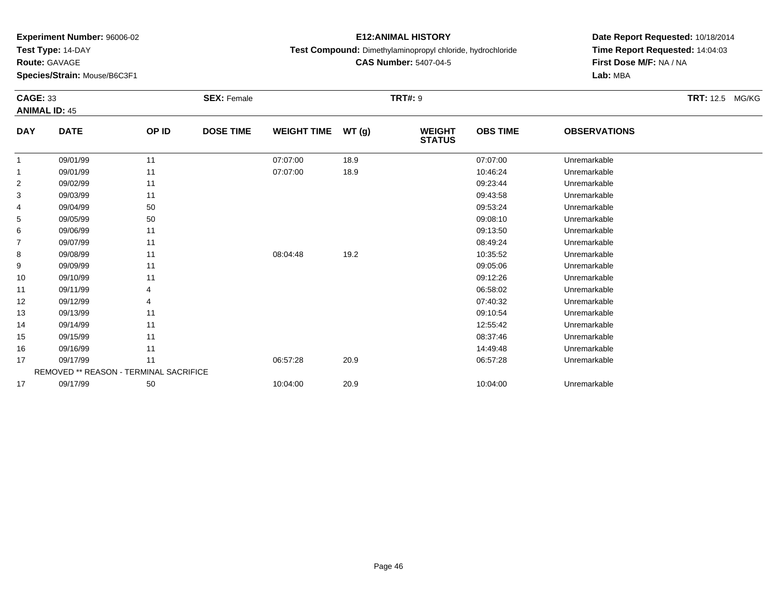**Test Type:** 14-DAY

**Route:** GAVAGE

**Species/Strain:** Mouse/B6C3F1

# **E12:ANIMAL HISTORY**

**Test Compound:** Dimethylaminopropyl chloride, hydrochloride

**CAS Number:** 5407-04-5

|                | <b>CAGE: 33</b><br><b>ANIMAL ID: 45</b> |       | <b>SEX: Female</b> |                    | <b>TRT:</b> 12.5 MG/KG |                                |                 |                     |  |
|----------------|-----------------------------------------|-------|--------------------|--------------------|------------------------|--------------------------------|-----------------|---------------------|--|
|                |                                         |       |                    |                    |                        |                                |                 |                     |  |
| <b>DAY</b>     | <b>DATE</b>                             | OP ID | <b>DOSE TIME</b>   | <b>WEIGHT TIME</b> | WT(g)                  | <b>WEIGHT</b><br><b>STATUS</b> | <b>OBS TIME</b> | <b>OBSERVATIONS</b> |  |
| -1             | 09/01/99                                | 11    |                    | 07:07:00           | 18.9                   |                                | 07:07:00        | Unremarkable        |  |
| -1             | 09/01/99                                | 11    |                    | 07:07:00           | 18.9                   |                                | 10:46:24        | Unremarkable        |  |
| $\overline{2}$ | 09/02/99                                | 11    |                    |                    |                        |                                | 09:23:44        | Unremarkable        |  |
| 3              | 09/03/99                                | 11    |                    |                    |                        |                                | 09:43:58        | Unremarkable        |  |
| 4              | 09/04/99                                | 50    |                    |                    |                        |                                | 09:53:24        | Unremarkable        |  |
| 5              | 09/05/99                                | 50    |                    |                    |                        |                                | 09:08:10        | Unremarkable        |  |
| 6              | 09/06/99                                | 11    |                    |                    |                        |                                | 09:13:50        | Unremarkable        |  |
| $\overline{7}$ | 09/07/99                                | 11    |                    |                    |                        |                                | 08:49:24        | Unremarkable        |  |
| 8              | 09/08/99                                | 11    |                    | 08:04:48           | 19.2                   |                                | 10:35:52        | Unremarkable        |  |
| 9              | 09/09/99                                | 11    |                    |                    |                        |                                | 09:05:06        | Unremarkable        |  |
| 10             | 09/10/99                                | 11    |                    |                    |                        |                                | 09:12:26        | Unremarkable        |  |
| 11             | 09/11/99                                |       |                    |                    |                        |                                | 06:58:02        | Unremarkable        |  |
| 12             | 09/12/99                                |       |                    |                    |                        |                                | 07:40:32        | Unremarkable        |  |
| 13             | 09/13/99                                | 11    |                    |                    |                        |                                | 09:10:54        | Unremarkable        |  |
| 14             | 09/14/99                                | 11    |                    |                    |                        |                                | 12:55:42        | Unremarkable        |  |
| 15             | 09/15/99                                | 11    |                    |                    |                        |                                | 08:37:46        | Unremarkable        |  |
| 16             | 09/16/99                                | 11    |                    |                    |                        |                                | 14:49:48        | Unremarkable        |  |
| 17             | 09/17/99                                | 11    |                    | 06:57:28           | 20.9                   |                                | 06:57:28        | Unremarkable        |  |
|                | REMOVED ** REASON - TERMINAL SACRIFICE  |       |                    |                    |                        |                                |                 |                     |  |
| 17             | 09/17/99                                | 50    |                    | 10:04:00           | 20.9                   |                                | 10:04:00        | Unremarkable        |  |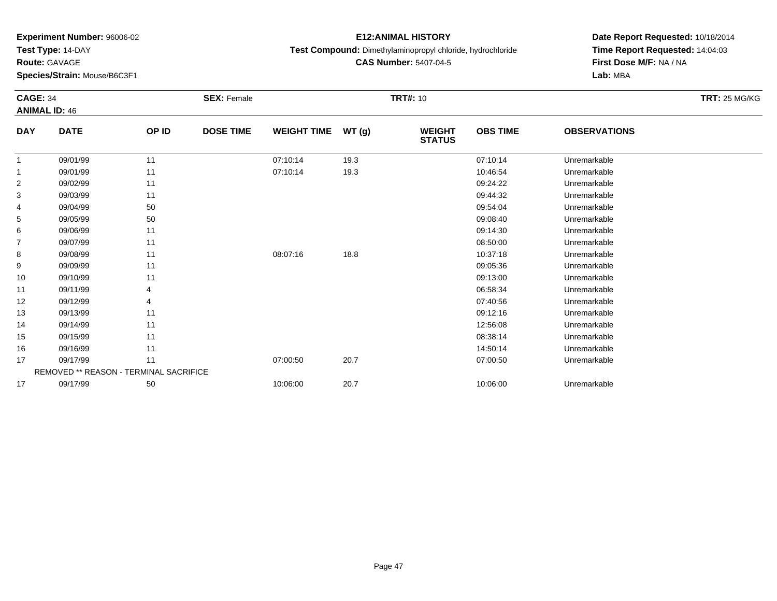**Test Type:** 14-DAY

**Route:** GAVAGE

**Species/Strain:** Mouse/B6C3F1

# **E12:ANIMAL HISTORY**

**Test Compound:** Dimethylaminopropyl chloride, hydrochloride

**CAS Number:** 5407-04-5

| <b>CAGE: 34</b><br><b>ANIMAL ID: 46</b> |                                        |       | <b>SEX: Female</b> |                    |       | <b>TRT#: 10</b>                |                 |                     | <b>TRT: 25 MG/KG</b> |
|-----------------------------------------|----------------------------------------|-------|--------------------|--------------------|-------|--------------------------------|-----------------|---------------------|----------------------|
| <b>DAY</b>                              | <b>DATE</b>                            | OP ID | <b>DOSE TIME</b>   | <b>WEIGHT TIME</b> | WT(g) | <b>WEIGHT</b><br><b>STATUS</b> | <b>OBS TIME</b> | <b>OBSERVATIONS</b> |                      |
|                                         | 09/01/99                               | 11    |                    | 07:10:14           | 19.3  |                                | 07:10:14        | Unremarkable        |                      |
|                                         | 09/01/99                               | 11    |                    | 07:10:14           | 19.3  |                                | 10:46:54        | Unremarkable        |                      |
| $\overline{c}$                          | 09/02/99                               | 11    |                    |                    |       |                                | 09:24:22        | Unremarkable        |                      |
| 3                                       | 09/03/99                               | 11    |                    |                    |       |                                | 09:44:32        | Unremarkable        |                      |
| 4                                       | 09/04/99                               | 50    |                    |                    |       |                                | 09:54:04        | Unremarkable        |                      |
| 5                                       | 09/05/99                               | 50    |                    |                    |       |                                | 09:08:40        | Unremarkable        |                      |
| 6                                       | 09/06/99                               | 11    |                    |                    |       |                                | 09:14:30        | Unremarkable        |                      |
| 7                                       | 09/07/99                               | 11    |                    |                    |       |                                | 08:50:00        | Unremarkable        |                      |
| 8                                       | 09/08/99                               | 11    |                    | 08:07:16           | 18.8  |                                | 10:37:18        | Unremarkable        |                      |
| 9                                       | 09/09/99                               | 11    |                    |                    |       |                                | 09:05:36        | Unremarkable        |                      |
| 10                                      | 09/10/99                               | 11    |                    |                    |       |                                | 09:13:00        | Unremarkable        |                      |
| 11                                      | 09/11/99                               |       |                    |                    |       |                                | 06:58:34        | Unremarkable        |                      |
| 12                                      | 09/12/99                               |       |                    |                    |       |                                | 07:40:56        | Unremarkable        |                      |
| 13                                      | 09/13/99                               | 11    |                    |                    |       |                                | 09:12:16        | Unremarkable        |                      |
| 14                                      | 09/14/99                               | 11    |                    |                    |       |                                | 12:56:08        | Unremarkable        |                      |
| 15                                      | 09/15/99                               | 11    |                    |                    |       |                                | 08:38:14        | Unremarkable        |                      |
| 16                                      | 09/16/99                               | 11    |                    |                    |       |                                | 14:50:14        | Unremarkable        |                      |
| 17                                      | 09/17/99                               | 11    |                    | 07:00:50           | 20.7  |                                | 07:00:50        | Unremarkable        |                      |
|                                         | REMOVED ** REASON - TERMINAL SACRIFICE |       |                    |                    |       |                                |                 |                     |                      |
| 17                                      | 09/17/99                               | 50    |                    | 10:06:00           | 20.7  |                                | 10:06:00        | Unremarkable        |                      |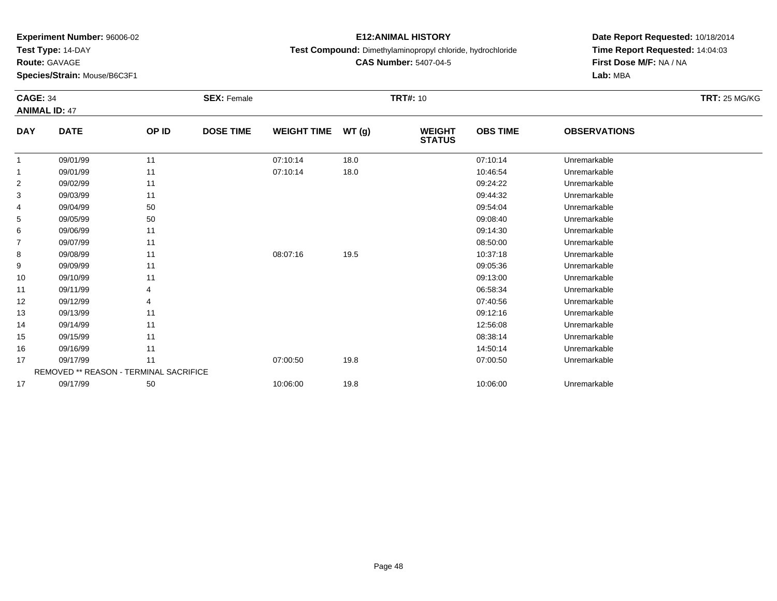**Test Type:** 14-DAY

**Route:** GAVAGE

**Species/Strain:** Mouse/B6C3F1

# **E12:ANIMAL HISTORY**

**Test Compound:** Dimethylaminopropyl chloride, hydrochloride

**CAS Number:** 5407-04-5

| <b>CAGE: 34</b> | <b>ANIMAL ID: 47</b>                          |       | <b>SEX: Female</b> |                    |       | <b>TRT#: 10</b>                |                 |                     | <b>TRT: 25 MG/KG</b> |
|-----------------|-----------------------------------------------|-------|--------------------|--------------------|-------|--------------------------------|-----------------|---------------------|----------------------|
| <b>DAY</b>      | <b>DATE</b>                                   | OP ID | <b>DOSE TIME</b>   | <b>WEIGHT TIME</b> | WT(g) | <b>WEIGHT</b><br><b>STATUS</b> | <b>OBS TIME</b> | <b>OBSERVATIONS</b> |                      |
|                 | 09/01/99                                      | 11    |                    | 07:10:14           | 18.0  |                                | 07:10:14        | Unremarkable        |                      |
|                 | 09/01/99                                      | 11    |                    | 07:10:14           | 18.0  |                                | 10:46:54        | Unremarkable        |                      |
| 2               | 09/02/99                                      | 11    |                    |                    |       |                                | 09:24:22        | Unremarkable        |                      |
| 3               | 09/03/99                                      | 11    |                    |                    |       |                                | 09:44:32        | Unremarkable        |                      |
| 4               | 09/04/99                                      | 50    |                    |                    |       |                                | 09:54:04        | Unremarkable        |                      |
| 5               | 09/05/99                                      | 50    |                    |                    |       |                                | 09:08:40        | Unremarkable        |                      |
| 6               | 09/06/99                                      | 11    |                    |                    |       |                                | 09:14:30        | Unremarkable        |                      |
| $\overline{7}$  | 09/07/99                                      | 11    |                    |                    |       |                                | 08:50:00        | Unremarkable        |                      |
| 8               | 09/08/99                                      | 11    |                    | 08:07:16           | 19.5  |                                | 10:37:18        | Unremarkable        |                      |
| 9               | 09/09/99                                      | 11    |                    |                    |       |                                | 09:05:36        | Unremarkable        |                      |
| 10              | 09/10/99                                      | 11    |                    |                    |       |                                | 09:13:00        | Unremarkable        |                      |
| 11              | 09/11/99                                      |       |                    |                    |       |                                | 06:58:34        | Unremarkable        |                      |
| 12              | 09/12/99                                      |       |                    |                    |       |                                | 07:40:56        | Unremarkable        |                      |
| 13              | 09/13/99                                      | 11    |                    |                    |       |                                | 09:12:16        | Unremarkable        |                      |
| 14              | 09/14/99                                      | 11    |                    |                    |       |                                | 12:56:08        | Unremarkable        |                      |
| 15              | 09/15/99                                      | 11    |                    |                    |       |                                | 08:38:14        | Unremarkable        |                      |
| 16              | 09/16/99                                      | 11    |                    |                    |       |                                | 14:50:14        | Unremarkable        |                      |
| 17              | 09/17/99                                      | 11    |                    | 07:00:50           | 19.8  |                                | 07:00:50        | Unremarkable        |                      |
|                 | <b>REMOVED ** REASON - TERMINAL SACRIFICE</b> |       |                    |                    |       |                                |                 |                     |                      |
| 17              | 09/17/99                                      | 50    |                    | 10:06:00           | 19.8  |                                | 10:06:00        | Unremarkable        |                      |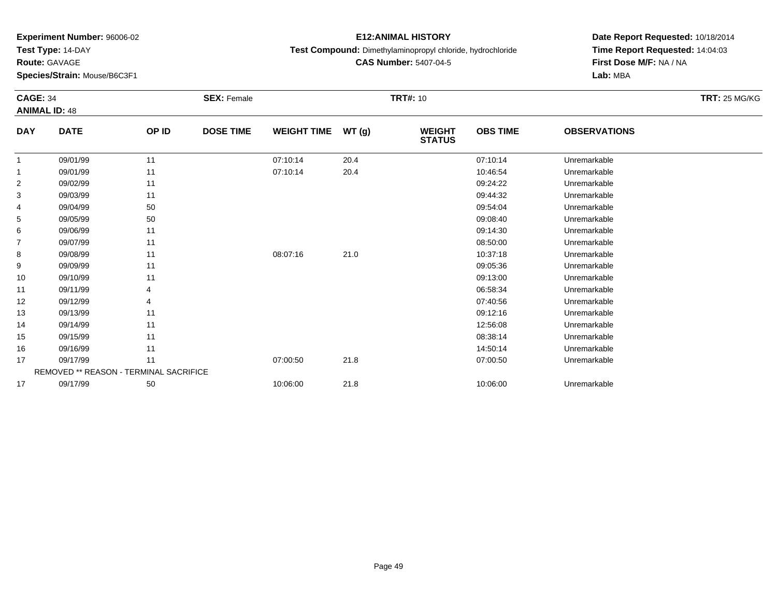**Test Type:** 14-DAY

**Route:** GAVAGE

**Species/Strain:** Mouse/B6C3F1

# **E12:ANIMAL HISTORY**

**Test Compound:** Dimethylaminopropyl chloride, hydrochloride

**CAS Number:** 5407-04-5

| <b>CAGE: 34</b> | <b>ANIMAL ID: 48</b>                   |       | <b>SEX: Female</b> |                    |       | <b>TRT#: 10</b>                |                 |                     | <b>TRT: 25 MG/KG</b> |
|-----------------|----------------------------------------|-------|--------------------|--------------------|-------|--------------------------------|-----------------|---------------------|----------------------|
| <b>DAY</b>      | <b>DATE</b>                            | OP ID | <b>DOSE TIME</b>   | <b>WEIGHT TIME</b> | WT(g) | <b>WEIGHT</b><br><b>STATUS</b> | <b>OBS TIME</b> | <b>OBSERVATIONS</b> |                      |
| $\mathbf{1}$    | 09/01/99                               | 11    |                    | 07:10:14           | 20.4  |                                | 07:10:14        | Unremarkable        |                      |
| $\mathbf{1}$    | 09/01/99                               | 11    |                    | 07:10:14           | 20.4  |                                | 10:46:54        | Unremarkable        |                      |
| $\overline{2}$  | 09/02/99                               | 11    |                    |                    |       |                                | 09:24:22        | Unremarkable        |                      |
| 3               | 09/03/99                               | 11    |                    |                    |       |                                | 09:44:32        | Unremarkable        |                      |
| 4               | 09/04/99                               | 50    |                    |                    |       |                                | 09:54:04        | Unremarkable        |                      |
| 5               | 09/05/99                               | 50    |                    |                    |       |                                | 09:08:40        | Unremarkable        |                      |
| 6               | 09/06/99                               | 11    |                    |                    |       |                                | 09:14:30        | Unremarkable        |                      |
| $\overline{7}$  | 09/07/99                               | 11    |                    |                    |       |                                | 08:50:00        | Unremarkable        |                      |
| 8               | 09/08/99                               | 11    |                    | 08:07:16           | 21.0  |                                | 10:37:18        | Unremarkable        |                      |
| 9               | 09/09/99                               | 11    |                    |                    |       |                                | 09:05:36        | Unremarkable        |                      |
| 10              | 09/10/99                               | 11    |                    |                    |       |                                | 09:13:00        | Unremarkable        |                      |
| 11              | 09/11/99                               |       |                    |                    |       |                                | 06:58:34        | Unremarkable        |                      |
| 12              | 09/12/99                               |       |                    |                    |       |                                | 07:40:56        | Unremarkable        |                      |
| 13              | 09/13/99                               | 11    |                    |                    |       |                                | 09:12:16        | Unremarkable        |                      |
| 14              | 09/14/99                               | 11    |                    |                    |       |                                | 12:56:08        | Unremarkable        |                      |
| 15              | 09/15/99                               | 11    |                    |                    |       |                                | 08:38:14        | Unremarkable        |                      |
| 16              | 09/16/99                               | 11    |                    |                    |       |                                | 14:50:14        | Unremarkable        |                      |
| 17              | 09/17/99                               | 11    |                    | 07:00:50           | 21.8  |                                | 07:00:50        | Unremarkable        |                      |
|                 | REMOVED ** REASON - TERMINAL SACRIFICE |       |                    |                    |       |                                |                 |                     |                      |
| 17              | 09/17/99                               | 50    |                    | 10:06:00           | 21.8  |                                | 10:06:00        | Unremarkable        |                      |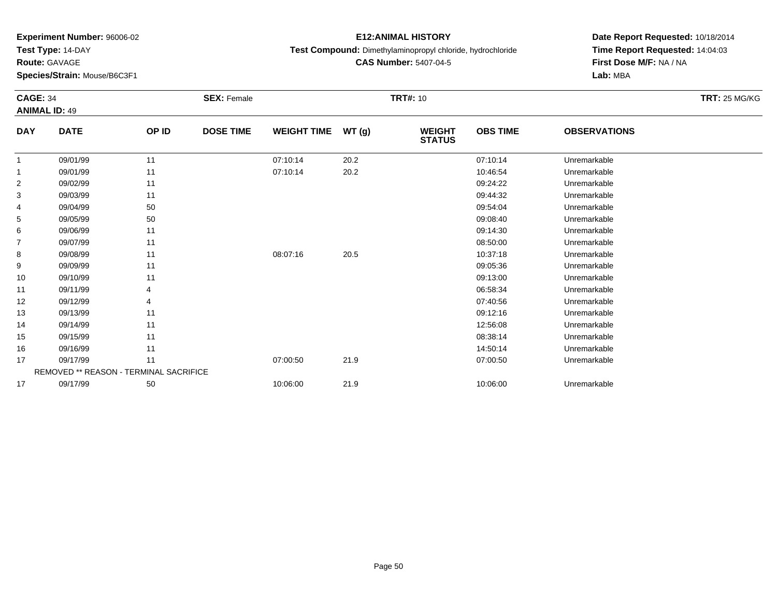**Test Type:** 14-DAY

**Route:** GAVAGE

**Species/Strain:** Mouse/B6C3F1

# **E12:ANIMAL HISTORY**

**Test Compound:** Dimethylaminopropyl chloride, hydrochloride

**CAS Number:** 5407-04-5

| <b>CAGE: 34</b> | <b>ANIMAL ID: 49</b>                   |       | <b>SEX: Female</b> |                    |       | <b>TRT#: 10</b>                |                 |                     | <b>TRT: 25 MG/KG</b> |
|-----------------|----------------------------------------|-------|--------------------|--------------------|-------|--------------------------------|-----------------|---------------------|----------------------|
| <b>DAY</b>      | <b>DATE</b>                            | OP ID | <b>DOSE TIME</b>   | <b>WEIGHT TIME</b> | WT(g) | <b>WEIGHT</b><br><b>STATUS</b> | <b>OBS TIME</b> | <b>OBSERVATIONS</b> |                      |
| 1               | 09/01/99                               | 11    |                    | 07:10:14           | 20.2  |                                | 07:10:14        | Unremarkable        |                      |
| $\mathbf{1}$    | 09/01/99                               | 11    |                    | 07:10:14           | 20.2  |                                | 10:46:54        | Unremarkable        |                      |
| $\overline{2}$  | 09/02/99                               | 11    |                    |                    |       |                                | 09:24:22        | Unremarkable        |                      |
| 3               | 09/03/99                               | 11    |                    |                    |       |                                | 09:44:32        | Unremarkable        |                      |
| 4               | 09/04/99                               | 50    |                    |                    |       |                                | 09:54:04        | Unremarkable        |                      |
| 5               | 09/05/99                               | 50    |                    |                    |       |                                | 09:08:40        | Unremarkable        |                      |
| 6               | 09/06/99                               | 11    |                    |                    |       |                                | 09:14:30        | Unremarkable        |                      |
| 7               | 09/07/99                               | 11    |                    |                    |       |                                | 08:50:00        | Unremarkable        |                      |
| 8               | 09/08/99                               | 11    |                    | 08:07:16           | 20.5  |                                | 10:37:18        | Unremarkable        |                      |
| 9               | 09/09/99                               | 11    |                    |                    |       |                                | 09:05:36        | Unremarkable        |                      |
| 10              | 09/10/99                               | 11    |                    |                    |       |                                | 09:13:00        | Unremarkable        |                      |
| 11              | 09/11/99                               |       |                    |                    |       |                                | 06:58:34        | Unremarkable        |                      |
| 12              | 09/12/99                               |       |                    |                    |       |                                | 07:40:56        | Unremarkable        |                      |
| 13              | 09/13/99                               | 11    |                    |                    |       |                                | 09:12:16        | Unremarkable        |                      |
| 14              | 09/14/99                               | 11    |                    |                    |       |                                | 12:56:08        | Unremarkable        |                      |
| 15              | 09/15/99                               | 11    |                    |                    |       |                                | 08:38:14        | Unremarkable        |                      |
| 16              | 09/16/99                               | 11    |                    |                    |       |                                | 14:50:14        | Unremarkable        |                      |
| 17              | 09/17/99                               | 11    |                    | 07:00:50           | 21.9  |                                | 07:00:50        | Unremarkable        |                      |
|                 | REMOVED ** REASON - TERMINAL SACRIFICE |       |                    |                    |       |                                |                 |                     |                      |
| 17              | 09/17/99                               | 50    |                    | 10:06:00           | 21.9  |                                | 10:06:00        | Unremarkable        |                      |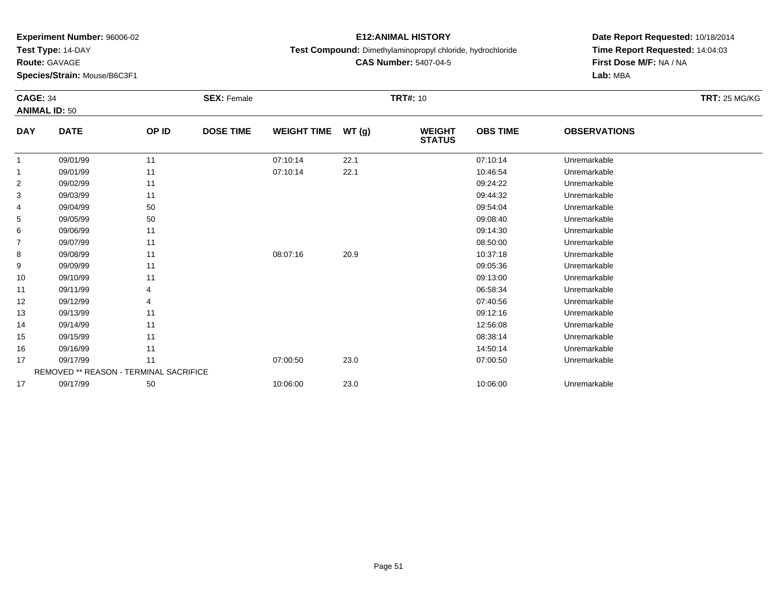**Test Type:** 14-DAY

**Route:** GAVAGE

**Species/Strain:** Mouse/B6C3F1

# **E12:ANIMAL HISTORY**

**Test Compound:** Dimethylaminopropyl chloride, hydrochloride

**CAS Number:** 5407-04-5

|                | <b>CAGE: 34</b><br><b>ANIMAL ID: 50</b> |       | <b>SEX: Female</b> |                    | <b>TRT#: 10</b> |                                |                 |                     | <b>TRT: 25 MG/KG</b> |
|----------------|-----------------------------------------|-------|--------------------|--------------------|-----------------|--------------------------------|-----------------|---------------------|----------------------|
| <b>DAY</b>     | <b>DATE</b>                             | OP ID | <b>DOSE TIME</b>   | <b>WEIGHT TIME</b> | WT (g)          | <b>WEIGHT</b><br><b>STATUS</b> | <b>OBS TIME</b> | <b>OBSERVATIONS</b> |                      |
|                | 09/01/99                                | 11    |                    | 07:10:14           | 22.1            |                                | 07:10:14        | Unremarkable        |                      |
|                | 09/01/99                                | 11    |                    | 07:10:14           | 22.1            |                                | 10:46:54        | Unremarkable        |                      |
| $\overline{2}$ | 09/02/99                                | 11    |                    |                    |                 |                                | 09:24:22        | Unremarkable        |                      |
| 3              | 09/03/99                                | 11    |                    |                    |                 |                                | 09:44:32        | Unremarkable        |                      |
| 4              | 09/04/99                                | 50    |                    |                    |                 |                                | 09:54:04        | Unremarkable        |                      |
| 5              | 09/05/99                                | 50    |                    |                    |                 |                                | 09:08:40        | Unremarkable        |                      |
| 6              | 09/06/99                                | 11    |                    |                    |                 |                                | 09:14:30        | Unremarkable        |                      |
| 7              | 09/07/99                                | 11    |                    |                    |                 |                                | 08:50:00        | Unremarkable        |                      |
| 8              | 09/08/99                                | 11    |                    | 08:07:16           | 20.9            |                                | 10:37:18        | Unremarkable        |                      |
| 9              | 09/09/99                                | 11    |                    |                    |                 |                                | 09:05:36        | Unremarkable        |                      |
| 10             | 09/10/99                                | 11    |                    |                    |                 |                                | 09:13:00        | Unremarkable        |                      |
| 11             | 09/11/99                                |       |                    |                    |                 |                                | 06:58:34        | Unremarkable        |                      |
| 12             | 09/12/99                                |       |                    |                    |                 |                                | 07:40:56        | Unremarkable        |                      |
| 13             | 09/13/99                                | 11    |                    |                    |                 |                                | 09:12:16        | Unremarkable        |                      |
| 14             | 09/14/99                                | 11    |                    |                    |                 |                                | 12:56:08        | Unremarkable        |                      |
| 15             | 09/15/99                                | 11    |                    |                    |                 |                                | 08:38:14        | Unremarkable        |                      |
| 16             | 09/16/99                                | 11    |                    |                    |                 |                                | 14:50:14        | Unremarkable        |                      |
| 17             | 09/17/99                                | 11    |                    | 07:00:50           | 23.0            |                                | 07:00:50        | Unremarkable        |                      |
|                | REMOVED ** REASON - TERMINAL SACRIFICE  |       |                    |                    |                 |                                |                 |                     |                      |
| 17             | 09/17/99                                | 50    |                    | 10:06:00           | 23.0            |                                | 10:06:00        | Unremarkable        |                      |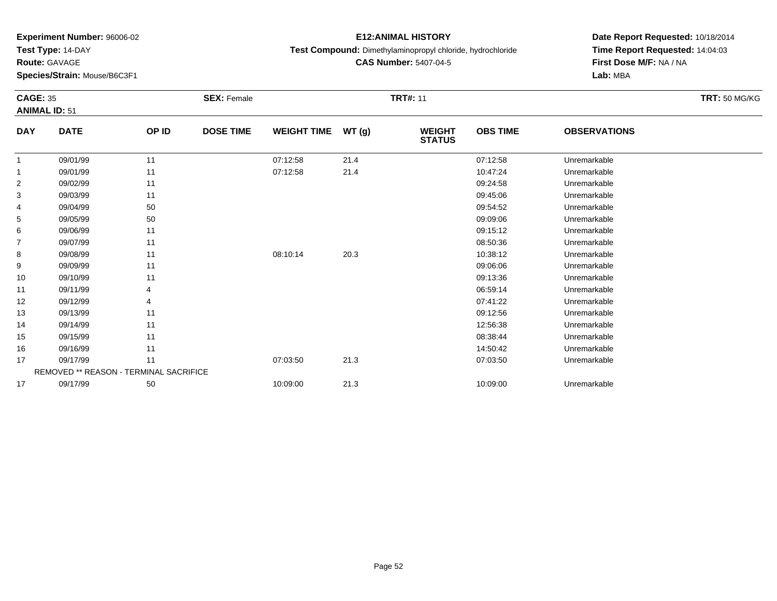**Test Type:** 14-DAY

**Route:** GAVAGE

**Species/Strain:** Mouse/B6C3F1

# **E12:ANIMAL HISTORY**

**Test Compound:** Dimethylaminopropyl chloride, hydrochloride

**CAS Number:** 5407-04-5

| <b>CAGE: 35</b> | <b>ANIMAL ID: 51</b>                          |       | <b>SEX: Female</b> |                    |       | <b>TRT#: 11</b>                |                 |                     | <b>TRT: 50 MG/KG</b> |
|-----------------|-----------------------------------------------|-------|--------------------|--------------------|-------|--------------------------------|-----------------|---------------------|----------------------|
| <b>DAY</b>      | <b>DATE</b>                                   | OP ID | <b>DOSE TIME</b>   | <b>WEIGHT TIME</b> | WT(g) | <b>WEIGHT</b><br><b>STATUS</b> | <b>OBS TIME</b> | <b>OBSERVATIONS</b> |                      |
| $\overline{1}$  | 09/01/99                                      | 11    |                    | 07:12:58           | 21.4  |                                | 07:12:58        | Unremarkable        |                      |
| $\mathbf{1}$    | 09/01/99                                      | 11    |                    | 07:12:58           | 21.4  |                                | 10:47:24        | Unremarkable        |                      |
| 2               | 09/02/99                                      | 11    |                    |                    |       |                                | 09:24:58        | Unremarkable        |                      |
| 3               | 09/03/99                                      | 11    |                    |                    |       |                                | 09:45:06        | Unremarkable        |                      |
| 4               | 09/04/99                                      | 50    |                    |                    |       |                                | 09:54:52        | Unremarkable        |                      |
| 5               | 09/05/99                                      | 50    |                    |                    |       |                                | 09:09:06        | Unremarkable        |                      |
| 6               | 09/06/99                                      | 11    |                    |                    |       |                                | 09:15:12        | Unremarkable        |                      |
| $\overline{7}$  | 09/07/99                                      | 11    |                    |                    |       |                                | 08:50:36        | Unremarkable        |                      |
| 8               | 09/08/99                                      | 11    |                    | 08:10:14           | 20.3  |                                | 10:38:12        | Unremarkable        |                      |
| 9               | 09/09/99                                      | 11    |                    |                    |       |                                | 09:06:06        | Unremarkable        |                      |
| 10              | 09/10/99                                      | 11    |                    |                    |       |                                | 09:13:36        | Unremarkable        |                      |
| 11              | 09/11/99                                      |       |                    |                    |       |                                | 06:59:14        | Unremarkable        |                      |
| 12              | 09/12/99                                      | 4     |                    |                    |       |                                | 07:41:22        | Unremarkable        |                      |
| 13              | 09/13/99                                      | 11    |                    |                    |       |                                | 09:12:56        | Unremarkable        |                      |
| 14              | 09/14/99                                      | 11    |                    |                    |       |                                | 12:56:38        | Unremarkable        |                      |
| 15              | 09/15/99                                      | 11    |                    |                    |       |                                | 08:38:44        | Unremarkable        |                      |
| 16              | 09/16/99                                      | 11    |                    |                    |       |                                | 14:50:42        | Unremarkable        |                      |
| 17              | 09/17/99                                      | 11    |                    | 07:03:50           | 21.3  |                                | 07:03:50        | Unremarkable        |                      |
|                 | <b>REMOVED ** REASON - TERMINAL SACRIFICE</b> |       |                    |                    |       |                                |                 |                     |                      |
| 17              | 09/17/99                                      | 50    |                    | 10:09:00           | 21.3  |                                | 10:09:00        | Unremarkable        |                      |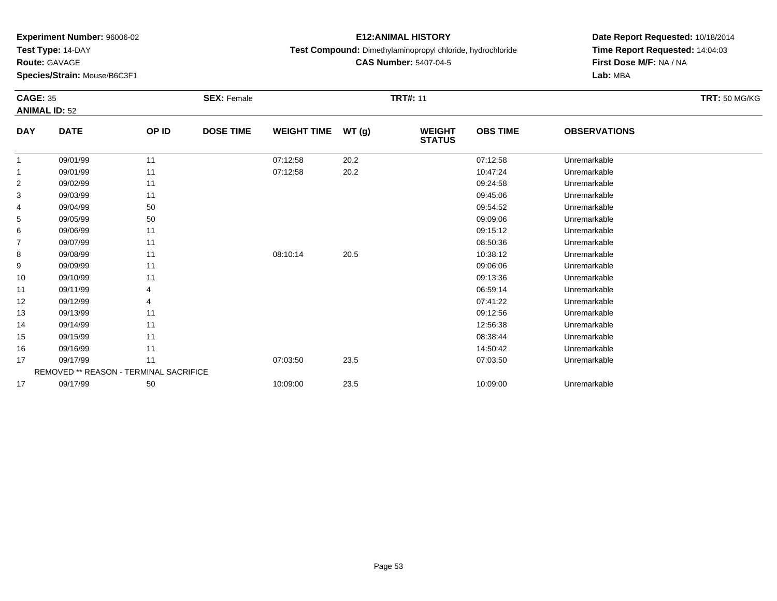**Test Type:** 14-DAY

**Route:** GAVAGE

**Species/Strain:** Mouse/B6C3F1

# **E12:ANIMAL HISTORY**

**Test Compound:** Dimethylaminopropyl chloride, hydrochloride

**CAS Number:** 5407-04-5

| <b>CAGE: 35</b><br><b>ANIMAL ID: 52</b> |                                               |       | <b>SEX: Female</b> |                    |       | <b>TRT#: 11</b>                |                 |                     | <b>TRT: 50 MG/KG</b> |
|-----------------------------------------|-----------------------------------------------|-------|--------------------|--------------------|-------|--------------------------------|-----------------|---------------------|----------------------|
| <b>DAY</b>                              | <b>DATE</b>                                   | OP ID | <b>DOSE TIME</b>   | <b>WEIGHT TIME</b> | WT(g) | <b>WEIGHT</b><br><b>STATUS</b> | <b>OBS TIME</b> | <b>OBSERVATIONS</b> |                      |
|                                         | 09/01/99                                      | 11    |                    | 07:12:58           | 20.2  |                                | 07:12:58        | Unremarkable        |                      |
|                                         | 09/01/99                                      | 11    |                    | 07:12:58           | 20.2  |                                | 10:47:24        | Unremarkable        |                      |
| 2                                       | 09/02/99                                      | 11    |                    |                    |       |                                | 09:24:58        | Unremarkable        |                      |
| 3                                       | 09/03/99                                      | 11    |                    |                    |       |                                | 09:45:06        | Unremarkable        |                      |
| 4                                       | 09/04/99                                      | 50    |                    |                    |       |                                | 09:54:52        | Unremarkable        |                      |
| 5                                       | 09/05/99                                      | 50    |                    |                    |       |                                | 09:09:06        | Unremarkable        |                      |
| 6                                       | 09/06/99                                      | 11    |                    |                    |       |                                | 09:15:12        | Unremarkable        |                      |
| $\overline{7}$                          | 09/07/99                                      | 11    |                    |                    |       |                                | 08:50:36        | Unremarkable        |                      |
| 8                                       | 09/08/99                                      | 11    |                    | 08:10:14           | 20.5  |                                | 10:38:12        | Unremarkable        |                      |
| 9                                       | 09/09/99                                      | 11    |                    |                    |       |                                | 09:06:06        | Unremarkable        |                      |
| 10                                      | 09/10/99                                      | 11    |                    |                    |       |                                | 09:13:36        | Unremarkable        |                      |
| 11                                      | 09/11/99                                      |       |                    |                    |       |                                | 06:59:14        | Unremarkable        |                      |
| 12                                      | 09/12/99                                      | 4     |                    |                    |       |                                | 07:41:22        | Unremarkable        |                      |
| 13                                      | 09/13/99                                      | 11    |                    |                    |       |                                | 09:12:56        | Unremarkable        |                      |
| 14                                      | 09/14/99                                      | 11    |                    |                    |       |                                | 12:56:38        | Unremarkable        |                      |
| 15                                      | 09/15/99                                      | 11    |                    |                    |       |                                | 08:38:44        | Unremarkable        |                      |
| 16                                      | 09/16/99                                      | 11    |                    |                    |       |                                | 14:50:42        | Unremarkable        |                      |
| 17                                      | 09/17/99                                      | 11    |                    | 07:03:50           | 23.5  |                                | 07:03:50        | Unremarkable        |                      |
|                                         | <b>REMOVED ** REASON - TERMINAL SACRIFICE</b> |       |                    |                    |       |                                |                 |                     |                      |
| 17                                      | 09/17/99                                      | 50    |                    | 10:09:00           | 23.5  |                                | 10:09:00        | Unremarkable        |                      |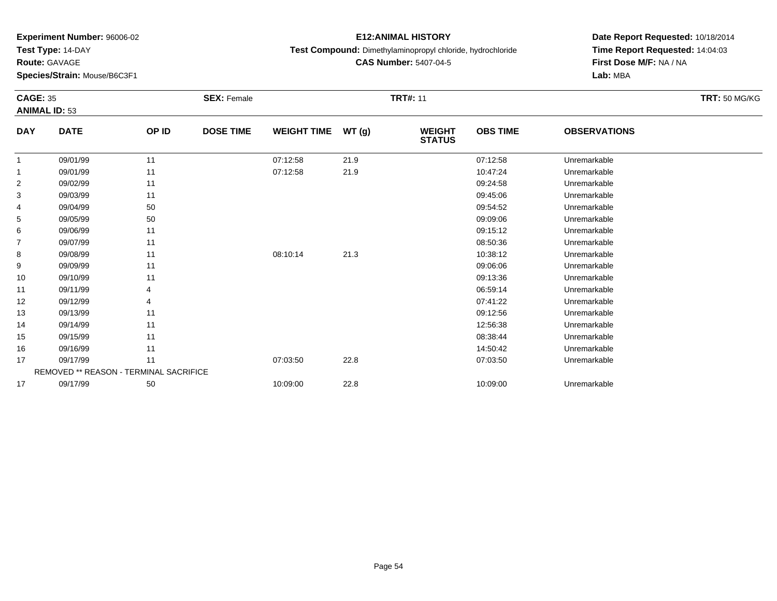**Test Type:** 14-DAY

**Route:** GAVAGE

**Species/Strain:** Mouse/B6C3F1

# **E12:ANIMAL HISTORY**

**Test Compound:** Dimethylaminopropyl chloride, hydrochloride

**CAS Number:** 5407-04-5

| <b>CAGE: 35</b> |                                               |       | <b>SEX: Female</b> |                    |       | <b>TRT#: 11</b>                |                 |                     | <b>TRT: 50 MG/KG</b> |
|-----------------|-----------------------------------------------|-------|--------------------|--------------------|-------|--------------------------------|-----------------|---------------------|----------------------|
|                 | <b>ANIMAL ID: 53</b>                          |       |                    |                    |       |                                |                 |                     |                      |
| <b>DAY</b>      | <b>DATE</b>                                   | OP ID | <b>DOSE TIME</b>   | <b>WEIGHT TIME</b> | WT(g) | <b>WEIGHT</b><br><b>STATUS</b> | <b>OBS TIME</b> | <b>OBSERVATIONS</b> |                      |
| -1              | 09/01/99                                      | 11    |                    | 07:12:58           | 21.9  |                                | 07:12:58        | Unremarkable        |                      |
| 1               | 09/01/99                                      | 11    |                    | 07:12:58           | 21.9  |                                | 10:47:24        | Unremarkable        |                      |
| 2               | 09/02/99                                      | 11    |                    |                    |       |                                | 09:24:58        | Unremarkable        |                      |
| 3               | 09/03/99                                      | 11    |                    |                    |       |                                | 09:45:06        | Unremarkable        |                      |
| 4               | 09/04/99                                      | 50    |                    |                    |       |                                | 09:54:52        | Unremarkable        |                      |
| 5               | 09/05/99                                      | 50    |                    |                    |       |                                | 09:09:06        | Unremarkable        |                      |
| 6               | 09/06/99                                      | 11    |                    |                    |       |                                | 09:15:12        | Unremarkable        |                      |
| 7               | 09/07/99                                      | 11    |                    |                    |       |                                | 08:50:36        | Unremarkable        |                      |
| 8               | 09/08/99                                      | 11    |                    | 08:10:14           | 21.3  |                                | 10:38:12        | Unremarkable        |                      |
| 9               | 09/09/99                                      | 11    |                    |                    |       |                                | 09:06:06        | Unremarkable        |                      |
| 10              | 09/10/99                                      | 11    |                    |                    |       |                                | 09:13:36        | Unremarkable        |                      |
| 11              | 09/11/99                                      |       |                    |                    |       |                                | 06:59:14        | Unremarkable        |                      |
| 12              | 09/12/99                                      |       |                    |                    |       |                                | 07:41:22        | Unremarkable        |                      |
| 13              | 09/13/99                                      | 11    |                    |                    |       |                                | 09:12:56        | Unremarkable        |                      |
| 14              | 09/14/99                                      | 11    |                    |                    |       |                                | 12:56:38        | Unremarkable        |                      |
| 15              | 09/15/99                                      | 11    |                    |                    |       |                                | 08:38:44        | Unremarkable        |                      |
| 16              | 09/16/99                                      | 11    |                    |                    |       |                                | 14:50:42        | Unremarkable        |                      |
| 17              | 09/17/99                                      | 11    |                    | 07:03:50           | 22.8  |                                | 07:03:50        | Unremarkable        |                      |
|                 | <b>REMOVED ** REASON - TERMINAL SACRIFICE</b> |       |                    |                    |       |                                |                 |                     |                      |
| 17              | 09/17/99                                      | 50    |                    | 10:09:00           | 22.8  |                                | 10:09:00        | Unremarkable        |                      |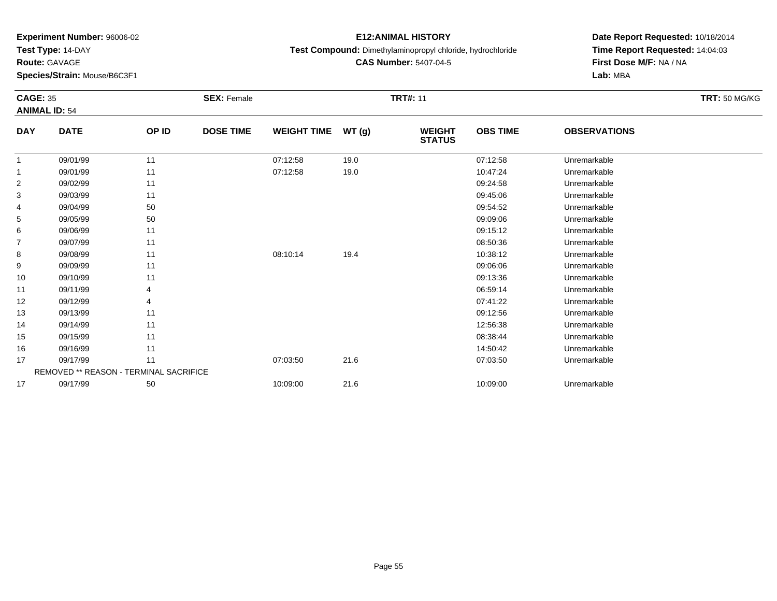**Test Type:** 14-DAY

**Route:** GAVAGE

**Species/Strain:** Mouse/B6C3F1

# **E12:ANIMAL HISTORY**

**Test Compound:** Dimethylaminopropyl chloride, hydrochloride

**CAS Number:** 5407-04-5

| <b>CAGE: 35</b><br><b>ANIMAL ID: 54</b> |                                               |       | <b>SEX: Female</b> |                    |       | <b>TRT#: 11</b>                |                 |                     | <b>TRT: 50 MG/KG</b> |
|-----------------------------------------|-----------------------------------------------|-------|--------------------|--------------------|-------|--------------------------------|-----------------|---------------------|----------------------|
| <b>DAY</b>                              | <b>DATE</b>                                   | OP ID | <b>DOSE TIME</b>   | <b>WEIGHT TIME</b> | WT(g) | <b>WEIGHT</b><br><b>STATUS</b> | <b>OBS TIME</b> | <b>OBSERVATIONS</b> |                      |
|                                         | 09/01/99                                      | 11    |                    | 07:12:58           | 19.0  |                                | 07:12:58        | Unremarkable        |                      |
|                                         | 09/01/99                                      | 11    |                    | 07:12:58           | 19.0  |                                | 10:47:24        | Unremarkable        |                      |
| $\overline{2}$                          | 09/02/99                                      | 11    |                    |                    |       |                                | 09:24:58        | Unremarkable        |                      |
| 3                                       | 09/03/99                                      | 11    |                    |                    |       |                                | 09:45:06        | Unremarkable        |                      |
| 4                                       | 09/04/99                                      | 50    |                    |                    |       |                                | 09:54:52        | Unremarkable        |                      |
| 5                                       | 09/05/99                                      | 50    |                    |                    |       |                                | 09:09:06        | Unremarkable        |                      |
| 6                                       | 09/06/99                                      | 11    |                    |                    |       |                                | 09:15:12        | Unremarkable        |                      |
| 7                                       | 09/07/99                                      | 11    |                    |                    |       |                                | 08:50:36        | Unremarkable        |                      |
| 8                                       | 09/08/99                                      | 11    |                    | 08:10:14           | 19.4  |                                | 10:38:12        | Unremarkable        |                      |
| 9                                       | 09/09/99                                      | 11    |                    |                    |       |                                | 09:06:06        | Unremarkable        |                      |
| 10                                      | 09/10/99                                      | 11    |                    |                    |       |                                | 09:13:36        | Unremarkable        |                      |
| 11                                      | 09/11/99                                      |       |                    |                    |       |                                | 06:59:14        | Unremarkable        |                      |
| 12                                      | 09/12/99                                      |       |                    |                    |       |                                | 07:41:22        | Unremarkable        |                      |
| 13                                      | 09/13/99                                      | 11    |                    |                    |       |                                | 09:12:56        | Unremarkable        |                      |
| 14                                      | 09/14/99                                      | 11    |                    |                    |       |                                | 12:56:38        | Unremarkable        |                      |
| 15                                      | 09/15/99                                      | 11    |                    |                    |       |                                | 08:38:44        | Unremarkable        |                      |
| 16                                      | 09/16/99                                      | 11    |                    |                    |       |                                | 14:50:42        | Unremarkable        |                      |
| 17                                      | 09/17/99                                      | 11    |                    | 07:03:50           | 21.6  |                                | 07:03:50        | Unremarkable        |                      |
|                                         | <b>REMOVED ** REASON - TERMINAL SACRIFICE</b> |       |                    |                    |       |                                |                 |                     |                      |
| 17                                      | 09/17/99                                      | 50    |                    | 10:09:00           | 21.6  |                                | 10:09:00        | Unremarkable        |                      |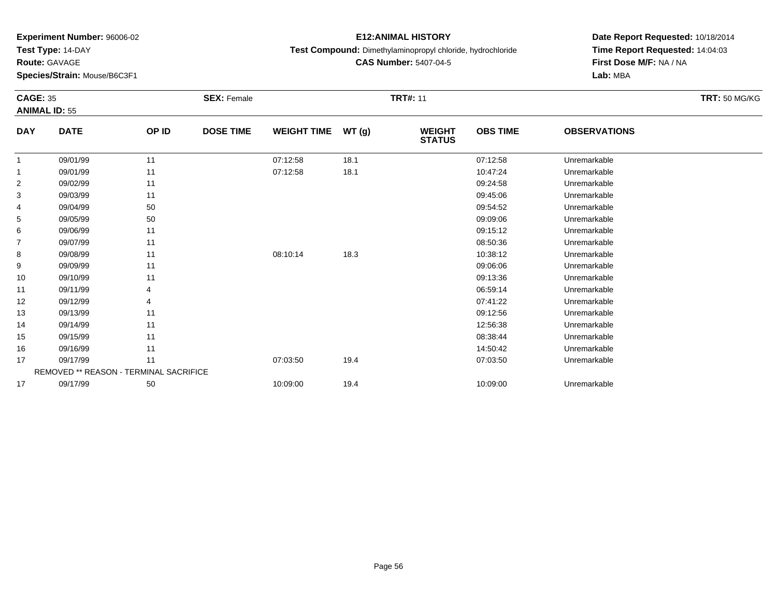**Test Type:** 14-DAY

**Route:** GAVAGE

**Species/Strain:** Mouse/B6C3F1

# **E12:ANIMAL HISTORY**

**Test Compound:** Dimethylaminopropyl chloride, hydrochloride

**CAS Number:** 5407-04-5

| <b>CAGE: 35</b><br><b>ANIMAL ID: 55</b> |                                        |       | <b>SEX: Female</b> |                    |       | <b>TRT#: 11</b>                |                 |                     | <b>TRT: 50 MG/KG</b> |
|-----------------------------------------|----------------------------------------|-------|--------------------|--------------------|-------|--------------------------------|-----------------|---------------------|----------------------|
| <b>DAY</b>                              | <b>DATE</b>                            | OP ID | <b>DOSE TIME</b>   | <b>WEIGHT TIME</b> | WT(g) | <b>WEIGHT</b><br><b>STATUS</b> | <b>OBS TIME</b> | <b>OBSERVATIONS</b> |                      |
|                                         | 09/01/99                               | 11    |                    | 07:12:58           | 18.1  |                                | 07:12:58        | Unremarkable        |                      |
|                                         | 09/01/99                               | 11    |                    | 07:12:58           | 18.1  |                                | 10:47:24        | Unremarkable        |                      |
| $\overline{2}$                          | 09/02/99                               | 11    |                    |                    |       |                                | 09:24:58        | Unremarkable        |                      |
| 3                                       | 09/03/99                               | 11    |                    |                    |       |                                | 09:45:06        | Unremarkable        |                      |
| 4                                       | 09/04/99                               | 50    |                    |                    |       |                                | 09:54:52        | Unremarkable        |                      |
| 5                                       | 09/05/99                               | 50    |                    |                    |       |                                | 09:09:06        | Unremarkable        |                      |
| 6                                       | 09/06/99                               | 11    |                    |                    |       |                                | 09:15:12        | Unremarkable        |                      |
| $\overline{7}$                          | 09/07/99                               | 11    |                    |                    |       |                                | 08:50:36        | Unremarkable        |                      |
| 8                                       | 09/08/99                               | 11    |                    | 08:10:14           | 18.3  |                                | 10:38:12        | Unremarkable        |                      |
| 9                                       | 09/09/99                               | 11    |                    |                    |       |                                | 09:06:06        | Unremarkable        |                      |
| 10                                      | 09/10/99                               | 11    |                    |                    |       |                                | 09:13:36        | Unremarkable        |                      |
| 11                                      | 09/11/99                               | 4     |                    |                    |       |                                | 06:59:14        | Unremarkable        |                      |
| 12                                      | 09/12/99                               | 4     |                    |                    |       |                                | 07:41:22        | Unremarkable        |                      |
| 13                                      | 09/13/99                               | 11    |                    |                    |       |                                | 09:12:56        | Unremarkable        |                      |
| 14                                      | 09/14/99                               | 11    |                    |                    |       |                                | 12:56:38        | Unremarkable        |                      |
| 15                                      | 09/15/99                               | 11    |                    |                    |       |                                | 08:38:44        | Unremarkable        |                      |
| 16                                      | 09/16/99                               | 11    |                    |                    |       |                                | 14:50:42        | Unremarkable        |                      |
| 17                                      | 09/17/99                               | 11    |                    | 07:03:50           | 19.4  |                                | 07:03:50        | Unremarkable        |                      |
|                                         | REMOVED ** REASON - TERMINAL SACRIFICE |       |                    |                    |       |                                |                 |                     |                      |
| 17                                      | 09/17/99                               | 50    |                    | 10:09:00           | 19.4  |                                | 10:09:00        | Unremarkable        |                      |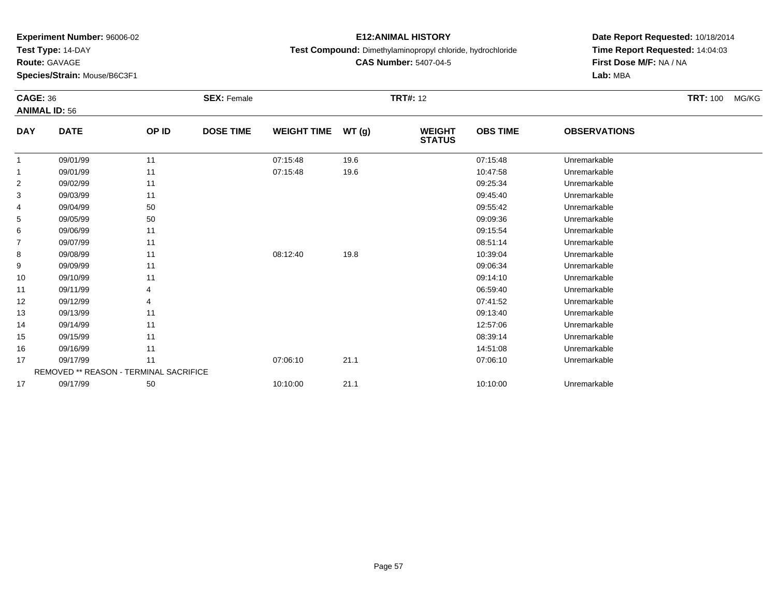**Test Type:** 14-DAY

**Route:** GAVAGE

**Species/Strain:** Mouse/B6C3F1

# **E12:ANIMAL HISTORY**

**Test Compound:** Dimethylaminopropyl chloride, hydrochloride

**CAS Number:** 5407-04-5

| <b>CAGE: 36</b> | <b>ANIMAL ID: 56</b>                   |       | <b>SEX: Female</b> |                    |       | <b>TRT#: 12</b>                |                 |                     | <b>TRT: 100</b> | MG/KG |
|-----------------|----------------------------------------|-------|--------------------|--------------------|-------|--------------------------------|-----------------|---------------------|-----------------|-------|
| <b>DAY</b>      | <b>DATE</b>                            | OP ID | <b>DOSE TIME</b>   | <b>WEIGHT TIME</b> | WT(g) | <b>WEIGHT</b><br><b>STATUS</b> | <b>OBS TIME</b> | <b>OBSERVATIONS</b> |                 |       |
| -1              | 09/01/99                               | 11    |                    | 07:15:48           | 19.6  |                                | 07:15:48        | Unremarkable        |                 |       |
| $\overline{1}$  | 09/01/99                               | 11    |                    | 07:15:48           | 19.6  |                                | 10:47:58        | Unremarkable        |                 |       |
| $\overline{2}$  | 09/02/99                               | 11    |                    |                    |       |                                | 09:25:34        | Unremarkable        |                 |       |
| 3               | 09/03/99                               | 11    |                    |                    |       |                                | 09:45:40        | Unremarkable        |                 |       |
| 4               | 09/04/99                               | 50    |                    |                    |       |                                | 09:55:42        | Unremarkable        |                 |       |
| 5               | 09/05/99                               | 50    |                    |                    |       |                                | 09:09:36        | Unremarkable        |                 |       |
| 6               | 09/06/99                               | 11    |                    |                    |       |                                | 09:15:54        | Unremarkable        |                 |       |
| $\overline{7}$  | 09/07/99                               | 11    |                    |                    |       |                                | 08:51:14        | Unremarkable        |                 |       |
| 8               | 09/08/99                               | 11    |                    | 08:12:40           | 19.8  |                                | 10:39:04        | Unremarkable        |                 |       |
| 9               | 09/09/99                               | 11    |                    |                    |       |                                | 09:06:34        | Unremarkable        |                 |       |
| 10              | 09/10/99                               | 11    |                    |                    |       |                                | 09:14:10        | Unremarkable        |                 |       |
| 11              | 09/11/99                               |       |                    |                    |       |                                | 06:59:40        | Unremarkable        |                 |       |
| 12              | 09/12/99                               |       |                    |                    |       |                                | 07:41:52        | Unremarkable        |                 |       |
| 13              | 09/13/99                               | 11    |                    |                    |       |                                | 09:13:40        | Unremarkable        |                 |       |
| 14              | 09/14/99                               | 11    |                    |                    |       |                                | 12:57:06        | Unremarkable        |                 |       |
| 15              | 09/15/99                               | 11    |                    |                    |       |                                | 08:39:14        | Unremarkable        |                 |       |
| 16              | 09/16/99                               | 11    |                    |                    |       |                                | 14:51:08        | Unremarkable        |                 |       |
| 17              | 09/17/99                               | 11    |                    | 07:06:10           | 21.1  |                                | 07:06:10        | Unremarkable        |                 |       |
|                 | REMOVED ** REASON - TERMINAL SACRIFICE |       |                    |                    |       |                                |                 |                     |                 |       |
| 17              | 09/17/99                               | 50    |                    | 10:10:00           | 21.1  |                                | 10:10:00        | Unremarkable        |                 |       |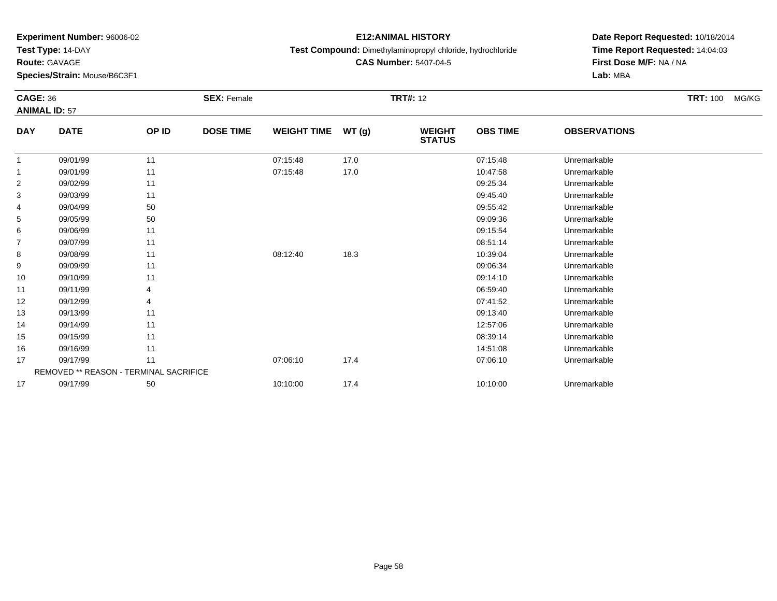**Test Type:** 14-DAY

**Route:** GAVAGE

**Species/Strain:** Mouse/B6C3F1

# **E12:ANIMAL HISTORY**

**Test Compound:** Dimethylaminopropyl chloride, hydrochloride

**CAS Number:** 5407-04-5

| <b>CAGE: 36</b>      |                                        |       | <b>SEX: Female</b> |                    |       | <b>TRT#: 12</b>                |                 |                     | <b>TRT: 100</b> | MG/KG |
|----------------------|----------------------------------------|-------|--------------------|--------------------|-------|--------------------------------|-----------------|---------------------|-----------------|-------|
| <b>ANIMAL ID: 57</b> |                                        |       |                    |                    |       |                                |                 |                     |                 |       |
| <b>DAY</b>           | <b>DATE</b>                            | OP ID | <b>DOSE TIME</b>   | <b>WEIGHT TIME</b> | WT(g) | <b>WEIGHT</b><br><b>STATUS</b> | <b>OBS TIME</b> | <b>OBSERVATIONS</b> |                 |       |
|                      | 09/01/99                               | 11    |                    | 07:15:48           | 17.0  |                                | 07:15:48        | Unremarkable        |                 |       |
|                      | 09/01/99                               | 11    |                    | 07:15:48           | 17.0  |                                | 10:47:58        | Unremarkable        |                 |       |
| 2                    | 09/02/99                               | 11    |                    |                    |       |                                | 09:25:34        | Unremarkable        |                 |       |
| 3                    | 09/03/99                               | 11    |                    |                    |       |                                | 09:45:40        | Unremarkable        |                 |       |
| 4                    | 09/04/99                               | 50    |                    |                    |       |                                | 09:55:42        | Unremarkable        |                 |       |
| 5                    | 09/05/99                               | 50    |                    |                    |       |                                | 09:09:36        | Unremarkable        |                 |       |
| 6                    | 09/06/99                               | 11    |                    |                    |       |                                | 09:15:54        | Unremarkable        |                 |       |
| $\overline{7}$       | 09/07/99                               | 11    |                    |                    |       |                                | 08:51:14        | Unremarkable        |                 |       |
| 8                    | 09/08/99                               | 11    |                    | 08:12:40           | 18.3  |                                | 10:39:04        | Unremarkable        |                 |       |
| 9                    | 09/09/99                               | 11    |                    |                    |       |                                | 09:06:34        | Unremarkable        |                 |       |
| 10                   | 09/10/99                               | 11    |                    |                    |       |                                | 09:14:10        | Unremarkable        |                 |       |
| 11                   | 09/11/99                               |       |                    |                    |       |                                | 06:59:40        | Unremarkable        |                 |       |
| 12                   | 09/12/99                               |       |                    |                    |       |                                | 07:41:52        | Unremarkable        |                 |       |
| 13                   | 09/13/99                               | 11    |                    |                    |       |                                | 09:13:40        | Unremarkable        |                 |       |
| 14                   | 09/14/99                               | 11    |                    |                    |       |                                | 12:57:06        | Unremarkable        |                 |       |
| 15                   | 09/15/99                               | 11    |                    |                    |       |                                | 08:39:14        | Unremarkable        |                 |       |
| 16                   | 09/16/99                               | 11    |                    |                    |       |                                | 14:51:08        | Unremarkable        |                 |       |
| 17                   | 09/17/99                               | 11    |                    | 07:06:10           | 17.4  |                                | 07:06:10        | Unremarkable        |                 |       |
|                      | REMOVED ** REASON - TERMINAL SACRIFICE |       |                    |                    |       |                                |                 |                     |                 |       |
| 17                   | 09/17/99                               | 50    |                    | 10:10:00           | 17.4  |                                | 10:10:00        | Unremarkable        |                 |       |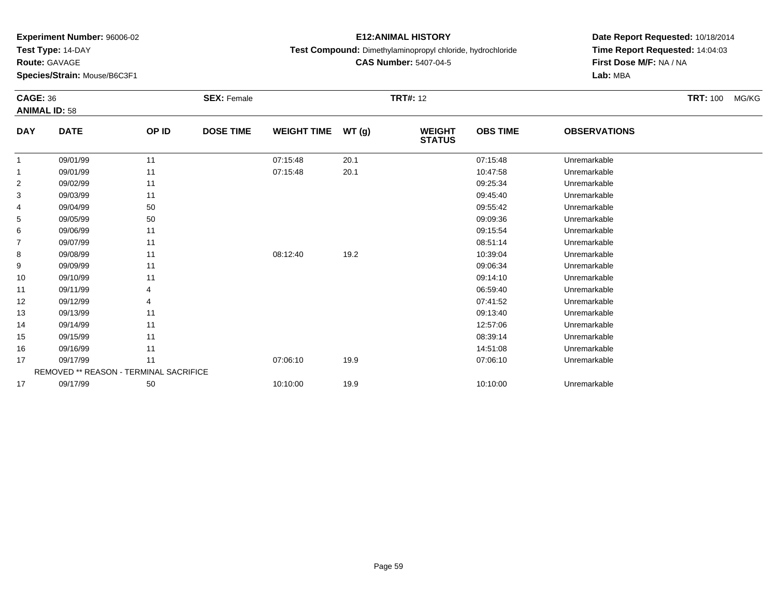**Test Type:** 14-DAY

**Route:** GAVAGE

**Species/Strain:** Mouse/B6C3F1

# **E12:ANIMAL HISTORY**

**Test Compound:** Dimethylaminopropyl chloride, hydrochloride

**CAS Number:** 5407-04-5

| <b>CAGE: 36</b> |                                        |       | <b>SEX: Female</b> |                    |        | <b>TRT#: 12</b>                |                 |                     | <b>TRT: 100</b><br>MG/KG |
|-----------------|----------------------------------------|-------|--------------------|--------------------|--------|--------------------------------|-----------------|---------------------|--------------------------|
|                 | <b>ANIMAL ID: 58</b>                   |       |                    |                    |        |                                |                 |                     |                          |
| <b>DAY</b>      | <b>DATE</b>                            | OP ID | <b>DOSE TIME</b>   | <b>WEIGHT TIME</b> | WT (g) | <b>WEIGHT</b><br><b>STATUS</b> | <b>OBS TIME</b> | <b>OBSERVATIONS</b> |                          |
| $\overline{1}$  | 09/01/99                               | 11    |                    | 07:15:48           | 20.1   |                                | 07:15:48        | Unremarkable        |                          |
| -1              | 09/01/99                               | 11    |                    | 07:15:48           | 20.1   |                                | 10:47:58        | Unremarkable        |                          |
| 2               | 09/02/99                               | 11    |                    |                    |        |                                | 09:25:34        | Unremarkable        |                          |
| 3               | 09/03/99                               | 11    |                    |                    |        |                                | 09:45:40        | Unremarkable        |                          |
| 4               | 09/04/99                               | 50    |                    |                    |        |                                | 09:55:42        | Unremarkable        |                          |
| 5               | 09/05/99                               | 50    |                    |                    |        |                                | 09:09:36        | Unremarkable        |                          |
| 6               | 09/06/99                               | 11    |                    |                    |        |                                | 09:15:54        | Unremarkable        |                          |
| 7               | 09/07/99                               | 11    |                    |                    |        |                                | 08:51:14        | Unremarkable        |                          |
| 8               | 09/08/99                               | 11    |                    | 08:12:40           | 19.2   |                                | 10:39:04        | Unremarkable        |                          |
| 9               | 09/09/99                               | 11    |                    |                    |        |                                | 09:06:34        | Unremarkable        |                          |
| 10              | 09/10/99                               | 11    |                    |                    |        |                                | 09:14:10        | Unremarkable        |                          |
| 11              | 09/11/99                               |       |                    |                    |        |                                | 06:59:40        | Unremarkable        |                          |
| 12              | 09/12/99                               |       |                    |                    |        |                                | 07:41:52        | Unremarkable        |                          |
| 13              | 09/13/99                               | 11    |                    |                    |        |                                | 09:13:40        | Unremarkable        |                          |
| 14              | 09/14/99                               | 11    |                    |                    |        |                                | 12:57:06        | Unremarkable        |                          |
| 15              | 09/15/99                               | 11    |                    |                    |        |                                | 08:39:14        | Unremarkable        |                          |
| 16              | 09/16/99                               | 11    |                    |                    |        |                                | 14:51:08        | Unremarkable        |                          |
| 17              | 09/17/99                               | 11    |                    | 07:06:10           | 19.9   |                                | 07:06:10        | Unremarkable        |                          |
|                 | REMOVED ** REASON - TERMINAL SACRIFICE |       |                    |                    |        |                                |                 |                     |                          |
| 17              | 09/17/99                               | 50    |                    | 10:10:00           | 19.9   |                                | 10:10:00        | Unremarkable        |                          |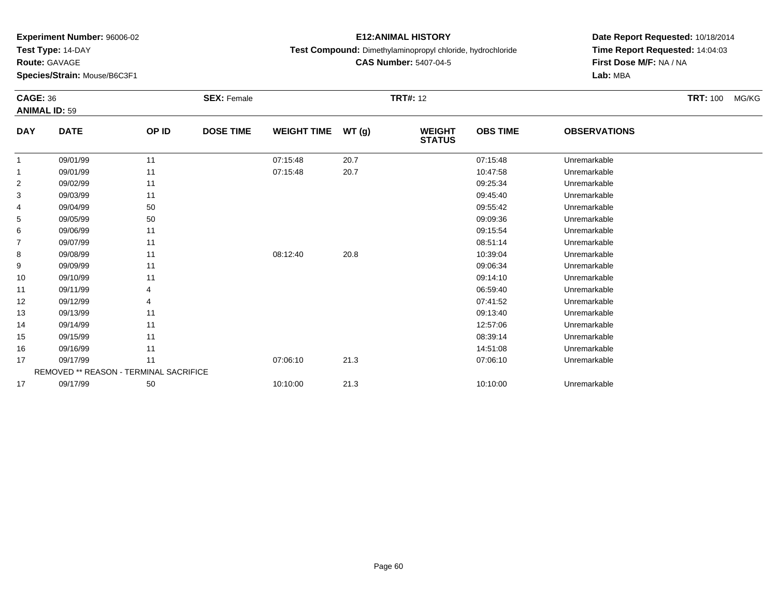**Test Type:** 14-DAY

**Route:** GAVAGE

**Species/Strain:** Mouse/B6C3F1

# **E12:ANIMAL HISTORY**

**Test Compound:** Dimethylaminopropyl chloride, hydrochloride

**Date Report Requested:** 10/18/2014 **Time Report Requested:** 14:04:03**First Dose M/F:** NA / NA**Lab:** MBA

| <b>CAGE: 36</b>                    |                                        |       | <b>SEX: Female</b> |                    |       | <b>TRT#: 12</b>                |                 |                     | <b>TRT: 100</b><br>MG/KG |  |
|------------------------------------|----------------------------------------|-------|--------------------|--------------------|-------|--------------------------------|-----------------|---------------------|--------------------------|--|
| <b>ANIMAL ID: 59</b><br><b>DAY</b> | <b>DATE</b>                            | OP ID | <b>DOSE TIME</b>   | <b>WEIGHT TIME</b> | WT(g) | <b>WEIGHT</b><br><b>STATUS</b> | <b>OBS TIME</b> | <b>OBSERVATIONS</b> |                          |  |
|                                    |                                        |       |                    |                    |       |                                |                 |                     |                          |  |
| $\overline{1}$                     | 09/01/99                               | 11    |                    | 07:15:48           | 20.7  |                                | 07:15:48        | Unremarkable        |                          |  |
| $\overline{1}$                     | 09/01/99                               | 11    |                    | 07:15:48           | 20.7  |                                | 10:47:58        | Unremarkable        |                          |  |
| $\overline{2}$                     | 09/02/99                               | 11    |                    |                    |       |                                | 09:25:34        | Unremarkable        |                          |  |
| 3                                  | 09/03/99                               | 11    |                    |                    |       |                                | 09:45:40        | Unremarkable        |                          |  |
| 4                                  | 09/04/99                               | 50    |                    |                    |       |                                | 09:55:42        | Unremarkable        |                          |  |
| 5                                  | 09/05/99                               | 50    |                    |                    |       |                                | 09:09:36        | Unremarkable        |                          |  |
| 6                                  | 09/06/99                               | 11    |                    |                    |       |                                | 09:15:54        | Unremarkable        |                          |  |
| 7                                  | 09/07/99                               | 11    |                    |                    |       |                                | 08:51:14        | Unremarkable        |                          |  |
| 8                                  | 09/08/99                               | 11    |                    | 08:12:40           | 20.8  |                                | 10:39:04        | Unremarkable        |                          |  |
| 9                                  | 09/09/99                               | 11    |                    |                    |       |                                | 09:06:34        | Unremarkable        |                          |  |
| 10                                 | 09/10/99                               | 11    |                    |                    |       |                                | 09:14:10        | Unremarkable        |                          |  |
| 11                                 | 09/11/99                               |       |                    |                    |       |                                | 06:59:40        | Unremarkable        |                          |  |
| 12                                 | 09/12/99                               |       |                    |                    |       |                                | 07:41:52        | Unremarkable        |                          |  |
| 13                                 | 09/13/99                               | 11    |                    |                    |       |                                | 09:13:40        | Unremarkable        |                          |  |
| 14                                 | 09/14/99                               | 11    |                    |                    |       |                                | 12:57:06        | Unremarkable        |                          |  |
| 15                                 | 09/15/99                               | 11    |                    |                    |       |                                | 08:39:14        | Unremarkable        |                          |  |
| 16                                 | 09/16/99                               | 11    |                    |                    |       |                                | 14:51:08        | Unremarkable        |                          |  |
| 17                                 | 09/17/99                               | 11    |                    | 07:06:10           | 21.3  |                                | 07:06:10        | Unremarkable        |                          |  |
|                                    | REMOVED ** REASON - TERMINAL SACRIFICE |       |                    |                    |       |                                |                 |                     |                          |  |
| 17                                 | 09/17/99                               | 50    |                    | 10:10:00           | 21.3  |                                | 10:10:00        | Unremarkable        |                          |  |

**CAS Number:** 5407-04-5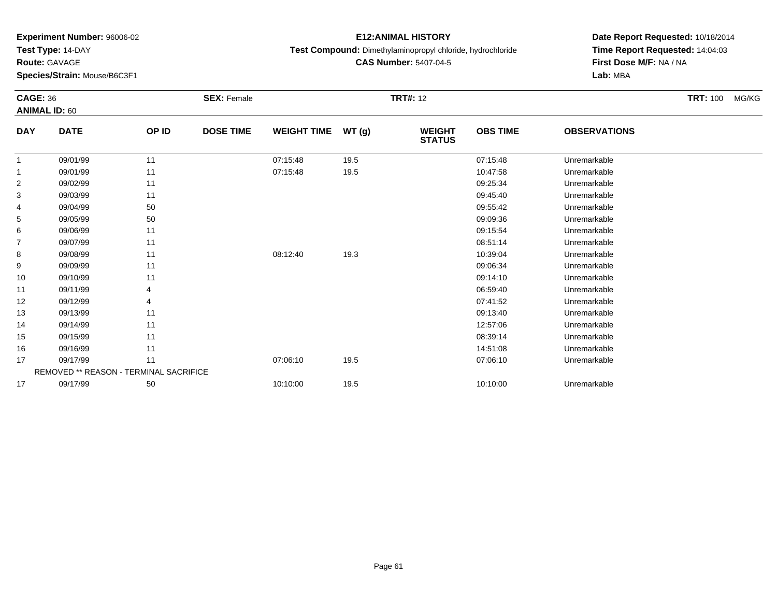**Test Type:** 14-DAY

**Route:** GAVAGE

**Species/Strain:** Mouse/B6C3F1

# **E12:ANIMAL HISTORY**

**Test Compound:** Dimethylaminopropyl chloride, hydrochloride

**CAS Number:** 5407-04-5

| <b>CAGE: 36</b><br><b>ANIMAL ID: 60</b> |                                               |       | <b>SEX: Female</b> |                    | <b>TRT#: 12</b> |                                |                 |                     |  | MG/KG |
|-----------------------------------------|-----------------------------------------------|-------|--------------------|--------------------|-----------------|--------------------------------|-----------------|---------------------|--|-------|
| <b>DAY</b>                              | <b>DATE</b>                                   | OP ID | <b>DOSE TIME</b>   | <b>WEIGHT TIME</b> | WT(g)           | <b>WEIGHT</b><br><b>STATUS</b> | <b>OBS TIME</b> | <b>OBSERVATIONS</b> |  |       |
|                                         | 09/01/99                                      | 11    |                    | 07:15:48           | 19.5            |                                | 07:15:48        | Unremarkable        |  |       |
| 1                                       | 09/01/99                                      | 11    |                    | 07:15:48           | 19.5            |                                | 10:47:58        | Unremarkable        |  |       |
| $\overline{2}$                          | 09/02/99                                      | 11    |                    |                    |                 |                                | 09:25:34        | Unremarkable        |  |       |
| 3                                       | 09/03/99                                      | 11    |                    |                    |                 |                                | 09:45:40        | Unremarkable        |  |       |
| 4                                       | 09/04/99                                      | 50    |                    |                    |                 |                                | 09:55:42        | Unremarkable        |  |       |
| 5                                       | 09/05/99                                      | 50    |                    |                    |                 |                                | 09:09:36        | Unremarkable        |  |       |
| 6                                       | 09/06/99                                      | 11    |                    |                    |                 |                                | 09:15:54        | Unremarkable        |  |       |
| 7                                       | 09/07/99                                      | 11    |                    |                    |                 |                                | 08:51:14        | Unremarkable        |  |       |
| 8                                       | 09/08/99                                      | 11    |                    | 08:12:40           | 19.3            |                                | 10:39:04        | Unremarkable        |  |       |
| 9                                       | 09/09/99                                      | 11    |                    |                    |                 |                                | 09:06:34        | Unremarkable        |  |       |
| 10                                      | 09/10/99                                      | 11    |                    |                    |                 |                                | 09:14:10        | Unremarkable        |  |       |
| 11                                      | 09/11/99                                      | 4     |                    |                    |                 |                                | 06:59:40        | Unremarkable        |  |       |
| 12                                      | 09/12/99                                      | 4     |                    |                    |                 |                                | 07:41:52        | Unremarkable        |  |       |
| 13                                      | 09/13/99                                      | 11    |                    |                    |                 |                                | 09:13:40        | Unremarkable        |  |       |
| 14                                      | 09/14/99                                      | 11    |                    |                    |                 |                                | 12:57:06        | Unremarkable        |  |       |
| 15                                      | 09/15/99                                      | 11    |                    |                    |                 |                                | 08:39:14        | Unremarkable        |  |       |
| 16                                      | 09/16/99                                      | 11    |                    |                    |                 |                                | 14:51:08        | Unremarkable        |  |       |
| 17                                      | 09/17/99                                      | 11    |                    | 07:06:10           | 19.5            |                                | 07:06:10        | Unremarkable        |  |       |
|                                         | <b>REMOVED ** REASON - TERMINAL SACRIFICE</b> |       |                    |                    |                 |                                |                 |                     |  |       |
| 17                                      | 09/17/99                                      | 50    |                    | 10:10:00           | 19.5            |                                | 10:10:00        | Unremarkable        |  |       |